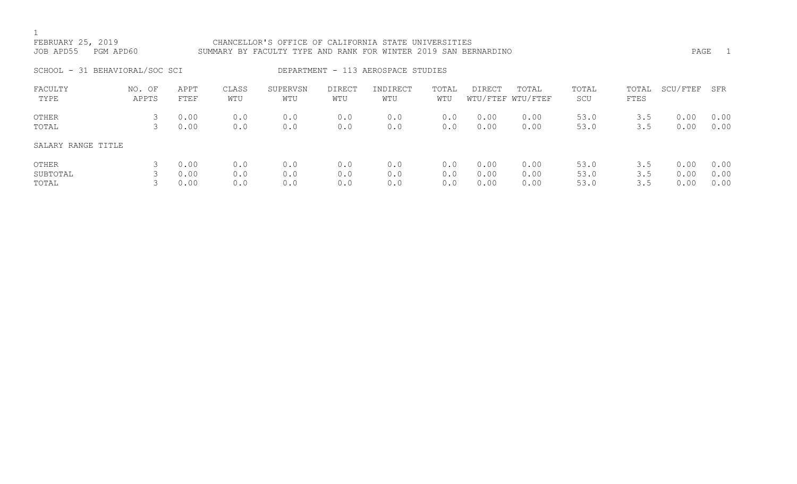| FEBRUARY 25, 2019<br>JOB APD55 | PGM APD60       |              |              | CHANCELLOR'S OFFICE OF CALIFORNIA STATE UNIVERSITIES<br>SUMMARY BY FACULTY TYPE AND RANK FOR WINTER 2019 SAN BERNARDINO |                      |                                    |              |               |                            |              |               | PAGE         | $\overline{\phantom{0}}$ |
|--------------------------------|-----------------|--------------|--------------|-------------------------------------------------------------------------------------------------------------------------|----------------------|------------------------------------|--------------|---------------|----------------------------|--------------|---------------|--------------|--------------------------|
| SCHOOL - 31 BEHAVIORAL/SOC SCI |                 |              |              |                                                                                                                         |                      | DEPARTMENT - 113 AEROSPACE STUDIES |              |               |                            |              |               |              |                          |
| FACULTY<br>TYPE                | NO. OF<br>APPTS | APPT<br>FTEF | CLASS<br>WTU | SUPERVSN<br>WTU                                                                                                         | <b>DIRECT</b><br>WTU | INDIRECT<br>WTU                    | TOTAL<br>WTU | <b>DIRECT</b> | TOTAL<br>WTU/FTEF WTU/FTEF | TOTAL<br>SCU | TOTAL<br>FTES | SCU/FTEF     | SFR                      |
| OTHER<br>TOTAL                 | 3<br>3          | 0.00<br>0.00 | 0.0<br>0.0   | 0.0<br>0.0                                                                                                              | 0.0<br>0.0           | 0.0<br>0.0                         | 0.0<br>0.0   | 0.00<br>0.00  | 0.00<br>0.00               | 53.0<br>53.0 | 3.5<br>3.5    | 0.00<br>0.00 | 0.00<br>0.00             |
| SALARY RANGE TITLE             |                 |              |              |                                                                                                                         |                      |                                    |              |               |                            |              |               |              |                          |
| OTHER<br>SUBTOTAL              |                 | 0.00<br>0.00 | 0.0<br>0.0   | 0.0<br>0.0                                                                                                              | 0.0<br>0.0           | 0.0<br>0.0                         | 0.0<br>0.0   | 0.00<br>0.00  | 0.00<br>0.00               | 53.0<br>53.0 | 3.5<br>3.5    | 0.00<br>0.00 | 0.00<br>0.00             |

TOTAL 3 0.00 0.0 0.0 0.0 0.0 0.0 0.00 0.00 53.0 3.5 0.00 0.00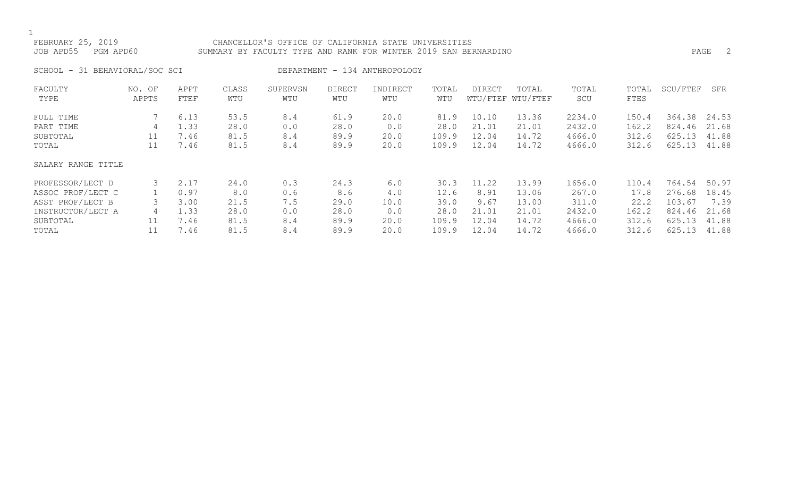### FEBRUARY 25, 2019 CHANCELLOR'S OFFICE OF CALIFORNIA STATE UNIVERSITIES JOB APD55 PGM APD60 SUMMARY BY FACULTY TYPE AND RANK FOR WINTER 2019 SAN BERNARDINO PAGE 2

SCHOOL - 31 BEHAVIORAL/SOC SCI DEPARTMENT - 134 ANTHROPOLOGY

| FACULTY            | NO. OF | APPT | CLASS | SUPERVSN | <b>DIRECT</b> | INDIRECT | TOTAL | DIRECT | TOTAL             | TOTAL  | TOTAL | SCU/FTEF | SFR   |
|--------------------|--------|------|-------|----------|---------------|----------|-------|--------|-------------------|--------|-------|----------|-------|
| TYPE               | APPTS  | FTEF | WTU   | WTU      | WTU           | WTU      | WTU   |        | WTU/FTEF WTU/FTEF | SCU    | FTES  |          |       |
| FULL TIME          |        | 6.13 | 53.5  | 8.4      | 61.9          | 20.0     | 81.9  | 10.10  | 13.36             | 2234.0 | 150.4 | 364.38   | 24.53 |
| PART TIME          | 4      | 1.33 | 28.0  | 0.0      | 28.0          | 0.0      | 28.0  | 21.01  | 21.01             | 2432.0 | 162.2 | 824.46   | 21.68 |
| SUBTOTAL           | 11     | 7.46 | 81.5  | 8.4      | 89.9          | 20.0     | 109.9 | 12.04  | 14.72             | 4666.0 | 312.6 | 625.13   | 41.88 |
| TOTAL              | 11     | 7.46 | 81.5  | 8.4      | 89.9          | 20.0     | 109.9 | 12.04  | 14.72             | 4666.0 | 312.6 | 625.13   | 41.88 |
| SALARY RANGE TITLE |        |      |       |          |               |          |       |        |                   |        |       |          |       |
| PROFESSOR/LECT D   |        | 2.17 | 24.0  | 0.3      | 24.3          | 6.0      | 30.3  | 11.22  | 13.99             | 1656.0 | 110.4 | 764.54   | 50.97 |
| ASSOC PROF/LECT C  |        | 0.97 | 8.0   | 0.6      | 8.6           | 4.0      | 12.6  | 8.91   | 13.06             | 267.0  | 17.8  | 276.68   | 18.45 |
| ASST PROF/LECT B   |        | 3.00 | 21.5  | 7.5      | 29.0          | 10.0     | 39.0  | 9.67   | 13.00             | 311.0  | 22.2  | 103.67   | 7.39  |
| INSTRUCTOR/LECT A  | 4      | 1.33 | 28.0  | 0.0      | 28.0          | 0.0      | 28.0  | 21.01  | 21.01             | 2432.0 | 162.2 | 824.46   | 21.68 |
| SUBTOTAL           | 11     | 7.46 | 81.5  | 8.4      | 89.9          | 20.0     | 109.9 | 12.04  | 14.72             | 4666.0 | 312.6 | 625.13   | 41.88 |
| TOTAL              |        | 7.46 | 81.5  | 8.4      | 89.9          | 20.0     | 109.9 | 12.04  | 14.72             | 4666.0 | 312.6 | 625.13   | 41.88 |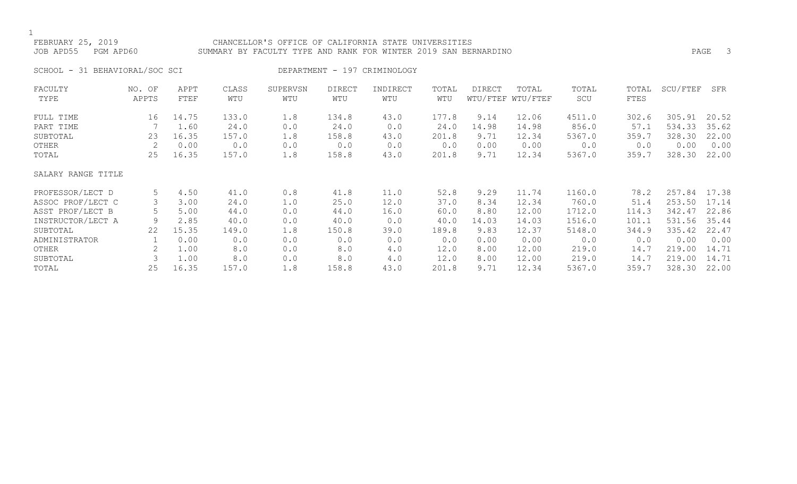### FEBRUARY 25, 2019 CHANCELLOR'S OFFICE OF CALIFORNIA STATE UNIVERSITIES JOB APD55 PGM APD60 SUMMARY BY FACULTY TYPE AND RANK FOR WINTER 2019 SAN BERNARDINO PAGE 3

SCHOOL - 31 BEHAVIORAL/SOC SCI DEPARTMENT - 197 CRIMINOLOGY

| FACULTY            | NO. OF | APPT  | CLASS | SUPERVSN | <b>DIRECT</b> | INDIRECT | TOTAL | DIRECT | TOTAL             | TOTAL  | TOTAL | SCU/FTEF | SFR   |
|--------------------|--------|-------|-------|----------|---------------|----------|-------|--------|-------------------|--------|-------|----------|-------|
| TYPE               | APPTS  | FTEF  | WTU   | WTU      | WTU           | WTU      | WTU   |        | WTU/FTEF WTU/FTEF | SCU    | FTES  |          |       |
| FULL TIME          | 16     | 14.75 | 133.0 | 1.8      | 134.8         | 43.0     | 177.8 | 9.14   | 12.06             | 4511.0 | 302.6 | 305.91   | 20.52 |
| PART TIME          |        | 1.60  | 24.0  | 0.0      | 24.0          | 0.0      | 24.0  | 14.98  | 14.98             | 856.0  | 57.1  | 534.33   | 35.62 |
| SUBTOTAL           | 23     | 16.35 | 157.0 | 1.8      | 158.8         | 43.0     | 201.8 | 9.71   | 12.34             | 5367.0 | 359.7 | 328.30   | 22.00 |
| OTHER              | 2      | 0.00  | 0.0   | 0.0      | 0.0           | 0.0      | 0.0   | 0.00   | 0.00              | 0.0    | 0.0   | 0.00     | 0.00  |
| TOTAL              | 25     | 16.35 | 157.0 | 1.8      | 158.8         | 43.0     | 201.8 | 9.71   | 12.34             | 5367.0 | 359.7 | 328.30   | 22.00 |
| SALARY RANGE TITLE |        |       |       |          |               |          |       |        |                   |        |       |          |       |
| PROFESSOR/LECT D   | 5      | 4.50  | 41.0  | 0.8      | 41.8          | 11.0     | 52.8  | 9.29   | 11.74             | 1160.0 | 78.2  | 257.84   | 17.38 |
| ASSOC PROF/LECT C  |        | 3.00  | 24.0  | 1.0      | 25.0          | 12.0     | 37.0  | 8.34   | 12.34             | 760.0  | 51.4  | 253.50   | 17.14 |
| ASST PROF/LECT B   | 5      | 5.00  | 44.0  | 0.0      | 44.0          | 16.0     | 60.0  | 8.80   | 12.00             | 1712.0 | 114.3 | 342.47   | 22.86 |
| INSTRUCTOR/LECT A  | 9      | 2.85  | 40.0  | 0.0      | 40.0          | 0.0      | 40.0  | 14.03  | 14.03             | 1516.0 | 101.1 | 531.56   | 35.44 |
| SUBTOTAL           | 22     | 15.35 | 149.0 | 1.8      | 150.8         | 39.0     | 189.8 | 9.83   | 12.37             | 5148.0 | 344.9 | 335.42   | 22.47 |
| ADMINISTRATOR      |        | 0.00  | 0.0   | 0.0      | 0.0           | 0.0      | 0.0   | 0.00   | 0.00              | 0.0    | 0.0   | 0.00     | 0.00  |
| OTHER              |        | 1.00  | 8.0   | 0.0      | 8.0           | 4.0      | 12.0  | 8.00   | 12.00             | 219.0  | 14.7  | 219.00   | 14.71 |
| SUBTOTAL           |        | 1.00  | 8.0   | 0.0      | 8.0           | 4.0      | 12.0  | 8.00   | 12.00             | 219.0  | 14.7  | 219.00   | 14.71 |
| TOTAL              | 25     | 16.35 | 157.0 | 1.8      | 158.8         | 43.0     | 201.8 | 9.71   | 12.34             | 5367.0 | 359.7 | 328.30   | 22.00 |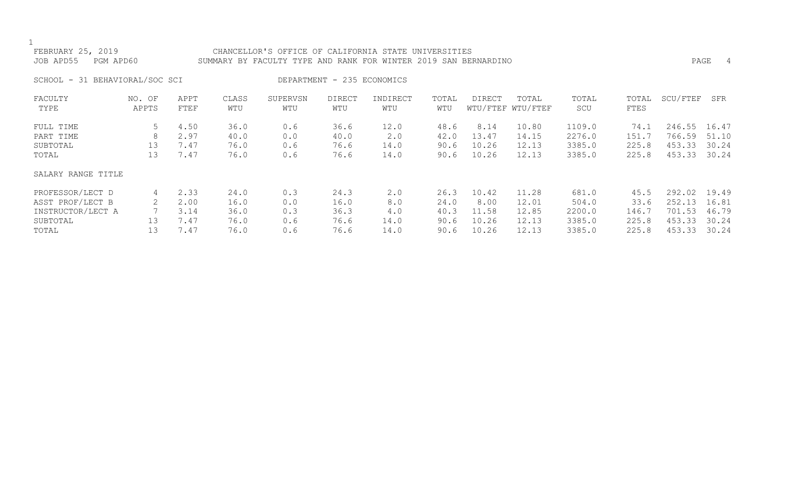| FEBRUARY 25, 2019<br>JOB APD55 | PGM APD60 |      |       | CHANCELLOR'S OFFICE OF CALIFORNIA STATE UNIVERSITIES<br>SUMMARY BY FACULTY TYPE AND RANK FOR WINTER 2019 SAN BERNARDINO |                            |          |       |        |                   |        |       |          | PAGE<br>-4 |
|--------------------------------|-----------|------|-------|-------------------------------------------------------------------------------------------------------------------------|----------------------------|----------|-------|--------|-------------------|--------|-------|----------|------------|
| SCHOOL - 31 BEHAVIORAL/SOC SCI |           |      |       |                                                                                                                         | DEPARTMENT - 235 ECONOMICS |          |       |        |                   |        |       |          |            |
| FACULTY                        | NO. OF    | APPT | CLASS | SUPERVSN                                                                                                                | DIRECT                     | INDIRECT | TOTAL | DIRECT | TOTAL             | TOTAL  | TOTAL | SCU/FTEF | SFR        |
| TYPE                           | APPTS     | FTEF | WTU   | WTU                                                                                                                     | WTU                        | WTU      | WTU   |        | WTU/FTEF WTU/FTEF | SCU    | FTES  |          |            |
| FULL TIME                      | 5         | 4.50 | 36.0  | 0.6                                                                                                                     | 36.6                       | 12.0     | 48.6  | 8.14   | 10.80             | 1109.0 | 74.1  | 246.55   | 16.47      |
| PART TIME                      |           | 2.97 | 40.0  | 0.0                                                                                                                     | 40.0                       | 2.0      | 42.0  | 13.47  | 14.15             | 2276.0 | 151.7 | 766.59   | 51.10      |
| SUBTOTAL                       | 13        | 7.47 | 76.0  | 0.6                                                                                                                     | 76.6                       | 14.0     | 90.6  | 10.26  | 12.13             | 3385.0 | 225.8 | 453.33   | 30.24      |
| TOTAL                          | 13        | 7.47 | 76.0  | 0.6                                                                                                                     | 76.6                       | 14.0     | 90.6  | 10.26  | 12.13             | 3385.0 | 225.8 | 453.33   | 30.24      |
| SALARY RANGE TITLE             |           |      |       |                                                                                                                         |                            |          |       |        |                   |        |       |          |            |
| PROFESSOR/LECT D               | 4         | 2.33 | 24.0  | 0.3                                                                                                                     | 24.3                       | 2.0      | 26.3  | 10.42  | 11.28             | 681.0  | 45.5  | 292.02   | 19.49      |
| ASST PROF/LECT B               | 2         | 2.00 | 16.0  | 0.0                                                                                                                     | 16.0                       | 8.0      | 24.0  | 8.00   | 12.01             | 504.0  | 33.6  | 252.13   | 16.81      |
| INSTRUCTOR/LECT A              |           | 3.14 | 36.0  | 0.3                                                                                                                     | 36.3                       | 4.0      | 40.3  | 11.58  | 12.85             | 2200.0 | 146.7 | 701.53   | 46.79      |
| SUBTOTAL                       | 13        | 7.47 | 76.0  | 0.6                                                                                                                     | 76.6                       | 14.0     | 90.6  | 10.26  | 12.13             | 3385.0 | 225.8 | 453.33   | 30.24      |
| TOTAL                          | 13        | 7.47 | 76.0  | 0.6                                                                                                                     | 76.6                       | 14.0     | 90.6  | 10.26  | 12.13             | 3385.0 | 225.8 | 453.33   | 30.24      |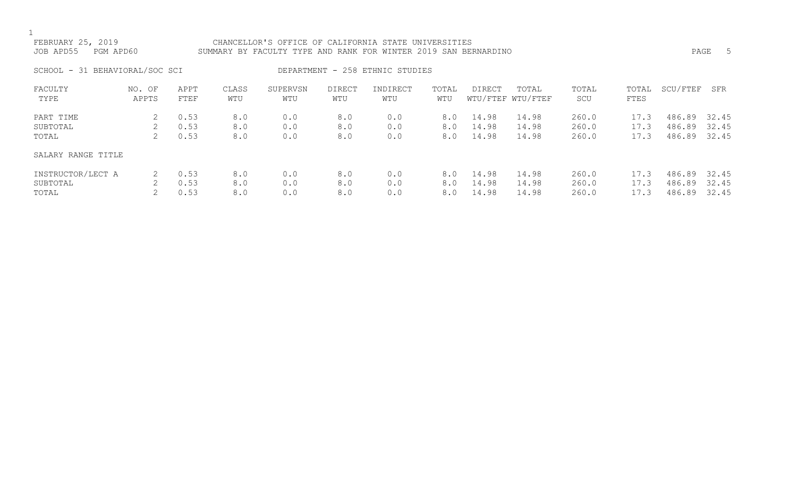# FEBRUARY 25, 2019 CHANCELLOR'S OFFICE OF CALIFORNIA STATE UNIVERSITIES JOB APD55 PGM APD60 SUMMARY BY FACULTY TYPE AND RANK FOR WINTER 2019 SAN BERNARDINO PAGE 5

SCHOOL - 31 BEHAVIORAL/SOC SCI DEPARTMENT - 258 ETHNIC STUDIES

| FACULTY            | NO. OF | APPT | CLASS | SUPERVSN | DIRECT | INDIRECT | TOTAL | <b>DIRECT</b> | TOTAL             | TOTAL | TOTAL | SCU/FTEF | SFR   |
|--------------------|--------|------|-------|----------|--------|----------|-------|---------------|-------------------|-------|-------|----------|-------|
| TYPE               | APPTS  | FTEF | WTU   | WTU      | WTU    | WTU      | WTU   |               | WTU/FTEF WTU/FTEF | SCU   | FTES  |          |       |
| PART TIME          |        | 0.53 | 8.0   | 0.0      | 8.0    | 0.0      | 8.0   | 14.98         | 14.98             | 260.0 | 17.3  | 486.89   | 32.45 |
| SUBTOTAL           |        | 0.53 | 8.0   | 0.0      | 8.0    | 0.0      | 8.0   | 14.98         | 14.98             | 260.0 | 17.3  | 486.89   | 32.45 |
| TOTAL              |        | 0.53 | 8.0   | 0.0      | 8.0    | 0.0      | 8.0   | 14.98         | 14.98             | 260.0 | 17.3  | 486.89   | 32.45 |
| SALARY RANGE TITLE |        |      |       |          |        |          |       |               |                   |       |       |          |       |
| INSTRUCTOR/LECT A  |        | 0.53 | 8.0   | 0.0      | 8.0    | 0.0      | 8.0   | 14.98         | 14.98             | 260.0 | 17.3  | 486.89   | 32.45 |
| SUBTOTAL           |        | 0.53 | 8.0   | 0.0      | 8.0    | 0.0      | 8.0   | 14.98         | 14.98             | 260.0 | 17.3  | 486.89   | 32.45 |
| TOTAL              |        | 0.53 | 8.0   | 0.0      | 8.0    | 0.0      | 8.0   | 14.98         | 14.98             | 260.0 | 17.3  | 486.89   | 32.45 |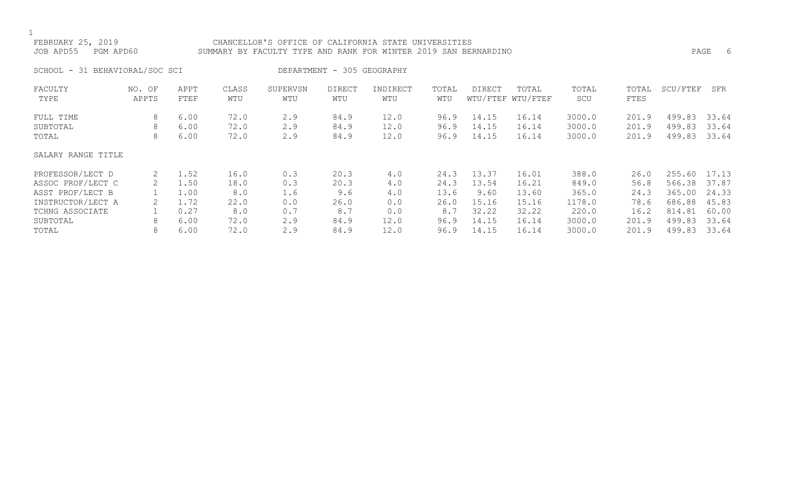### FEBRUARY 25, 2019 CHANCELLOR'S OFFICE OF CALIFORNIA STATE UNIVERSITIES JOB APD55 PGM APD60 SUMMARY BY FACULTY TYPE AND RANK FOR WINTER 2019 SAN BERNARDINO PAGE 6

SCHOOL - 31 BEHAVIORAL/SOC SCI DEPARTMENT - 305 GEOGRAPHY

| FACULTY            | NO. OF | APPT | CLASS | SUPERVSN | <b>DIRECT</b> | INDIRECT | TOTAL | DIRECT | TOTAL             | TOTAL  | TOTAL | SCU/FTEF | SFR   |
|--------------------|--------|------|-------|----------|---------------|----------|-------|--------|-------------------|--------|-------|----------|-------|
| TYPE               | APPTS  | FTEF | WTU   | WTU      | WTU           | WTU      | WTU   |        | WTU/FTEF WTU/FTEF | SCU    | FTES  |          |       |
| FULL TIME          | 8      | 6.00 | 72.0  | 2.9      | 84.9          | 12.0     | 96.9  | 14.15  | 16.14             | 3000.0 | 201.9 | 499.83   | 33.64 |
| SUBTOTAL           | 8      | 6.00 | 72.0  | 2.9      | 84.9          | 12.0     | 96.9  | 14.15  | 16.14             | 3000.0 | 201.9 | 499.83   | 33.64 |
| TOTAL              | 8      | 6.00 | 72.0  | 2.9      | 84.9          | 12.0     | 96.9  | 14.15  | 16.14             | 3000.0 | 201.9 | 499.83   | 33.64 |
| SALARY RANGE TITLE |        |      |       |          |               |          |       |        |                   |        |       |          |       |
| PROFESSOR/LECT D   | 2      | 1.52 | 16.0  | 0.3      | 20.3          | 4.0      | 24.3  | 13.37  | 16.01             | 388.0  | 26.0  | 255.60   | 17.13 |
| ASSOC PROF/LECT C  | 2      | 1.50 | 18.0  | 0.3      | 20.3          | 4.0      | 24.3  | 13.54  | 16.21             | 849.0  | 56.8  | 566.38   | 37.87 |
| ASST PROF/LECT B   |        | 1.00 | 8.0   | 1.6      | 9.6           | 4.0      | 13.6  | 9.60   | 13.60             | 365.0  | 24.3  | 365.00   | 24.33 |
| INSTRUCTOR/LECT A  |        | 72   | 22.0  | 0.0      | 26.0          | 0.0      | 26.0  | 15.16  | 15.16             | 1178.0 | 78.6  | 686.88   | 45.83 |
| TCHNG ASSOCIATE    |        | 0.27 | 8.0   | 0.7      | 8.7           | 0.0      | 8.7   | 32.22  | 32.22             | 220.0  | 16.2  | 814.81   | 60.00 |
| SUBTOTAL           | 8      | 6.00 | 72.0  | 2.9      | 84.9          | 12.0     | 96.9  | 14.15  | 16.14             | 3000.0 | 201.9 | 499.83   | 33.64 |
| TOTAL              | 8      | 6.00 | 72.0  | 2.9      | 84.9          | 12.0     | 96.9  | 14.15  | 16.14             | 3000.0 | 201.9 | 499.83   | 33.64 |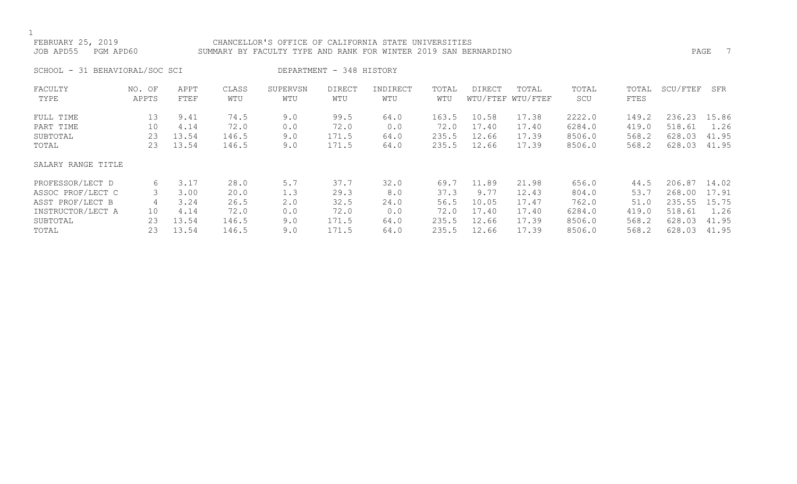### FEBRUARY 25, 2019 CHANCELLOR'S OFFICE OF CALIFORNIA STATE UNIVERSITIES JOB APD55 PGM APD60 SUMMARY BY FACULTY TYPE AND RANK FOR WINTER 2019 SAN BERNARDINO

SCHOOL - 31 BEHAVIORAL/SOC SCI DEPARTMENT - 348 HISTORY

| FACULTY            | NO. OF | APPT  | CLASS | SUPERVSN | <b>DIRECT</b> | INDIRECT | TOTAL | DIRECT | TOTAL             | TOTAL  | TOTAL | SCU/FTEF | SFR   |
|--------------------|--------|-------|-------|----------|---------------|----------|-------|--------|-------------------|--------|-------|----------|-------|
| TYPE               | APPTS  | FTEF  | WTU   | WTU      | WTU           | WTU      | WTU   |        | WTU/FTEF WTU/FTEF | SCU    | FTES  |          |       |
| FULL TIME          | 13     | 9.41  | 74.5  | 9.0      | 99.5          | 64.0     | 163.5 | 10.58  | 17.38             | 2222.0 | 149.2 | 236.23   | 15.86 |
| PART TIME          | 10     | 4.14  | 72.0  | 0.0      | 72.0          | 0.0      | 72.0  | 17.40  | 17.40             | 6284.0 | 419.0 | 518.61   | 1.26  |
| SUBTOTAL           | 23     | 13.54 | 146.5 | 9.0      | 171.5         | 64.0     | 235.5 | 12.66  | 17.39             | 8506.0 | 568.2 | 628.03   | 41.95 |
| TOTAL              | 23     | 13.54 | 146.5 | 9.0      | 171.5         | 64.0     | 235.5 | 12.66  | 17.39             | 8506.0 | 568.2 | 628.03   | 41.95 |
| SALARY RANGE TITLE |        |       |       |          |               |          |       |        |                   |        |       |          |       |
| PROFESSOR/LECT D   | 6      | 3.17  | 28.0  | 5.7      | 37.7          | 32.0     | 69.7  | 11.89  | 21.98             | 656.0  | 44.5  | 206.87   | 14.02 |
| ASSOC PROF/LECT C  |        | 3.00  | 20.0  | 1.3      | 29.3          | 8.0      | 37.3  | 9.77   | 12.43             | 804.0  | 53.7  | 268.00   | 17.91 |
| ASST PROF/LECT B   | 4      | 3.24  | 26.5  | 2.0      | 32.5          | 24.0     | 56.5  | 10.05  | 17.47             | 762.0  | 51.0  | 235.55   | 15.75 |
| INSTRUCTOR/LECT A  | 10     | 4.14  | 72.0  | 0.0      | 72.0          | 0.0      | 72.0  | 17.40  | 17.40             | 6284.0 | 419.0 | 518.61   | 1.26  |
| SUBTOTAL           | 23     | 13.54 | 146.5 | 9.0      | 171.5         | 64.0     | 235.5 | 12.66  | 17.39             | 8506.0 | 568.2 | 628.03   | 41.95 |
| TOTAL              | 23     | 13.54 | 146.5 | 9.0      | 171.5         | 64.0     | 235.5 | 12.66  | 17.39             | 8506.0 | 568.2 | 628.03   | 41.95 |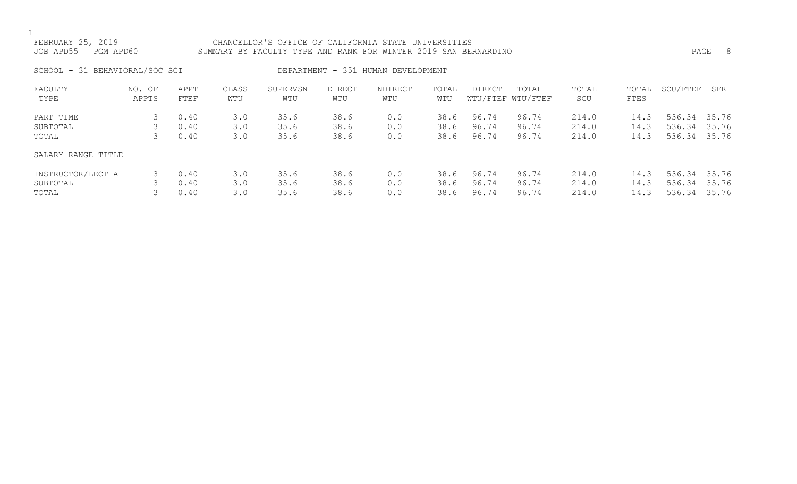# FEBRUARY 25, 2019 CHANCELLOR'S OFFICE OF CALIFORNIA STATE UNIVERSITIES JOB APD55 PGM APD60 SUMMARY BY FACULTY TYPE AND RANK FOR WINTER 2019 SAN BERNARDINO PAGE 8 SCHOOL - 31 BEHAVIORAL/SOC SCI DEPARTMENT - 351 HUMAN DEVELOPMENT FACULTY NO. OF APPT CLASS SUPERVSN DIRECT INDIRECT TOTAL DIRECT TOTAL TOTAL TOTAL SCU/FTEF SFR TYPE APPTS FTEF WTU WTU WTU WTU WTU WTU/FTEF WTU/FTEF SCU FTES

| PART TIME          | 0.40 | 3.0 | 35.6 | 38.6 | 0.0 | 38.6 | 96.74 | 96.74 | 214.0 | 14.3 | 536.34 35.76 |  |
|--------------------|------|-----|------|------|-----|------|-------|-------|-------|------|--------------|--|
| SUBTOTAL           | 0.40 | 3.0 | 35.6 | 38.6 | 0.0 | 38.6 | 96.74 | 96.74 | 214.0 | 14.3 | 536.34 35.76 |  |
| TOTAL              | 0.40 | 3.0 | 35.6 | 38.6 | 0.0 | 38.6 | 96.74 | 96.74 | 214.0 | 14.3 | 536.34 35.76 |  |
| SALARY RANGE TITLE |      |     |      |      |     |      |       |       |       |      |              |  |
| INSTRUCTOR/LECT A  | 0.40 | 3.0 | 35.6 | 38.6 | 0.0 | 38.6 | 96.74 | 96.74 | 214.0 | 14.3 | 536.34 35.76 |  |
| SUBTOTAL           | 0.40 | 3.0 | 35.6 | 38.6 | 0.0 | 38.6 | 96.74 | 96.74 | 214.0 | 14.3 | 536.34 35.76 |  |
| TOTAL              | 0.40 | 3.0 | 35.6 | 38.6 | 0.0 | 38.6 | 96.74 | 96.74 | 214.0 | 14.3 | 536.34 35.76 |  |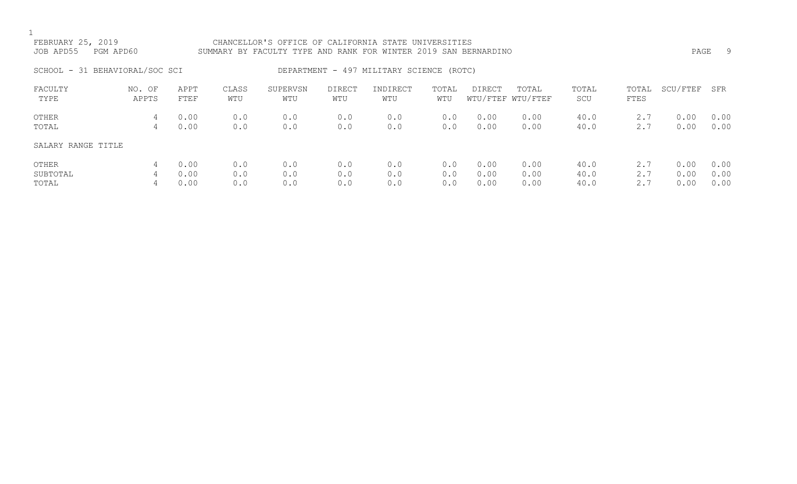| FEBRUARY 25, 2019<br>JOB APD55 | PGM APD60       |              |              | CHANCELLOR'S OFFICE OF CALIFORNIA STATE UNIVERSITIES<br>SUMMARY BY FACULTY TYPE AND RANK FOR WINTER 2019 SAN BERNARDINO |               |                                          |              |              |                            |              |               | PAGE         | 9            |
|--------------------------------|-----------------|--------------|--------------|-------------------------------------------------------------------------------------------------------------------------|---------------|------------------------------------------|--------------|--------------|----------------------------|--------------|---------------|--------------|--------------|
| SCHOOL - 31 BEHAVIORAL/SOC SCI |                 |              |              |                                                                                                                         |               | DEPARTMENT - 497 MILITARY SCIENCE (ROTC) |              |              |                            |              |               |              |              |
| FACULTY<br>TYPE                | NO. OF<br>APPTS | APPT<br>FTEF | CLASS<br>WTU | SUPERVSN<br>WTU                                                                                                         | DIRECT<br>WTU | INDIRECT<br>WTU                          | TOTAL<br>WTU | DIRECT       | TOTAL<br>WTU/FTEF WTU/FTEF | TOTAL<br>SCU | TOTAL<br>FTES | SCU/FTEF     | SFR          |
| OTHER<br>TOTAL                 | 4<br>4          | 0.00<br>0.00 | 0.0<br>0.0   | 0.0<br>0.0                                                                                                              | 0.0<br>0.0    | 0.0<br>0.0                               | 0.0<br>0.0   | 0.00<br>0.00 | 0.00<br>0.00               | 40.0<br>40.0 | 2.7<br>2.7    | 0.00<br>0.00 | 0.00<br>0.00 |
| SALARY RANGE TITLE             |                 |              |              |                                                                                                                         |               |                                          |              |              |                            |              |               |              |              |
| OTHER<br>SUBTOTAL              | 4<br>4          | 0.00<br>0.00 | 0.0<br>0.0   | 0.0<br>0.0                                                                                                              | 0.0<br>0.0    | 0.0<br>0.0                               | 0.0<br>0.0   | 0.00<br>0.00 | 0.00<br>0.00               | 40.0<br>40.0 | 2.7<br>2.7    | 0.00<br>0.00 | 0.00<br>0.00 |

TOTAL 4 0.00 0.0 0.0 0.0 0.0 0.0 0.00 0.00 40.0 2.7 0.00 0.00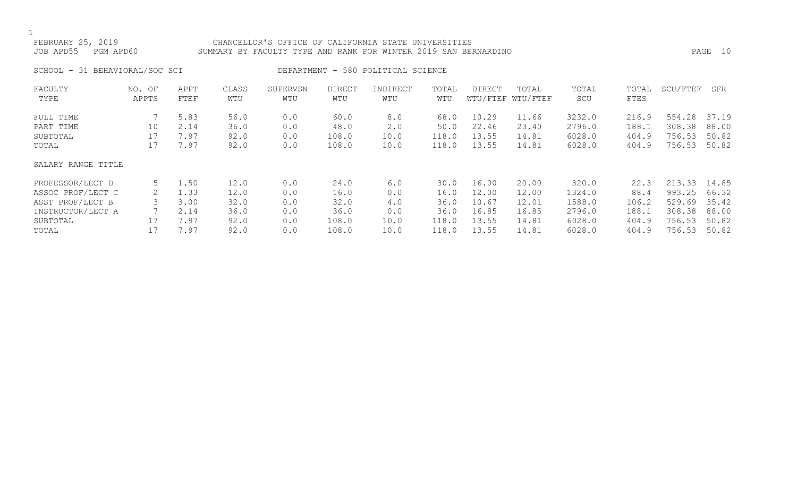### FEBRUARY 25, 2019 CHANCELLOR'S OFFICE OF CALIFORNIA STATE UNIVERSITIES JOB APD55 PGM APD60 SUMMARY BY FACULTY TYPE AND RANK FOR WINTER 2019 SAN BERNARDINO PAGE 10

SCHOOL - 31 BEHAVIORAL/SOC SCI DEPARTMENT - 580 POLITICAL SCIENCE

| FACULTY            | NO. OF | APPT | CLASS | SUPERVSN | <b>DIRECT</b> | INDIRECT | TOTAL | DIRECT | TOTAL             | TOTAL  | TOTAL | SCU/FTEF | SFR   |
|--------------------|--------|------|-------|----------|---------------|----------|-------|--------|-------------------|--------|-------|----------|-------|
| TYPE               | APPTS  | FTEF | WTU   | WTU      | WTU           | WTU      | WTU   |        | WTU/FTEF WTU/FTEF | SCU    | FTES  |          |       |
| FULL TIME          |        | 5.83 | 56.0  | 0.0      | 60.0          | 8.0      | 68.0  | 10.29  | 11.66             | 3232.0 | 216.9 | 554.28   | 37.19 |
| PART TIME          | 10     | 2.14 | 36.0  | 0.0      | 48.0          | 2.0      | 50.0  | 22.46  | 23.40             | 2796.0 | 188.1 | 308.38   | 88.00 |
| SUBTOTAL           | 17     | 7.97 | 92.0  | 0.0      | 108.0         | 10.0     | 118.0 | 13.55  | 14.81             | 6028.0 | 404.9 | 756.53   | 50.82 |
| TOTAL              | 17     | 7.97 | 92.0  | 0.0      | 108.0         | 10.0     | 118.0 | 13.55  | 14.81             | 6028.0 | 404.9 | 756.53   | 50.82 |
| SALARY RANGE TITLE |        |      |       |          |               |          |       |        |                   |        |       |          |       |
| PROFESSOR/LECT D   | 5      | 1.50 | 12.0  | 0.0      | 24.0          | 6.0      | 30.0  | 16.00  | 20.00             | 320.0  | 22.3  | 213.33   | 14.85 |
| ASSOC PROF/LECT C  | 2      | 1.33 | 12.0  | 0.0      | 16.0          | 0.0      | 16.0  | 12.00  | 12.00             | 1324.0 | 88.4  | 993.25   | 66.32 |
| ASST PROF/LECT B   |        | 3.00 | 32.0  | 0.0      | 32.0          | 4.0      | 36.0  | 10.67  | 12.01             | 1588.0 | 106.2 | 529.69   | 35.42 |
| INSTRUCTOR/LECT A  |        | 2.14 | 36.0  | 0.0      | 36.0          | 0.0      | 36.0  | 16.85  | 16.85             | 2796.0 | 188.1 | 308.38   | 88.00 |
| SUBTOTAL           |        | 7.97 | 92.0  | 0.0      | 108.0         | 10.0     | 118.0 | 13.55  | 14.81             | 6028.0 | 404.9 | 756.53   | 50.82 |
| TOTAL              |        | 7.97 | 92.0  | 0.0      | 108.0         | 10.0     | 118.0 | 13.55  | 14.81             | 6028.0 | 404.9 | 756.53   | 50.82 |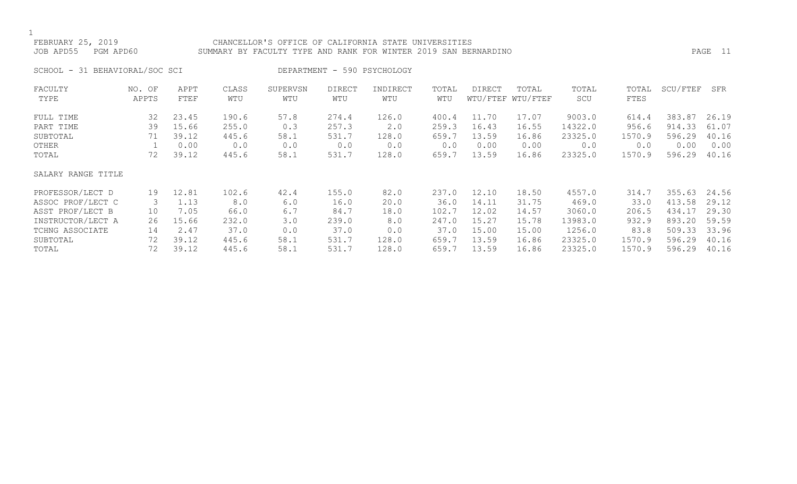### FEBRUARY 25, 2019 CHANCELLOR'S OFFICE OF CALIFORNIA STATE UNIVERSITIES JOB APD55 PGM APD60 SUMMARY BY FACULTY TYPE AND RANK FOR WINTER 2019 SAN BERNARDINO PAGE 11

SCHOOL - 31 BEHAVIORAL/SOC SCI DEPARTMENT - 590 PSYCHOLOGY

| FACULTY            | NO. OF | APPT  | CLASS | SUPERVSN | <b>DIRECT</b> | INDIRECT | TOTAL | <b>DIRECT</b> | TOTAL             | TOTAL   | TOTAL  | SCU/FTEF | SFR   |
|--------------------|--------|-------|-------|----------|---------------|----------|-------|---------------|-------------------|---------|--------|----------|-------|
| TYPE               | APPTS  | FTEF  | WTU   | WTU      | WTU           | WTU      | WTU   |               | WTU/FTEF WTU/FTEF | SCU     | FTES   |          |       |
| FULL TIME          | 32     | 23.45 | 190.6 | 57.8     | 274.4         | 126.0    | 400.4 | 11.70         | 17.07             | 9003.0  | 614.4  | 383.87   | 26.19 |
| PART TIME          | 39     | 15.66 | 255.0 | 0.3      | 257.3         | 2.0      | 259.3 | 16.43         | 16.55             | 14322.0 | 956.6  | 914.33   | 61.07 |
| SUBTOTAL           | 71     | 39.12 | 445.6 | 58.1     | 531.7         | 128.0    | 659.7 | 13.59         | 16.86             | 23325.0 | 1570.9 | 596.29   | 40.16 |
| OTHER              |        | 0.00  | 0.0   | 0.0      | 0.0           | 0.0      | 0.0   | 0.00          | 0.00              | 0.0     | 0.0    | 0.00     | 0.00  |
| TOTAL              | 72     | 39.12 | 445.6 | 58.1     | 531.7         | 128.0    | 659.7 | 13.59         | 16.86             | 23325.0 | 1570.9 | 596.29   | 40.16 |
| SALARY RANGE TITLE |        |       |       |          |               |          |       |               |                   |         |        |          |       |
| PROFESSOR/LECT D   | 19     | 12.81 | 102.6 | 42.4     | 155.0         | 82.0     | 237.0 | 12.10         | 18.50             | 4557.0  | 314.7  | 355.63   | 24.56 |
| ASSOC PROF/LECT C  | 3      | 1.13  | 8.0   | 6.0      | 16.0          | 20.0     | 36.0  | 14.11         | 31.75             | 469.0   | 33.0   | 413.58   | 29.12 |
| ASST PROF/LECT B   | 10     | 7.05  | 66.0  | 6.7      | 84.7          | 18.0     | 102.7 | 12.02         | 14.57             | 3060.0  | 206.5  | 434.17   | 29.30 |
| INSTRUCTOR/LECT A  | 26     | 15.66 | 232.0 | 3.0      | 239.0         | 8.0      | 247.0 | 15.27         | 15.78             | 13983.0 | 932.9  | 893.20   | 59.59 |
| TCHNG ASSOCIATE    | 14     | 2.47  | 37.0  | 0.0      | 37.0          | 0.0      | 37.0  | 15.00         | 15.00             | 1256.0  | 83.8   | 509.33   | 33.96 |
| SUBTOTAL           | 72     | 39.12 | 445.6 | 58.1     | 531.7         | 128.0    | 659.7 | 13.59         | 16.86             | 23325.0 | 1570.9 | 596.29   | 40.16 |
| TOTAL              | 72     | 39.12 | 445.6 | 58.1     | 531.7         | 128.0    | 659.7 | 13.59         | 16.86             | 23325.0 | 1570.9 | 596.29   | 40.16 |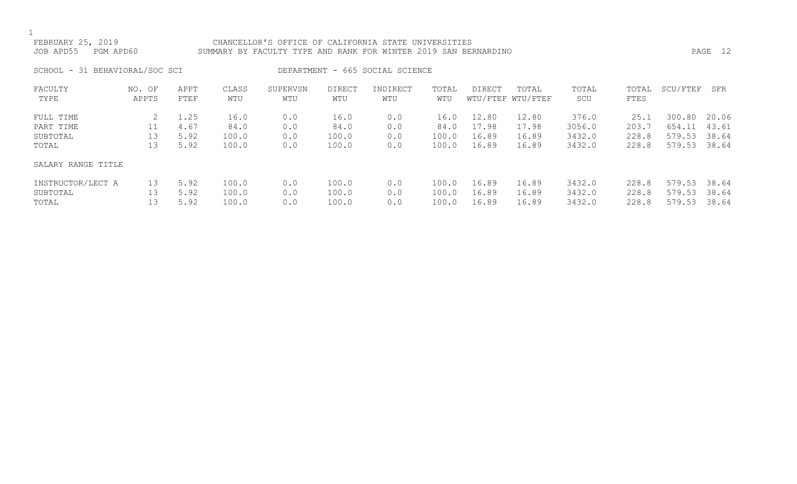### FEBRUARY 25, 2019 CHANCELLOR'S OFFICE OF CALIFORNIA STATE UNIVERSITIES JOB APD55 PGM APD60 SUMMARY BY FACULTY TYPE AND RANK FOR WINTER 2019 SAN BERNARDINO PAGE 12

SCHOOL - 31 BEHAVIORAL/SOC SCI DEPARTMENT - 665 SOCIAL SCIENCE

| FACULTY<br>TYPE                             | NO. OF<br>APPTS | APPT<br>FTEF                 | CLASS<br>WTU                   | SUPERVSN<br>WTU          | <b>DIRECT</b><br>WTU           | INDIRECT<br>WTU          | TOTAL<br>WTU                   | DIRECT                           | TOTAL<br>WTU/FTEF WTU/FTEF       | TOTAL<br>SCU                        | TOTAL<br>FTES                   | SCU/FTEF                             | SFR                              |
|---------------------------------------------|-----------------|------------------------------|--------------------------------|--------------------------|--------------------------------|--------------------------|--------------------------------|----------------------------------|----------------------------------|-------------------------------------|---------------------------------|--------------------------------------|----------------------------------|
| FULL TIME<br>PART TIME<br>SUBTOTAL<br>TOTAL | 13<br>13        | 1.25<br>4.67<br>5.92<br>5.92 | 16.0<br>84.0<br>100.0<br>100.0 | 0.0<br>0.0<br>0.0<br>0.0 | 16.0<br>84.0<br>100.0<br>100.0 | 0.0<br>0.0<br>0.0<br>0.0 | 16.0<br>84.0<br>100.0<br>100.0 | 12.80<br>17.98<br>16.89<br>16.89 | 12.80<br>17.98<br>16.89<br>16.89 | 376.0<br>3056.0<br>3432.0<br>3432.0 | 25.1<br>203.7<br>228.8<br>228.8 | 300.80<br>654.11<br>579.53<br>579.53 | 20.06<br>43.61<br>38.64<br>38.64 |
| SALARY RANGE TITLE                          |                 |                              |                                |                          |                                |                          |                                |                                  |                                  |                                     |                                 |                                      |                                  |
| INSTRUCTOR/LECT A<br>SUBTOTAL<br>TOTAL      | 13<br>13<br>13  | 5.92<br>5.92<br>5.92         | 100.0<br>100.0<br>100.0        | 0.0<br>0.0<br>0.0        | 100.0<br>100.0<br>100.0        | 0.0<br>0.0<br>0.0        | 100.0<br>100.0<br>100.0        | 16.89<br>16.89<br>16.89          | 16.89<br>16.89<br>16.89          | 3432.0<br>3432.0<br>3432.0          | 228.8<br>228.8<br>228.8         | 579.53<br>579.53<br>579.53           | 38.64<br>38.64<br>38.64          |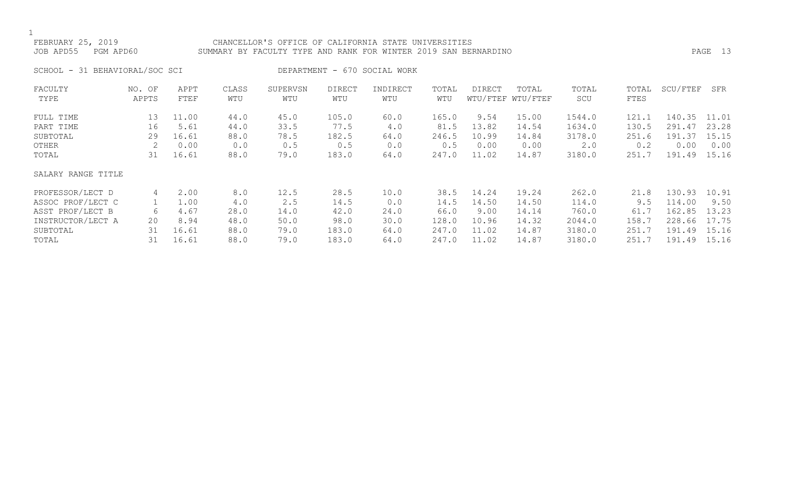### FEBRUARY 25, 2019 CHANCELLOR'S OFFICE OF CALIFORNIA STATE UNIVERSITIES JOB APD55 PGM APD60 SUMMARY BY FACULTY TYPE AND RANK FOR WINTER 2019 SAN BERNARDINO PAGE 13

SCHOOL - 31 BEHAVIORAL/SOC SCI DEPARTMENT - 670 SOCIAL WORK

| FACULTY            | NO. OF | APPT  | CLASS | SUPERVSN | <b>DIRECT</b> | INDIRECT | TOTAL | <b>DIRECT</b> | TOTAL             | TOTAL  | TOTAL | SCU/FTEF | SFR   |
|--------------------|--------|-------|-------|----------|---------------|----------|-------|---------------|-------------------|--------|-------|----------|-------|
| TYPE               | APPTS  | FTEF  | WTU   | WTU      | WTU           | WTU      | WTU   |               | WTU/FTEF WTU/FTEF | SCU    | FTES  |          |       |
| FULL TIME          | 13     | 11.00 | 44.0  | 45.0     | 105.0         | 60.0     | 165.0 | 9.54          | 15.00             | 1544.0 | 121.1 | 140.35   | 11.01 |
| PART TIME          | 16     | 5.61  | 44.0  | 33.5     | 77.5          | 4.0      | 81.5  | 13.82         | 14.54             | 1634.0 | 130.5 | 291.47   | 23.28 |
| SUBTOTAL           | 29     | 16.61 | 88.0  | 78.5     | 182.5         | 64.0     | 246.5 | 10.99         | 14.84             | 3178.0 | 251.6 | 191.37   | 15.15 |
| OTHER              | 2      | 0.00  | 0.0   | 0.5      | 0.5           | 0.0      | 0.5   | 0.00          | 0.00              | 2.0    | 0.2   | 0.00     | 0.00  |
| TOTAL              | 31     | 16.61 | 88.0  | 79.0     | 183.0         | 64.0     | 247.0 | 11.02         | 14.87             | 3180.0 | 251.7 | 191.49   | 15.16 |
| SALARY RANGE TITLE |        |       |       |          |               |          |       |               |                   |        |       |          |       |
| PROFESSOR/LECT D   | 4      | 2.00  | 8.0   | 12.5     | 28.5          | 10.0     | 38.5  | 14.24         | 19.24             | 262.0  | 21.8  | 130.93   | 10.91 |
| ASSOC PROF/LECT C  |        | 1.00  | 4.0   | 2.5      | 14.5          | 0.0      | 14.5  | 14.50         | 14.50             | 114.0  | 9.5   | 114.00   | 9.50  |
| ASST PROF/LECT B   | 6      | 4.67  | 28.0  | 14.0     | 42.0          | 24.0     | 66.0  | 9.00          | 14.14             | 760.0  | 61.7  | 162.85   | 13.23 |
| INSTRUCTOR/LECT A  | 20     | 8.94  | 48.0  | 50.0     | 98.0          | 30.0     | 128.0 | 10.96         | 14.32             | 2044.0 | 158.7 | 228.66   | 17.75 |
| SUBTOTAL           | 31     | 16.61 | 88.0  | 79.0     | 183.0         | 64.0     | 247.0 | 11.02         | 14.87             | 3180.0 | 251.7 | 191.49   | 15.16 |
| TOTAL              | 31     | 16.61 | 88.0  | 79.0     | 183.0         | 64.0     | 247.0 | 11.02         | 14.87             | 3180.0 | 251.7 | 191.49   | 15.16 |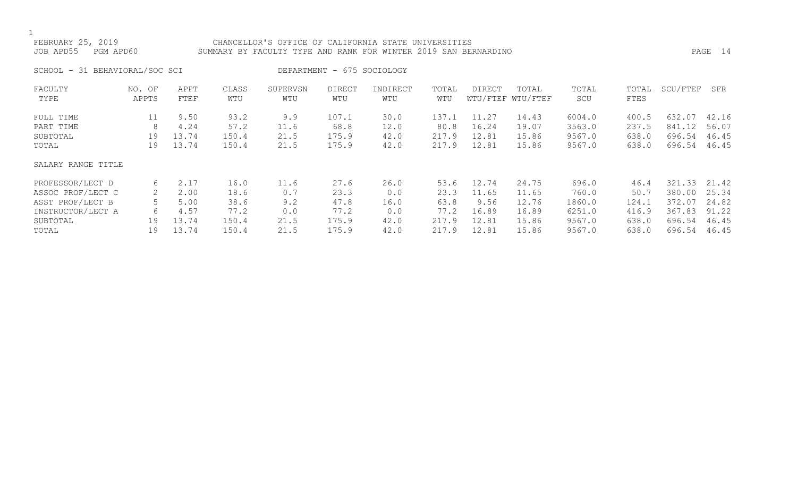### FEBRUARY 25, 2019 CHANCELLOR'S OFFICE OF CALIFORNIA STATE UNIVERSITIES JOB APD55 PGM APD60 SUMMARY BY FACULTY TYPE AND RANK FOR WINTER 2019 SAN BERNARDINO PAGE 14

SCHOOL - 31 BEHAVIORAL/SOC SCI DEPARTMENT - 675 SOCIOLOGY

| FACULTY<br>TYPE                    | NO. OF<br>APPTS | APPT<br><b>FTEF</b>   | CLASS<br>WTU          | SUPERVSN<br>WTU     | DIRECT<br>WTU          | INDIRECT<br>WTU      | TOTAL<br>WTU           | DIRECT                  | TOTAL<br>WTU/FTEF WTU/FTEF | TOTAL<br>SCU               | TOTAL<br>FTES           | SCU/FTEF                   | SFR                     |
|------------------------------------|-----------------|-----------------------|-----------------------|---------------------|------------------------|----------------------|------------------------|-------------------------|----------------------------|----------------------------|-------------------------|----------------------------|-------------------------|
| FULL TIME<br>PART TIME<br>SUBTOTAL | 11<br>8<br>19   | 9.50<br>4.24<br>13.74 | 93.2<br>57.2<br>150.4 | 9.9<br>11.6<br>21.5 | 107.1<br>68.8<br>175.9 | 30.0<br>12.0<br>42.0 | 137.1<br>80.8<br>217.9 | 11.27<br>16.24<br>12.81 | 14.43<br>19.07<br>15.86    | 6004.0<br>3563.0<br>9567.0 | 400.5<br>237.5<br>638.0 | 632.07<br>841.12<br>696.54 | 42.16<br>56.07<br>46.45 |
| TOTAL                              | 19              | 13.74                 | 150.4                 | 21.5                | 175.9                  | 42.0                 | 217.9                  | 12.81                   | 15.86                      | 9567.0                     | 638.0                   | 696.54                     | 46.45                   |
| SALARY RANGE TITLE                 |                 |                       |                       |                     |                        |                      |                        |                         |                            |                            |                         |                            |                         |
| PROFESSOR/LECT D                   | 6               | 2.17                  | 16.0                  | 11.6                | 27.6                   | 26.0                 | 53.6                   | 12.74                   | 24.75                      | 696.0                      | 46.4                    | 321.33                     | 21.42                   |
| ASSOC PROF/LECT C                  | 2               | 2.00                  | 18.6                  | 0.7                 | 23.3                   | 0.0                  | 23.3                   | 11.65                   | 11.65                      | 760.0                      | 50.7                    | 380.00                     | 25.34                   |
| ASST PROF/LECT B                   |                 | 5.00                  | 38.6                  | 9.2                 | 47.8                   | 16.0                 | 63.8                   | 9.56                    | 12.76                      | 1860.0                     | 124.1                   | 372.07                     | 24.82                   |
| INSTRUCTOR/LECT A                  | 6               | 4.57                  | 77.2                  | 0.0                 | 77.2                   | 0.0                  | 77.2                   | 16.89                   | 16.89                      | 6251.0                     | 416.9                   | 367.83                     | 91.22                   |
| SUBTOTAL                           | 19              | 13.74                 | 150.4                 | 21.5                | 175.9                  | 42.0                 | 217.9                  | 12.81                   | 15.86                      | 9567.0                     | 638.0                   | 696.54                     | 46.45                   |
| TOTAL                              | 19              | 13.74                 | 150.4                 | 21.5                | 175.9                  | 42.0                 | 217.9                  | 12.81                   | 15.86                      | 9567.0                     | 638.0                   | 696.54                     | 46.45                   |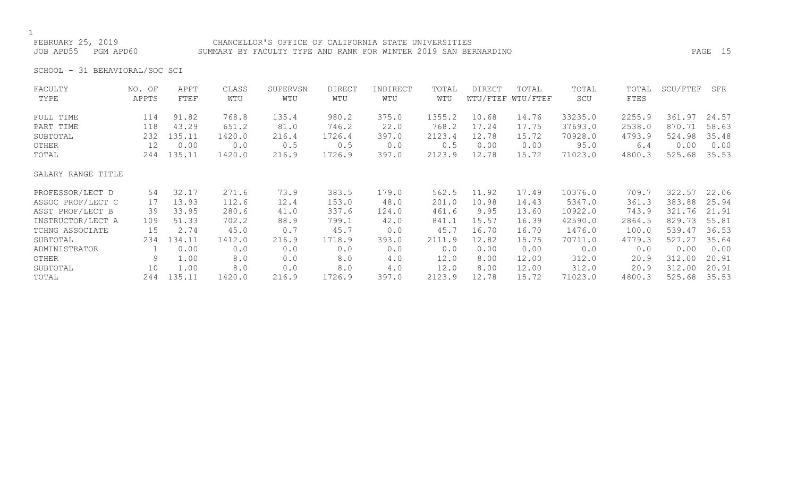### FEBRUARY 25, 2019 CHANCELLOR'S OFFICE OF CALIFORNIA STATE UNIVERSITIES JOB APD55 PGM APD60 SUMMARY BY FACULTY TYPE AND RANK FOR WINTER 2019 SAN BERNARDINO PAGE 15

SCHOOL - 31 BEHAVIORAL/SOC SCI

| FACULTY            | NO. OF | APPT   | CLASS  | SUPERVSN | <b>DIRECT</b> | INDIRECT | TOTAL  | <b>DIRECT</b> | TOTAL             | TOTAL   | TOTAL  | SCU/FTEF | SFR   |
|--------------------|--------|--------|--------|----------|---------------|----------|--------|---------------|-------------------|---------|--------|----------|-------|
| TYPE               | APPTS  | FTEF   | WTU    | WTU      | WTU           | WTU      | WTU    |               | WTU/FTEF WTU/FTEF | SCU     | FTES   |          |       |
| FULL TIME          | 114    | 91.82  | 768.8  | 135.4    | 980.2         | 375.0    | 1355.2 | 10.68         | 14.76             | 33235.0 | 2255.9 | 361.97   | 24.57 |
| PART TIME          | 118    | 43.29  | 651.2  | 81.0     | 746.2         | 22.0     | 768.2  | 17.24         | 17.75             | 37693.0 | 2538.0 | 870.71   | 58.63 |
| SUBTOTAL           | 232    | 135.11 | 1420.0 | 216.4    | 1726.4        | 397.0    | 2123.4 | 12.78         | 15.72             | 70928.0 | 4793.9 | 524.98   | 35.48 |
| OTHER              | 12     | 0.00   | 0.0    | 0.5      | 0.5           | 0.0      | 0.5    | 0.00          | 0.00              | 95.0    | 6.4    | 0.00     | 0.00  |
| TOTAL              | 244    | 135.11 | 1420.0 | 216.9    | 1726.9        | 397.0    | 2123.9 | 12.78         | 15.72             | 71023.0 | 4800.3 | 525.68   | 35.53 |
| SALARY RANGE TITLE |        |        |        |          |               |          |        |               |                   |         |        |          |       |
| PROFESSOR/LECT D   | 54     | 32.17  | 271.6  | 73.9     | 383.5         | 179.0    | 562.5  | 11.92         | 17.49             | 10376.0 | 709.7  | 322.57   | 22.06 |
| ASSOC PROF/LECT C  | 17     | 13.93  | 112.6  | 12.4     | 153.0         | 48.0     | 201.0  | 10.98         | 14.43             | 5347.0  | 361.3  | 383.88   | 25.94 |
| ASST PROF/LECT B   | 39     | 33.95  | 280.6  | 41.0     | 337.6         | 124.0    | 461.6  | 9.95          | 13.60             | 10922.0 | 743.9  | 321.76   | 21.91 |
| INSTRUCTOR/LECT A  | 109    | 51.33  | 702.2  | 88.9     | 799.1         | 42.0     | 841.1  | 15.57         | 16.39             | 42590.0 | 2864.5 | 829.73   | 55.81 |
| TCHNG ASSOCIATE    | 15     | 2.74   | 45.0   | 0.7      | 45.7          | 0.0      | 45.7   | 16.70         | 16.70             | 1476.0  | 100.0  | 539.47   | 36.53 |
| SUBTOTAL           | 234    | 134.11 | 1412.0 | 216.9    | 1718.9        | 393.0    | 2111.9 | 12.82         | 15.75             | 70711.0 | 4779.3 | 527.27   | 35.64 |
| ADMINISTRATOR      |        | 0.00   | 0.0    | 0.0      | 0.0           | 0.0      | 0.0    | 0.00          | 0.00              | 0.0     | 0.0    | 0.00     | 0.00  |
| OTHER              | 9      | 1.00   | 8.0    | 0.0      | 8.0           | 4.0      | 12.0   | 8.00          | 12.00             | 312.0   | 20.9   | 312.00   | 20.91 |
| SUBTOTAL           | 10     | 1.00   | 8.0    | 0.0      | 8.0           | 4.0      | 12.0   | 8.00          | 12.00             | 312.0   | 20.9   | 312.00   | 20.91 |
| TOTAL              | 244    | 135.11 | 1420.0 | 216.9    | 1726.9        | 397.0    | 2123.9 | 12.78         | 15.72             | 71023.0 | 4800.3 | 525.68   | 35.53 |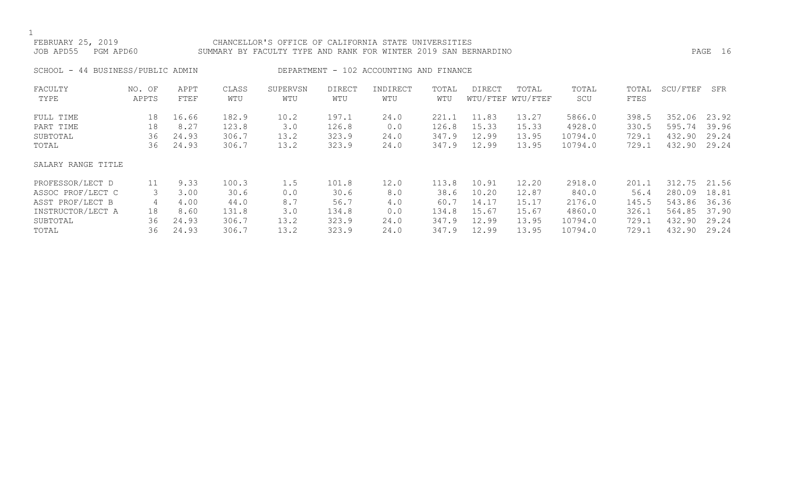# FEBRUARY 25, 2019 CHANCELLOR'S OFFICE OF CALIFORNIA STATE UNIVERSITIES JOB APD55 PGM APD60 SUMMARY BY FACULTY TYPE AND RANK FOR WINTER 2019 SAN BERNARDINO PAGE 16

SCHOOL - 44 BUSINESS/PUBLIC ADMIN DEPARTMENT - 102 ACCOUNTING AND FINANCE

| FACULTY            | NO. OF | APPT  | CLASS | SUPERVSN | <b>DIRECT</b> | INDIRECT | TOTAL | DIRECT | TOTAL             | TOTAL   | TOTAL | SCU/FTEF | SFR   |
|--------------------|--------|-------|-------|----------|---------------|----------|-------|--------|-------------------|---------|-------|----------|-------|
| TYPE               | APPTS  | FTEF  | WTU   | WTU      | WTU           | WTU      | WTU   |        | WTU/FTEF WTU/FTEF | SCU     | FTES  |          |       |
| FULL TIME          | 18     | 16.66 | 182.9 | 10.2     | 197.1         | 24.0     | 221.1 | 11.83  | 13.27             | 5866.0  | 398.5 | 352.06   | 23.92 |
| PART TIME          | 18     | 8.27  | 123.8 | 3.0      | 126.8         | 0.0      | 126.8 | 15.33  | 15.33             | 4928.0  | 330.5 | 595.74   | 39.96 |
| SUBTOTAL           | 36     | 24.93 | 306.7 | 13.2     | 323.9         | 24.0     | 347.9 | 12.99  | 13.95             | 10794.0 | 729.1 | 432.90   | 29.24 |
| TOTAL              | 36     | 24.93 | 306.7 | 13.2     | 323.9         | 24.0     | 347.9 | 12.99  | 13.95             | 10794.0 | 729.1 | 432.90   | 29.24 |
| SALARY RANGE TITLE |        |       |       |          |               |          |       |        |                   |         |       |          |       |
| PROFESSOR/LECT D   | 11     | 9.33  | 100.3 | 1.5      | 101.8         | 12.0     | 113.8 | 10.91  | 12.20             | 2918.0  | 201.1 | 312.75   | 21.56 |
| ASSOC PROF/LECT C  | 3      | 3.00  | 30.6  | 0.0      | 30.6          | 8.0      | 38.6  | 10.20  | 12.87             | 840.0   | 56.4  | 280.09   | 18.81 |
| ASST PROF/LECT B   | 4      | 4.00  | 44.0  | 8.7      | 56.7          | 4.0      | 60.7  | 14.17  | 15.17             | 2176.0  | 145.5 | 543.86   | 36.36 |
| INSTRUCTOR/LECT A  | 18     | 8.60  | 131.8 | 3.0      | 134.8         | 0.0      | 134.8 | 15.67  | 15.67             | 4860.0  | 326.1 | 564.85   | 37.90 |
| SUBTOTAL           | 36     | 24.93 | 306.7 | 13.2     | 323.9         | 24.0     | 347.9 | 12.99  | 13.95             | 10794.0 | 729.1 | 432.90   | 29.24 |
| TOTAL              | 36     | 24.93 | 306.7 | 13.2     | 323.9         | 24.0     | 347.9 | 12.99  | 13.95             | 10794.0 | 729.1 | 432.90   | 29.24 |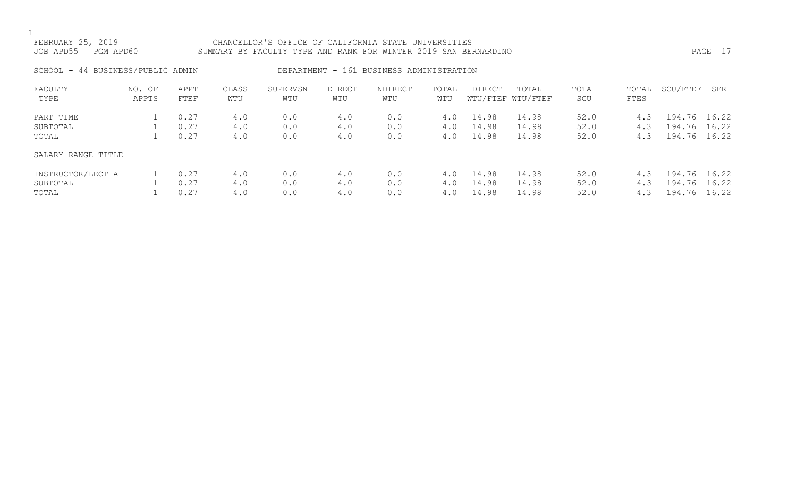## FEBRUARY 25, 2019 CHANCELLOR'S OFFICE OF CALIFORNIA STATE UNIVERSITIES JOB APD55 PGM APD60 SUMMARY BY FACULTY TYPE AND RANK FOR WINTER 2019 SAN BERNARDINO PAGE 17

SCHOOL - 44 BUSINESS/PUBLIC ADMIN DEPARTMENT - 161 BUSINESS ADMINISTRATION

| FACULTY            | NO. OF | APPT | CLASS | SUPERVSN | <b>DIRECT</b> | INDIRECT | TOTAL | DIRECT | TOTAL             | TOTAL | TOTAL | SCU/FTEF     | SFR   |
|--------------------|--------|------|-------|----------|---------------|----------|-------|--------|-------------------|-------|-------|--------------|-------|
| TYPE               | APPTS  | FTEF | WTU   | WTU      | WTU           | WTU      | WTU   |        | WTU/FTEF WTU/FTEF | SCU   | FTES  |              |       |
| PART TIME          |        | 0.27 | 4.0   | 0.0      | 4.0           | 0.0      | 4.0   | 14.98  | 14.98             | 52.0  | 4.3   | 194.76 16.22 |       |
| SUBTOTAL           |        | 0.27 | 4.0   | 0.0      | 4.0           | 0.0      | 4.0   | 14.98  | 14.98             | 52.0  | 4.3   | 194.76       | 16.22 |
| TOTAL              |        | 0.27 | 4.0   | 0.0      | 4.0           | 0.0      | 4.0   | 14.98  | 14.98             | 52.0  | 4.3   | 194.76       | 16.22 |
| SALARY RANGE TITLE |        |      |       |          |               |          |       |        |                   |       |       |              |       |
| INSTRUCTOR/LECT A  |        | 0.27 | 4.0   | 0.0      | 4.0           | 0.0      | 4.0   | 14.98  | 14.98             | 52.0  | 4.3   | 194.76       | 16.22 |
| SUBTOTAL           |        | 0.27 | 4.0   | 0.0      | 4.0           | 0.0      | 4.0   | 14.98  | 14.98             | 52.0  | 4.3   | 194.76       | 16.22 |
| TOTAL              |        | 0.27 | 4.0   | 0.0      | 4.0           | 0.0      | 4.0   | 14.98  | 14.98             | 52.0  | 4.3   | 194.76       | 16.22 |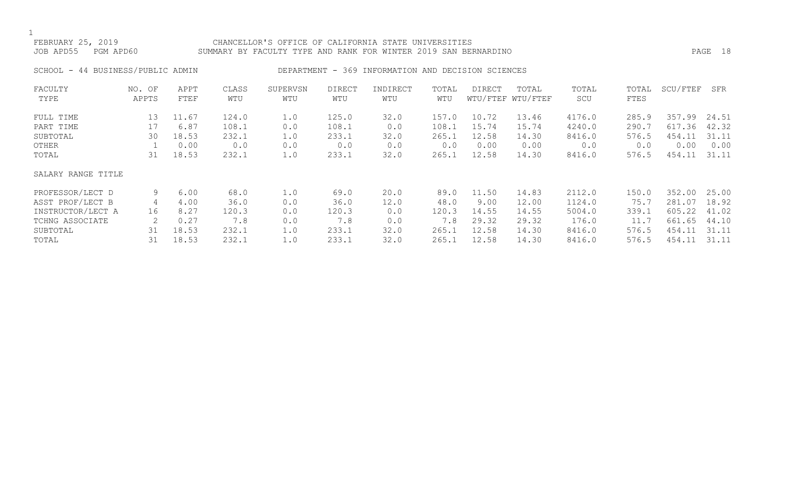### FEBRUARY 25, 2019 CHANCELLOR'S OFFICE OF CALIFORNIA STATE UNIVERSITIES JOB APD55 PGM APD60 SUMMARY BY FACULTY TYPE AND RANK FOR WINTER 2019 SAN BERNARDINO PAGE 18

# SCHOOL - 44 BUSINESS/PUBLIC ADMIN DEPARTMENT - 369 INFORMATION AND DECISION SCIENCES

| FACULTY<br>TYPE    | NO. OF<br>APPTS | APPT<br>FTEF | CLASS<br>WTU | SUPERVSN<br>WTU | <b>DIRECT</b><br>WTU | INDIRECT<br>WTU | TOTAL<br>WTU | DIRECT | TOTAL<br>WTU/FTEF WTU/FTEF | TOTAL<br>SCU | TOTAL<br>FTES | SCU/FTEF | SFR   |
|--------------------|-----------------|--------------|--------------|-----------------|----------------------|-----------------|--------------|--------|----------------------------|--------------|---------------|----------|-------|
| FULL TIME          | 13              | 11.67        | 124.0        | 1.0             | 125.0                | 32.0            | 157.0        | 10.72  | 13.46                      | 4176.0       | 285.9         | 357.99   | 24.51 |
| PART TIME          | 17              | 6.87         | 108.1        | 0.0             | 108.1                | 0.0             | 108.1        | 15.74  | 15.74                      | 4240.0       | 290.7         | 617.36   | 42.32 |
| SUBTOTAL           | 30              | 18.53        | 232.1        | 1.0             | 233.1                | 32.0            | 265.1        | 12.58  | 14.30                      | 8416.0       | 576.5         | 454.11   | 31.11 |
| OTHER              |                 | 0.00         | 0.0          | 0.0             | 0.0                  | 0.0             | 0.0          | 0.00   | 0.00                       | 0.0          | 0.0           | 0.00     | 0.00  |
| TOTAL              | 31              | 18.53        | 232.1        | 1.0             | 233.1                | 32.0            | 265.1        | 12.58  | 14.30                      | 8416.0       | 576.5         | 454.11   | 31.11 |
| SALARY RANGE TITLE |                 |              |              |                 |                      |                 |              |        |                            |              |               |          |       |
| PROFESSOR/LECT D   | 9               | 6.00         | 68.0         | 1.0             | 69.0                 | 20.0            | 89.0         | 11.50  | 14.83                      | 2112.0       | 150.0         | 352.00   | 25.00 |
| ASST PROF/LECT B   | 4               | 4.00         | 36.0         | 0.0             | 36.0                 | 12.0            | 48.0         | 9.00   | 12.00                      | 1124.0       | 75.7          | 281.07   | 18.92 |
| INSTRUCTOR/LECT A  | 16              | 8.27         | 120.3        | 0.0             | 120.3                | 0.0             | 120.3        | 14.55  | 14.55                      | 5004.0       | 339.1         | 605.22   | 41.02 |
| TCHNG ASSOCIATE    |                 | 0.27         | 7.8          | 0.0             | 7.8                  | 0.0             | 7.8          | 29.32  | 29.32                      | 176.0        | 11.7          | 661.65   | 44.10 |
| SUBTOTAL           | 31              | 18.53        | 232.1        | 1.0             | 233.1                | 32.0            | 265.1        | 12.58  | 14.30                      | 8416.0       | 576.5         | 454.11   | 31.11 |
| TOTAL              | 31              | 18.53        | 232.1        | 1.0             | 233.1                | 32.0            | 265.1        | 12.58  | 14.30                      | 8416.0       | 576.5         | 454.11   | 31.11 |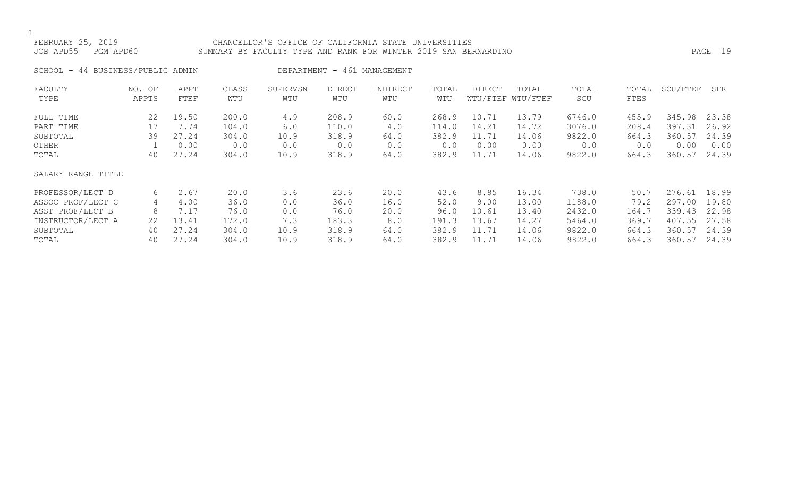## FEBRUARY 25, 2019 CHANCELLOR'S OFFICE OF CALIFORNIA STATE UNIVERSITIES JOB APD55 PGM APD60 SUMMARY BY FACULTY TYPE AND RANK FOR WINTER 2019 SAN BERNARDINO PAGE 19

SCHOOL - 44 BUSINESS/PUBLIC ADMIN DEPARTMENT - 461 MANAGEMENT

| FACULTY            | NO. OF | APPT  | CLASS | SUPERVSN | <b>DIRECT</b> | INDIRECT | TOTAL | DIRECT | TOTAL             | TOTAL  | TOTAL | SCU/FTEF | SFR   |
|--------------------|--------|-------|-------|----------|---------------|----------|-------|--------|-------------------|--------|-------|----------|-------|
| TYPE               | APPTS  | FTEF  | WTU   | WTU      | WTU           | WTU      | WTU   |        | WTU/FTEF WTU/FTEF | SCU    | FTES  |          |       |
| FULL TIME          | 22     | 19.50 | 200.0 | 4.9      | 208.9         | 60.0     | 268.9 | 10.71  | 13.79             | 6746.0 | 455.9 | 345.98   | 23.38 |
| PART TIME          | 17     | 7.74  | 104.0 | 6.0      | 110.0         | 4.0      | 114.0 | 14.21  | 14.72             | 3076.0 | 208.4 | 397.31   | 26.92 |
| SUBTOTAL           | 39     | 27.24 | 304.0 | 10.9     | 318.9         | 64.0     | 382.9 | 11.71  | 14.06             | 9822.0 | 664.3 | 360.57   | 24.39 |
| OTHER              |        | 0.00  | 0.0   | 0.0      | 0.0           | 0.0      | 0.0   | 0.00   | 0.00              | 0.0    | 0.0   | 0.00     | 0.00  |
| TOTAL              | 40     | 27.24 | 304.0 | 10.9     | 318.9         | 64.0     | 382.9 | 11.71  | 14.06             | 9822.0 | 664.3 | 360.57   | 24.39 |
| SALARY RANGE TITLE |        |       |       |          |               |          |       |        |                   |        |       |          |       |
| PROFESSOR/LECT D   | 6      | 2.67  | 20.0  | 3.6      | 23.6          | 20.0     | 43.6  | 8.85   | 16.34             | 738.0  | 50.7  | 276.61   | 18.99 |
| ASSOC PROF/LECT C  | 4      | 4.00  | 36.0  | 0.0      | 36.0          | 16.0     | 52.0  | 9.00   | 13.00             | 1188.0 | 79.2  | 297.00   | 19.80 |
| ASST PROF/LECT B   | 8      | 7.17  | 76.0  | 0.0      | 76.0          | 20.0     | 96.0  | 10.61  | 13.40             | 2432.0 | 164.7 | 339.43   | 22.98 |
| INSTRUCTOR/LECT A  | 22     | 13.41 | 172.0 | 7.3      | 183.3         | 8.0      | 191.3 | 13.67  | 14.27             | 5464.0 | 369.7 | 407.55   | 27.58 |
| SUBTOTAL           | 40     | 27.24 | 304.0 | 10.9     | 318.9         | 64.0     | 382.9 | 11.71  | 14.06             | 9822.0 | 664.3 | 360.57   | 24.39 |
| TOTAL              | 40     | 27.24 | 304.0 | 10.9     | 318.9         | 64.0     | 382.9 | 11.71  | 14.06             | 9822.0 | 664.3 | 360.57   | 24.39 |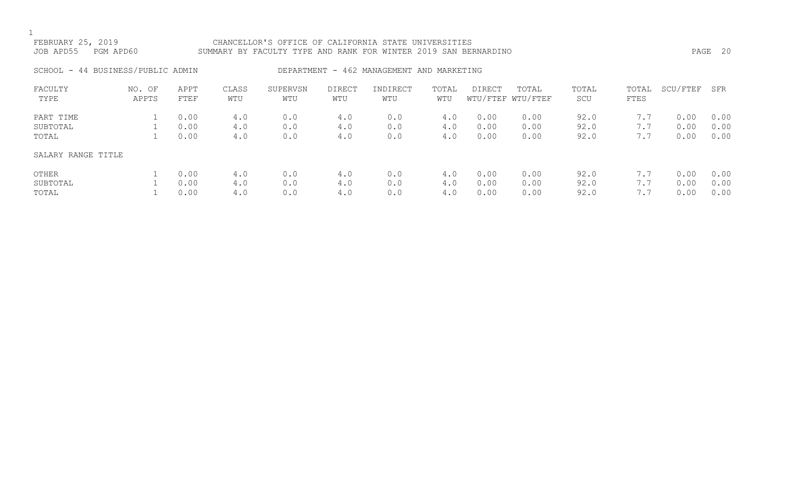### FEBRUARY 25, 2019 CHANCELLOR'S OFFICE OF CALIFORNIA STATE UNIVERSITIES JOB APD55 PGM APD60 SUMMARY BY FACULTY TYPE AND RANK FOR WINTER 2019 SAN BERNARDINO PAGE 20

## SCHOOL - 44 BUSINESS/PUBLIC ADMIN DEPARTMENT - 462 MANAGEMENT AND MARKETING

| FACULTY<br>TYPE    | NO. OF<br>APPTS | APPT<br>FTEF | CLASS<br>WTU | SUPERVSN<br>WTU | <b>DIRECT</b><br>WTU | INDIRECT<br>WTU | TOTAL<br>WTU | <b>DIRECT</b> | TOTAL<br>WTU/FTEF WTU/FTEF | TOTAL<br>SCU | TOTAL<br>FTES | SCU/FTEF | SFR  |
|--------------------|-----------------|--------------|--------------|-----------------|----------------------|-----------------|--------------|---------------|----------------------------|--------------|---------------|----------|------|
| PART TIME          |                 | 0.00         | 4.0          | 0.0             | 4.0                  | 0.0             | 4.0          | 0.00          | 0.00                       | 92.0         | 7.7           | 0.00     | 0.00 |
| SUBTOTAL           |                 | 0.00         | 4.0          | 0.0             | 4.0                  | 0.0             | 4.0          | 0.00          | 0.00                       | 92.0         | 7.7           | 0.00     | 0.00 |
| TOTAL              |                 | 0.00         | 4.0          | 0.0             | 4.0                  | 0.0             | 4.0          | 0.00          | 0.00                       | 92.0         | 7.7           | 0.00     | 0.00 |
| SALARY RANGE TITLE |                 |              |              |                 |                      |                 |              |               |                            |              |               |          |      |
| OTHER              |                 | 0.00         | 4.0          | 0.0             | 4.0                  | 0.0             | 4.0          | 0.00          | 0.00                       | 92.0         | 7.7           | 0.00     | 0.00 |
| SUBTOTAL           |                 | 0.00         | 4.0          | 0.0             | 4.0                  | 0.0             | 4.0          | 0.00          | 0.00                       | 92.0         | 7.7           | 0.00     | 0.00 |
| TOTAL              |                 | 0.00         | 4.0          | 0.0             | 4.0                  | 0.0             | 4.0          | 0.00          | 0.00                       | 92.0         | 7.7           | 0.00     | 0.00 |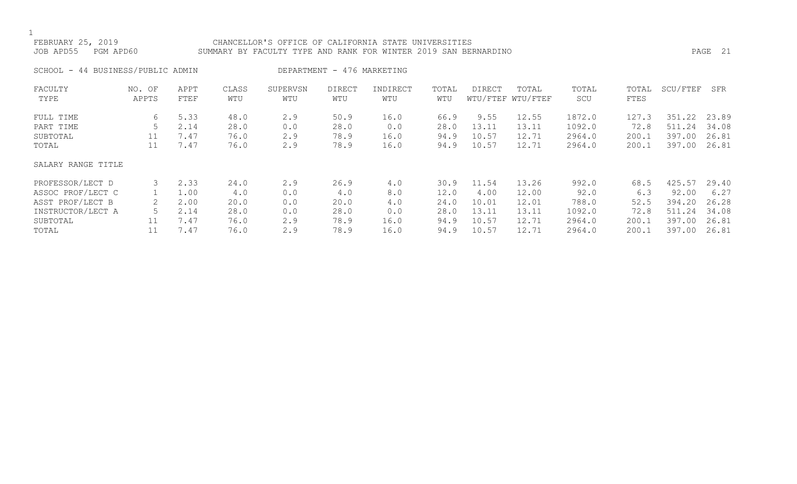### FEBRUARY 25, 2019 CHANCELLOR'S OFFICE OF CALIFORNIA STATE UNIVERSITIES SUMMARY BY FACULTY TYPE AND RANK FOR WINTER 2019 SAN BERNARDINO **PAGE 21** PAGE 21

|  |  | SCHOOL - 44 BUSINESS/PUBLIC ADMIN |  |  |
|--|--|-----------------------------------|--|--|
|--|--|-----------------------------------|--|--|

IN DEPARTMENT - 476 MARKETING

| FACULTY<br>TYPE    | NO. OF<br>APPTS | APPT<br>FTEF | CLASS<br>WTU | SUPERVSN<br>WTU | <b>DIRECT</b><br>WTU | INDIRECT<br>WTU | TOTAL<br>WTU | DIRECT | TOTAL<br>WTU/FTEF WTU/FTEF | TOTAL<br>SCU | TOTAL<br>FTES | SCU/FTEF   | SFR   |
|--------------------|-----------------|--------------|--------------|-----------------|----------------------|-----------------|--------------|--------|----------------------------|--------------|---------------|------------|-------|
| FULL TIME          | 6               | 5.33         | 48.0         | 2.9             | 50.9                 | 16.0            | 66.9         | 9.55   | 12.55                      | 1872.0       | 127.3         | .22<br>351 | 23.89 |
| PART TIME          |                 | 2.14         | 28.0         | 0.0             | 28.0                 | 0.0             | 28.0         | 13.11  | 13.11                      | 1092.0       | 72.8          | .24<br>511 | 34.08 |
| SUBTOTAL           | 11              | 7.47         | 76.0         | 2.9             | 78.9                 | 16.0            | 94.9         | 10.57  | 12.71                      | 2964.0       | 200.1         | 397.00     | 26.81 |
| TOTAL              | 11              | 7.47         | 76.0         | 2.9             | 78.9                 | 16.0            | 94.9         | 10.57  | 12.71                      | 2964.0       | 200.1         | 397.00     | 26.81 |
| SALARY RANGE TITLE |                 |              |              |                 |                      |                 |              |        |                            |              |               |            |       |
| PROFESSOR/LECT D   | 3               | 2.33         | 24.0         | 2.9             | 26.9                 | 4.0             | 30.9         | 11.54  | 13.26                      | 992.0        | 68.5          | 425.57     | 29.40 |
| ASSOC PROF/LECT C  |                 | 1.00         | 4.0          | 0.0             | 4.0                  | 8.0             | 12.0         | 4.00   | 12.00                      | 92.0         | 6.3           | 92.00      | 6.27  |
| ASST PROF/LECT B   |                 | 2.00         | 20.0         | 0.0             | 20.0                 | 4.0             | 24.0         | 10.01  | 12.01                      | 788.0        | 52.5          | 394.20     | 26.28 |
| INSTRUCTOR/LECT A  |                 | 2.14         | 28.0         | 0.0             | 28.0                 | 0.0             | 28.0         | 13.11  | 13.11                      | 1092.0       | 72.8          | .24<br>511 | 34.08 |
| SUBTOTAL           | 11              | 7.47         | 76.0         | 2.9             | 78.9                 | 16.0            | 94.9         | 10.57  | 12.71                      | 2964.0       | 200.1         | 397.00     | 26.81 |
| TOTAL              | 11              | 7.47         | 76.0         | 2.9             | 78.9                 | 16.0            | 94.9         | 10.57  | 12.71                      | 2964.0       | 200.1         | 397.00     | 26.81 |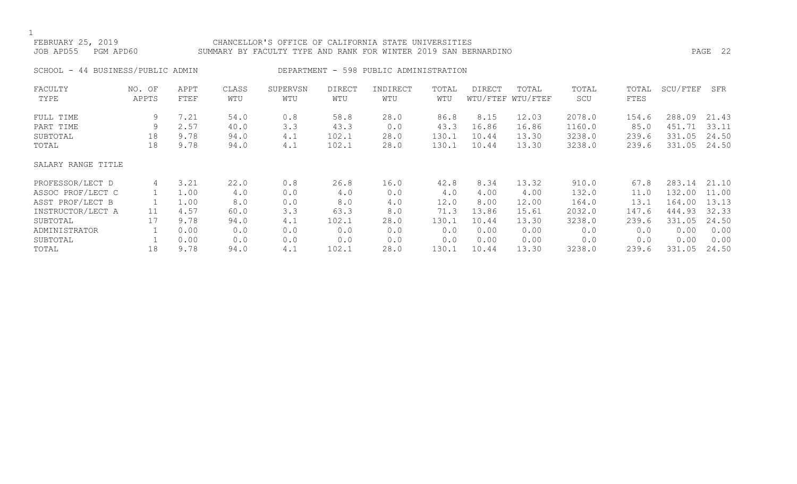### FEBRUARY 25, 2019 CHANCELLOR'S OFFICE OF CALIFORNIA STATE UNIVERSITIES JOB APD55 PGM APD60 SUMMARY BY FACULTY TYPE AND RANK FOR WINTER 2019 SAN BERNARDINO PAGE 22

SCHOOL - 44 BUSINESS/PUBLIC ADMIN DEPARTMENT - 598 PUBLIC ADMINISTRATION

| FACULTY            | NO. OF | APPT | CLASS | SUPERVSN | <b>DIRECT</b> | INDIRECT | TOTAL | DIRECT | TOTAL             | TOTAL  | TOTAL | SCU/FTEF | SFR   |
|--------------------|--------|------|-------|----------|---------------|----------|-------|--------|-------------------|--------|-------|----------|-------|
| TYPE               | APPTS  | FTEF | WTU   | WTU      | WTU           | WTU      | WTU   |        | WTU/FTEF WTU/FTEF | SCU    | FTES  |          |       |
| FULL TIME          | 9      | 7.21 | 54.0  | 0.8      | 58.8          | 28.0     | 86.8  | 8.15   | 12.03             | 2078.0 | 154.6 | 288.09   | 21.43 |
| PART TIME          | 9      | 2.57 | 40.0  | 3.3      | 43.3          | 0.0      | 43.3  | 16.86  | 16.86             | 1160.0 | 85.0  | 451.71   | 33.11 |
| SUBTOTAL           | 18     | 9.78 | 94.0  | 4.1      | 102.1         | 28.0     | 130.1 | 10.44  | 13.30             | 3238.0 | 239.6 | 331.05   | 24.50 |
| TOTAL              | 18     | 9.78 | 94.0  | 4.1      | 102.1         | 28.0     | 130.1 | 10.44  | 13.30             | 3238.0 | 239.6 | 331.05   | 24.50 |
| SALARY RANGE TITLE |        |      |       |          |               |          |       |        |                   |        |       |          |       |
| PROFESSOR/LECT D   | 4      | 3.21 | 22.0  | 0.8      | 26.8          | 16.0     | 42.8  | 8.34   | 13.32             | 910.0  | 67.8  | 283.14   | 21.10 |
| ASSOC PROF/LECT C  |        | 1.00 | 4.0   | 0.0      | 4.0           | 0.0      | 4.0   | 4.00   | 4.00              | 132.0  | 11.0  | 132.00   | 11.00 |
| ASST PROF/LECT B   |        | 1.00 | 8.0   | $0.0$    | 8.0           | 4.0      | 12.0  | 8.00   | 12.00             | 164.0  | 13.1  | 164.00   | 13.13 |
| INSTRUCTOR/LECT A  | 11     | 4.57 | 60.0  | 3.3      | 63.3          | 8.0      | 71.3  | 13.86  | 15.61             | 2032.0 | 147.6 | 444.93   | 32.33 |
| SUBTOTAL           | 17     | 9.78 | 94.0  | 4.1      | 102.1         | 28.0     | 130.1 | 10.44  | 13.30             | 3238.0 | 239.6 | 331.05   | 24.50 |
| ADMINISTRATOR      |        | 0.00 | 0.0   | 0.0      | 0.0           | 0.0      | 0.0   | 0.00   | 0.00              | 0.0    | 0.0   | 0.00     | 0.00  |
| SUBTOTAL           |        | 0.00 | 0.0   | 0.0      | 0.0           | 0.0      | 0.0   | 0.00   | 0.00              | 0.0    | 0.0   | 0.00     | 0.00  |
| TOTAL              | 18     | 9.78 | 94.0  | 4.1      | 102.1         | 28.0     | 130.1 | 10.44  | 13.30             | 3238.0 | 239.6 | 331.05   | 24.50 |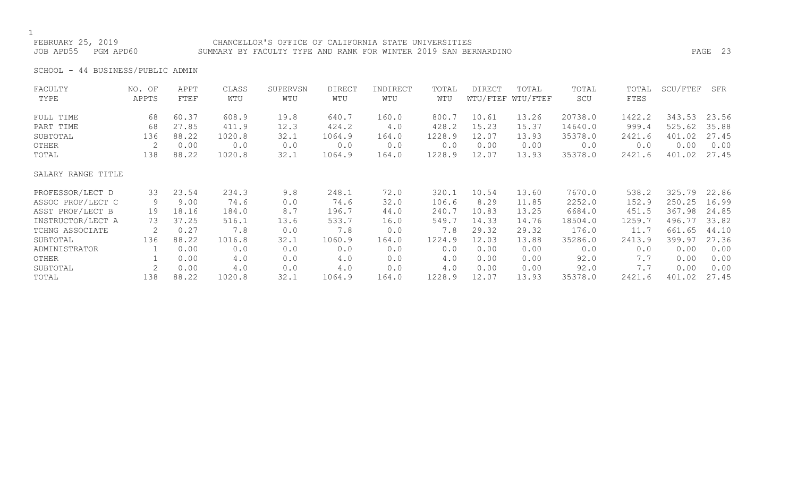FEBRUARY 25, 2019 CHANCELLOR'S OFFICE OF CALIFORNIA STATE UNIVERSITIES JOB APD55 PGM APD60 SUMMARY BY FACULTY TYPE AND RANK FOR WINTER 2019 SAN BERNARDINO PAGE 23

SCHOOL - 44 BUSINESS/PUBLIC ADMIN

| FACULTY            | NO. OF | APPT  | CLASS  | SUPERVSN | <b>DIRECT</b> | INDIRECT | TOTAL  | DIRECT | TOTAL             | TOTAL   | TOTAL  | SCU/FTEF | SFR   |
|--------------------|--------|-------|--------|----------|---------------|----------|--------|--------|-------------------|---------|--------|----------|-------|
| TYPE               | APPTS  | FTEF  | WTU    | WTU      | WTU           | WTU      | WTU    |        | WTU/FTEF WTU/FTEF | SCU     | FTES   |          |       |
| FULL TIME          | 68     | 60.37 | 608.9  | 19.8     | 640.7         | 160.0    | 800.7  | 10.61  | 13.26             | 20738.0 | 1422.2 | 343.53   | 23.56 |
| PART TIME          | 68     | 27.85 | 411.9  | 12.3     | 424.2         | 4.0      | 428.2  | 15.23  | 15.37             | 14640.0 | 999.4  | 525.62   | 35.88 |
| SUBTOTAL           | 136    | 88.22 | 1020.8 | 32.1     | 1064.9        | 164.0    | 1228.9 | 12.07  | 13.93             | 35378.0 | 2421.6 | 401.02   | 27.45 |
| OTHER              | 2      | 0.00  | 0.0    | 0.0      | 0.0           | 0.0      | 0.0    | 0.00   | 0.00              | 0.0     | 0.0    | 0.00     | 0.00  |
| TOTAL              | 138    | 88.22 | 1020.8 | 32.1     | 1064.9        | 164.0    | 1228.9 | 12.07  | 13.93             | 35378.0 | 2421.6 | 401.02   | 27.45 |
| SALARY RANGE TITLE |        |       |        |          |               |          |        |        |                   |         |        |          |       |
| PROFESSOR/LECT D   | 33     | 23.54 | 234.3  | 9.8      | 248.1         | 72.0     | 320.1  | 10.54  | 13.60             | 7670.0  | 538.2  | 325.79   | 22.86 |
| ASSOC PROF/LECT C  | 9      | 9.00  | 74.6   | 0.0      | 74.6          | 32.0     | 106.6  | 8.29   | 11.85             | 2252.0  | 152.9  | 250.25   | 16.99 |
| ASST PROF/LECT B   | 19     | 18.16 | 184.0  | 8.7      | 196.7         | 44.0     | 240.7  | 10.83  | 13.25             | 6684.0  | 451.5  | 367.98   | 24.85 |
| INSTRUCTOR/LECT A  | 73     | 37.25 | 516.1  | 13.6     | 533.7         | 16.0     | 549.7  | 14.33  | 14.76             | 18504.0 | 1259.7 | 496.77   | 33.82 |
| TCHNG ASSOCIATE    | 2      | 0.27  | 7.8    | 0.0      | 7.8           | 0.0      | 7.8    | 29.32  | 29.32             | 176.0   | 11.7   | 661.65   | 44.10 |
| SUBTOTAL           | 136    | 88.22 | 1016.8 | 32.1     | 1060.9        | 164.0    | 1224.9 | 12.03  | 13.88             | 35286.0 | 2413.9 | 399.97   | 27.36 |
| ADMINISTRATOR      |        | 0.00  | 0.0    | 0.0      | 0.0           | 0.0      | 0.0    | 0.00   | 0.00              | 0.0     | 0.0    | 0.00     | 0.00  |
| OTHER              |        | 0.00  | 4.0    | 0.0      | 4.0           | 0.0      | 4.0    | 0.00   | 0.00              | 92.0    | 7.7    | 0.00     | 0.00  |
| SUBTOTAL           |        | 0.00  | 4.0    | 0.0      | 4.0           | 0.0      | 4.0    | 0.00   | 0.00              | 92.0    | 7.7    | 0.00     | 0.00  |
| TOTAL              | 138    | 88.22 | 1020.8 | 32.1     | 1064.9        | 164.0    | 1228.9 | 12.07  | 13.93             | 35378.0 | 2421.6 | 401.02   | 27.45 |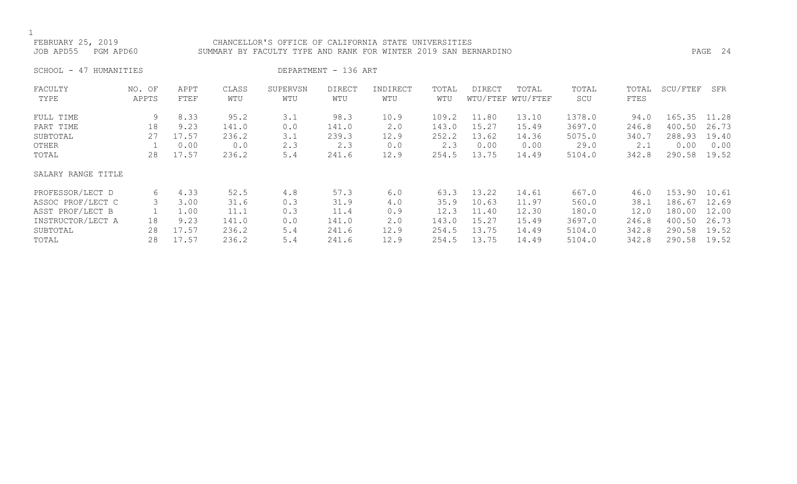### FEBRUARY 25, 2019 CHANCELLOR'S OFFICE OF CALIFORNIA STATE UNIVERSITIES JOB APD55 PGM APD60 SUMMARY BY FACULTY TYPE AND RANK FOR WINTER 2019 SAN BERNARDINO PAGE 24

SCHOOL - 47 HUMANITIES DEPARTMENT - 136 ART

| FACULTY            | NO. OF | APPT  | CLASS | SUPERVSN | <b>DIRECT</b> | INDIRECT | TOTAL | <b>DIRECT</b> | TOTAL             | TOTAL  | TOTAL | SCU/FTEF | SFR   |
|--------------------|--------|-------|-------|----------|---------------|----------|-------|---------------|-------------------|--------|-------|----------|-------|
| TYPE               | APPTS  | FTEF  | WTU   | WTU      | WTU           | WTU      | WTU   |               | WTU/FTEF WTU/FTEF | SCU    | FTES  |          |       |
| FULL TIME          | 9      | 8.33  | 95.2  | 3.1      | 98.3          | 10.9     | 109.2 | 11.80         | 13.10             | 1378.0 | 94.0  | 165.35   | 11.28 |
| PART TIME          | 18     | 9.23  | 141.0 | 0.0      | 141.0         | 2.0      | 143.0 | 15.27         | 15.49             | 3697.0 | 246.8 | 400.50   | 26.73 |
| SUBTOTAL           | 27     | 17.57 | 236.2 | 3.1      | 239.3         | 12.9     | 252.2 | 13.62         | 14.36             | 5075.0 | 340.7 | 288.93   | 19.40 |
| OTHER              |        | 0.00  | 0.0   | 2.3      | 2.3           | 0.0      | 2.3   | 0.00          | 0.00              | 29.0   | 2.1   | 0.00     | 0.00  |
| TOTAL              | 28     | 17.57 | 236.2 | 5.4      | 241.6         | 12.9     | 254.5 | 13.75         | 14.49             | 5104.0 | 342.8 | 290.58   | 19.52 |
| SALARY RANGE TITLE |        |       |       |          |               |          |       |               |                   |        |       |          |       |
| PROFESSOR/LECT D   | 6      | 4.33  | 52.5  | 4.8      | 57.3          | 6.0      | 63.3  | 13.22         | 14.61             | 667.0  | 46.0  | 153.90   | 10.61 |
| ASSOC PROF/LECT C  | 3      | 3.00  | 31.6  | 0.3      | 31.9          | 4.0      | 35.9  | 10.63         | 11.97             | 560.0  | 38.1  | 186.67   | 12.69 |
| ASST PROF/LECT B   |        | 1.00  | 11.1  | 0.3      | 11.4          | 0.9      | 12.3  | 11.40         | 12.30             | 180.0  | 12.0  | 180.00   | 12.00 |
| INSTRUCTOR/LECT A  | 18     | 9.23  | 141.0 | 0.0      | 141.0         | 2.0      | 143.0 | 15.27         | 15.49             | 3697.0 | 246.8 | 400.50   | 26.73 |
| SUBTOTAL           | 28     | 17.57 | 236.2 | 5.4      | 241.6         | 12.9     | 254.5 | 13.75         | 14.49             | 5104.0 | 342.8 | 290.58   | 19.52 |
| TOTAL              | 28     | 17.57 | 236.2 | 5.4      | 241.6         | 12.9     | 254.5 | 13.75         | 14.49             | 5104.0 | 342.8 | 290.58   | 19.52 |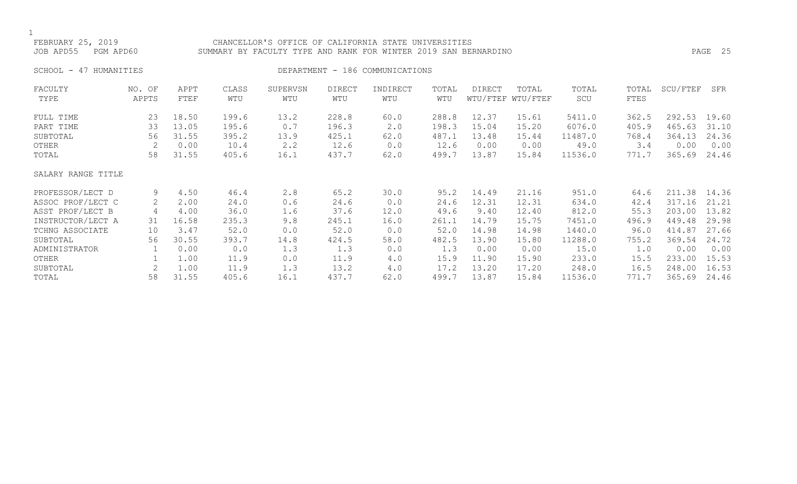### FEBRUARY 25, 2019 CHANCELLOR'S OFFICE OF CALIFORNIA STATE UNIVERSITIES JOB APD55 PGM APD60 SUMMARY BY FACULTY TYPE AND RANK FOR WINTER 2019 SAN BERNARDINO PAGE 25

SCHOOL - 47 HUMANITIES SERVICES DEPARTMENT - 186 COMMUNICATIONS

| FACULTY            | NO. OF | APPT  | CLASS | SUPERVSN | <b>DIRECT</b> | INDIRECT | TOTAL | <b>DIRECT</b> | TOTAL             | TOTAL   | TOTAL | SCU/FTEF | SFR   |
|--------------------|--------|-------|-------|----------|---------------|----------|-------|---------------|-------------------|---------|-------|----------|-------|
| TYPE               | APPTS  | FTEF  | WTU   | WTU      | WTU           | WTU      | WTU   |               | WTU/FTEF WTU/FTEF | SCU     | FTES  |          |       |
| FULL TIME          | 23     | 18.50 | 199.6 | 13.2     | 228.8         | 60.0     | 288.8 | 12.37         | 15.61             | 5411.0  | 362.5 | 292.53   | 19.60 |
| PART TIME          | 33     | 13.05 | 195.6 | 0.7      | 196.3         | 2.0      | 198.3 | 15.04         | 15.20             | 6076.0  | 405.9 | 465.63   | 31.10 |
| SUBTOTAL           | 56     | 31.55 | 395.2 | 13.9     | 425.1         | 62.0     | 487.1 | 13.48         | 15.44             | 11487.0 | 768.4 | 364.13   | 24.36 |
| OTHER              | 2      | 0.00  | 10.4  | 2.2      | 12.6          | 0.0      | 12.6  | 0.00          | 0.00              | 49.0    | 3.4   | 0.00     | 0.00  |
| TOTAL              | 58     | 31.55 | 405.6 | 16.1     | 437.7         | 62.0     | 499.7 | 13.87         | 15.84             | 11536.0 | 771.7 | 365.69   | 24.46 |
| SALARY RANGE TITLE |        |       |       |          |               |          |       |               |                   |         |       |          |       |
| PROFESSOR/LECT D   | 9      | 4.50  | 46.4  | 2.8      | 65.2          | 30.0     | 95.2  | 14.49         | 21.16             | 951.0   | 64.6  | 211.38   | 14.36 |
| ASSOC PROF/LECT C  | 2      | 2.00  | 24.0  | 0.6      | 24.6          | 0.0      | 24.6  | 12.31         | 12.31             | 634.0   | 42.4  | 317.16   | 21.21 |
| ASST PROF/LECT B   | 4      | 4.00  | 36.0  | 1.6      | 37.6          | 12.0     | 49.6  | 9.40          | 12.40             | 812.0   | 55.3  | 203.00   | 13.82 |
| INSTRUCTOR/LECT A  | 31     | 16.58 | 235.3 | 9.8      | 245.1         | 16.0     | 261.1 | 14.79         | 15.75             | 7451.0  | 496.9 | 449.48   | 29.98 |
| TCHNG ASSOCIATE    | 10     | 3.47  | 52.0  | 0.0      | 52.0          | 0.0      | 52.0  | 14.98         | 14.98             | 1440.0  | 96.0  | 414.87   | 27.66 |
| SUBTOTAL           | 56     | 30.55 | 393.7 | 14.8     | 424.5         | 58.0     | 482.5 | 13.90         | 15.80             | 11288.0 | 755.2 | 369.54   | 24.72 |
| ADMINISTRATOR      |        | 0.00  | 0.0   | 1.3      | 1.3           | 0.0      | 1.3   | 0.00          | 0.00              | 15.0    | 1.0   | 0.00     | 0.00  |
| OTHER              |        | 1.00  | 11.9  | 0.0      | 11.9          | 4.0      | 15.9  | 11.90         | 15.90             | 233.0   | 15.5  | 233.00   | 15.53 |
| SUBTOTAL           | 2      | 1.00  | 11.9  | 1.3      | 13.2          | 4.0      | 17.2  | 13.20         | 17.20             | 248.0   | 16.5  | 248.00   | 16.53 |
| TOTAL              | 58     | 31.55 | 405.6 | 16.1     | 437.7         | 62.0     | 499.7 | 13.87         | 15.84             | 11536.0 | 771.7 | 365.69   | 24.46 |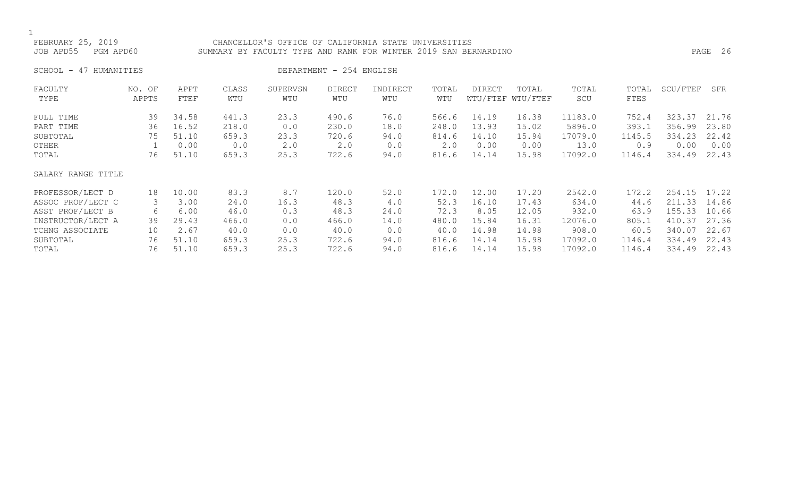### FEBRUARY 25, 2019 CHANCELLOR'S OFFICE OF CALIFORNIA STATE UNIVERSITIES JOB APD55 PGM APD60 SUMMARY BY FACULTY TYPE AND RANK FOR WINTER 2019 SAN BERNARDINO PAGE 26

SCHOOL - 47 HUMANITIES DEPARTMENT - 254 ENGLISH

| FACULTY            | NO. OF | APPT  | CLASS | SUPERVSN | <b>DIRECT</b> | INDIRECT | TOTAL | DIRECT | TOTAL             | TOTAL   | TOTAL  | SCU/FTEF | SFR   |
|--------------------|--------|-------|-------|----------|---------------|----------|-------|--------|-------------------|---------|--------|----------|-------|
| TYPE               | APPTS  | FTEF  | WTU   | WTU      | WTU           | WTU      | WTU   |        | WTU/FTEF WTU/FTEF | SCU     | FTES   |          |       |
| FULL TIME          | 39     | 34.58 | 441.3 | 23.3     | 490.6         | 76.0     | 566.6 | 14.19  | 16.38             | 11183.0 | 752.4  | 323.37   | 21.76 |
| PART TIME          | 36     | 16.52 | 218.0 | 0.0      | 230.0         | 18.0     | 248.0 | 13.93  | 15.02             | 5896.0  | 393.1  | 356.99   | 23.80 |
| SUBTOTAL           | 75     | 51.10 | 659.3 | 23.3     | 720.6         | 94.0     | 814.6 | 14.10  | 15.94             | 17079.0 | 1145.5 | 334.23   | 22.42 |
| OTHER              |        | 0.00  | 0.0   | 2.0      | 2.0           | 0.0      | 2.0   | 0.00   | 0.00              | 13.0    | 0.9    | 0.00     | 0.00  |
| TOTAL              | 76     | 51.10 | 659.3 | 25.3     | 722.6         | 94.0     | 816.6 | 14.14  | 15.98             | 17092.0 | 1146.4 | 334.49   | 22.43 |
| SALARY RANGE TITLE |        |       |       |          |               |          |       |        |                   |         |        |          |       |
| PROFESSOR/LECT D   | 18     | 10.00 | 83.3  | 8.7      | 120.0         | 52.0     | 172.0 | 12.00  | 17.20             | 2542.0  | 172.2  | 254.15   | 17.22 |
| ASSOC PROF/LECT C  | 3      | 3.00  | 24.0  | 16.3     | 48.3          | 4.0      | 52.3  | 16.10  | 17.43             | 634.0   | 44.6   | 211.33   | 14.86 |
| ASST PROF/LECT B   | 6      | 6.00  | 46.0  | 0.3      | 48.3          | 24.0     | 72.3  | 8.05   | 12.05             | 932.0   | 63.9   | 155.33   | 10.66 |
| INSTRUCTOR/LECT A  | 39     | 29.43 | 466.0 | 0.0      | 466.0         | 14.0     | 480.0 | 15.84  | 16.31             | 12076.0 | 805.1  | 410.37   | 27.36 |
| TCHNG ASSOCIATE    | 10     | 2.67  | 40.0  | 0.0      | 40.0          | 0.0      | 40.0  | 14.98  | 14.98             | 908.0   | 60.5   | 340.07   | 22.67 |
| SUBTOTAL           | 76     | 51.10 | 659.3 | 25.3     | 722.6         | 94.0     | 816.6 | 14.14  | 15.98             | 17092.0 | 1146.4 | 334.49   | 22.43 |
| TOTAL              | 76     | 51.10 | 659.3 | 25.3     | 722.6         | 94.0     | 816.6 | 14.14  | 15.98             | 17092.0 | 1146.4 | 334.49   | 22.43 |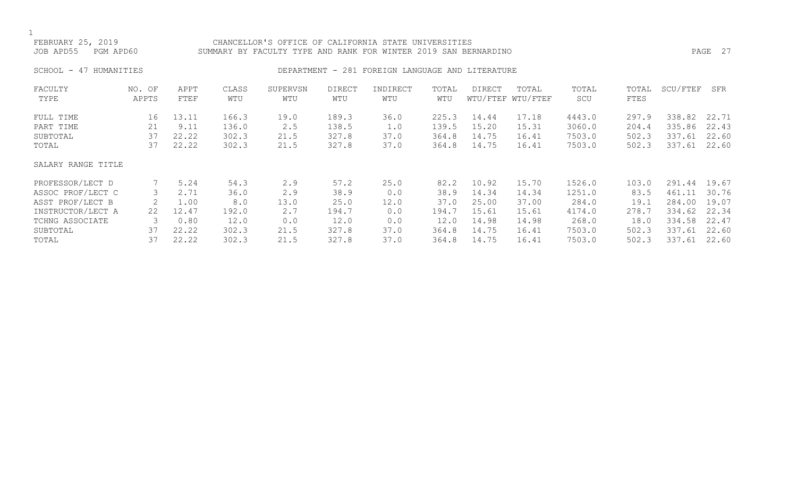### FEBRUARY 25, 2019 CHANCELLOR'S OFFICE OF CALIFORNIA STATE UNIVERSITIES JOB APD55 PGM APD60 SUMMARY BY FACULTY TYPE AND RANK FOR WINTER 2019 SAN BERNARDINO PAGE 27

# SCHOOL - 47 HUMANITIES CHOOL - 281 FOREIGN LANGUAGE AND LITERATURE

| FACULTY            | NO. OF | APPT  | CLASS | SUPERVSN | <b>DIRECT</b> | INDIRECT | TOTAL | DIRECT | TOTAL             | TOTAL  | TOTAL | SCU/FTEF | SFR   |
|--------------------|--------|-------|-------|----------|---------------|----------|-------|--------|-------------------|--------|-------|----------|-------|
| TYPE               | APPTS  | FTEF  | WTU   | WTU      | WTU           | WTU      | WTU   |        | WTU/FTEF WTU/FTEF | SCU    | FTES  |          |       |
| FULL TIME          | 16     | 13.11 | 166.3 | 19.0     | 189.3         | 36.0     | 225.3 | 14.44  | 17.18             | 4443.0 | 297.9 | 338.82   | 22.71 |
| PART TIME          | 21     | 9.11  | 136.0 | 2.5      | 138.5         | 1.0      | 139.5 | 15.20  | 15.31             | 3060.0 | 204.4 | 335.86   | 22.43 |
| SUBTOTAL           | 37     | 22.22 | 302.3 | 21.5     | 327.8         | 37.0     | 364.8 | 14.75  | 16.41             | 7503.0 | 502.3 | 337.61   | 22.60 |
| TOTAL              | 37     | 22.22 | 302.3 | 21.5     | 327.8         | 37.0     | 364.8 | 14.75  | 16.41             | 7503.0 | 502.3 | 337.61   | 22.60 |
| SALARY RANGE TITLE |        |       |       |          |               |          |       |        |                   |        |       |          |       |
| PROFESSOR/LECT D   |        | 5.24  | 54.3  | 2.9      | 57.2          | 25.0     | 82.2  | 10.92  | 15.70             | 1526.0 | 103.0 | 291.44   | 19.67 |
| ASSOC PROF/LECT C  | 3      | 2.71  | 36.0  | 2.9      | 38.9          | 0.0      | 38.9  | 14.34  | 14.34             | 1251.0 | 83.5  | 461.11   | 30.76 |
| ASST PROF/LECT B   |        | 1.00  | 8.0   | 13.0     | 25.0          | 12.0     | 37.0  | 25.00  | 37.00             | 284.0  | 19.1  | 284.00   | 19.07 |
| INSTRUCTOR/LECT A  | 22     | 12.47 | 192.0 | 2.7      | 194.7         | 0.0      | 194.7 | 15.61  | 15.61             | 4174.0 | 278.7 | 334.62   | 22.34 |
| TCHNG ASSOCIATE    | 3      | 0.80  | 12.0  | 0.0      | 12.0          | 0.0      | 12.0  | 14.98  | 14.98             | 268.0  | 18.0  | 334.58   | 22.47 |
| SUBTOTAL           | 37     | 22.22 | 302.3 | 21.5     | 327.8         | 37.0     | 364.8 | 14.75  | 16.41             | 7503.0 | 502.3 | 337.61   | 22.60 |
| TOTAL              | 37     | 22.22 | 302.3 | 21.5     | 327.8         | 37.0     | 364.8 | 14.75  | 16.41             | 7503.0 | 502.3 | 337.61   | 22.60 |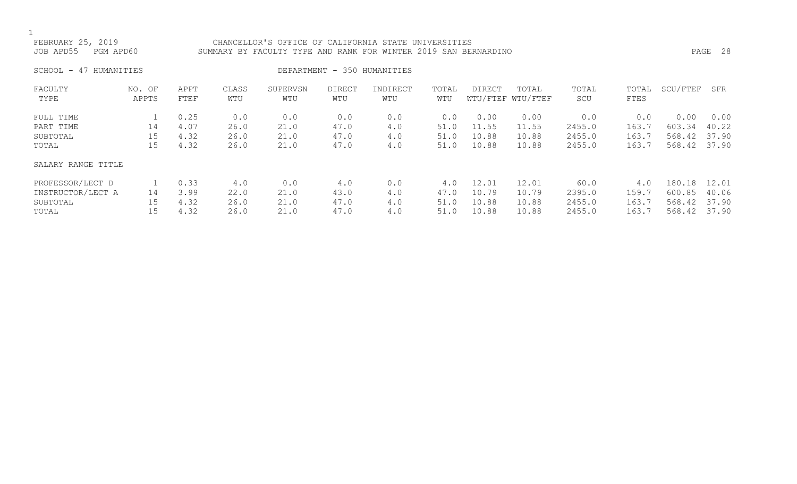### FEBRUARY 25, 2019 CHANCELLOR'S OFFICE OF CALIFORNIA STATE UNIVERSITIES JOB APD55 PGM APD60 SUMMARY BY FACULTY TYPE AND RANK FOR WINTER 2019 SAN BERNARDINO PAGE 28

SCHOOL - 47 HUMANITIES SERIES DEPARTMENT - 350 HUMANITIES

| FACULTY            | NO. OF | APPT | CLASS | SUPERVSN | <b>DIRECT</b> | INDIRECT | TOTAL | DIRECT | TOTAL             | TOTAL  | TOTAL | SCU/FTEF | SFR   |
|--------------------|--------|------|-------|----------|---------------|----------|-------|--------|-------------------|--------|-------|----------|-------|
| TYPE               | APPTS  | FTEF | WTU   | WTU      | WTU           | WTU      | WTU   |        | WTU/FTEF WTU/FTEF | SCU    | FTES  |          |       |
|                    |        |      |       |          |               |          |       |        |                   |        |       |          |       |
| FULL TIME          |        | 0.25 | 0.0   | 0.0      | 0.0           | 0.0      | 0.0   | 0.00   | 0.00              | 0.0    | 0.0   | 0.00     | 0.00  |
| PART TIME          | 14     | 4.07 | 26.0  | 21.0     | 47.0          | 4.0      | 51.0  | 11.55  | 11.55             | 2455.0 | 163.7 | 603.34   | 40.22 |
| SUBTOTAL           | 15     | 4.32 | 26.0  | 21.0     | 47.0          | 4.0      | 51.0  | 10.88  | 10.88             | 2455.0 | 163.7 | 568.42   | 37.90 |
| TOTAL              | 15     | 4.32 | 26.0  | 21.0     | 47.0          | 4.0      | 51.0  | 10.88  | 10.88             | 2455.0 | 163.7 | 568.42   | 37.90 |
| SALARY RANGE TITLE |        |      |       |          |               |          |       |        |                   |        |       |          |       |
| PROFESSOR/LECT D   |        | 0.33 | 4.0   | 0.0      | 4.0           | 0.0      | 4.0   | 12.01  | 12.01             | 60.0   | 4.0   | 180.18   | 12.01 |
| INSTRUCTOR/LECT A  | 14     | 3.99 | 22.0  | 21.0     | 43.0          | 4.0      | 47.0  | 10.79  | 10.79             | 2395.0 | 159.7 | 600.85   | 40.06 |
| SUBTOTAL           | 15     | 4.32 | 26.0  | 21.0     | 47.0          | 4.0      | 51.0  | 10.88  | 10.88             | 2455.0 | 163.7 | 568.42   | 37.90 |
| TOTAL              | 15     | 4.32 | 26.0  | 21.0     | 47.0          | 4.0      | 51.0  | 10.88  | 10.88             | 2455.0 | 163.7 | 568.42   | 37.90 |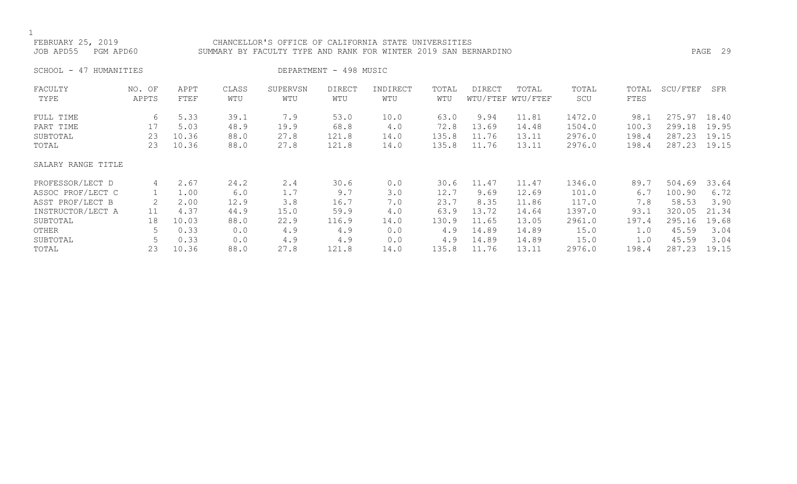### FEBRUARY 25, 2019 CHANCELLOR'S OFFICE OF CALIFORNIA STATE UNIVERSITIES JOB APD55 PGM APD60 SUMMARY BY FACULTY TYPE AND RANK FOR WINTER 2019 SAN BERNARDINO PAGE 29

SCHOOL - 47 HUMANITIES DEPARTMENT - 498 MUSIC

| FACULTY            | NO. OF | APPT  | CLASS | SUPERVSN | <b>DIRECT</b> | INDIRECT | TOTAL | DIRECT | TOTAL             | TOTAL  | TOTAL | SCU/FTEF | SFR   |
|--------------------|--------|-------|-------|----------|---------------|----------|-------|--------|-------------------|--------|-------|----------|-------|
| TYPE               | APPTS  | FTEF  | WTU   | WTU      | WTU           | WTU      | WTU   |        | WTU/FTEF WTU/FTEF | SCU    | FTES  |          |       |
| FULL TIME          | 6      | 5.33  | 39.1  | 7.9      | 53.0          | 10.0     | 63.0  | 9.94   | 11.81             | 1472.0 | 98.1  | 275.97   | 18.40 |
| PART TIME          | 17     | 5.03  | 48.9  | 19.9     | 68.8          | 4.0      | 72.8  | 13.69  | 14.48             | 1504.0 | 100.3 | 299.18   | 19.95 |
| SUBTOTAL           | 23     | 10.36 | 88.0  | 27.8     | 121.8         | 14.0     | 135.8 | 11.76  | 13.11             | 2976.0 | 198.4 | 287.23   | 19.15 |
| TOTAL              | 23     | 10.36 | 88.0  | 27.8     | 121.8         | 14.0     | 135.8 | 11.76  | 13.11             | 2976.0 | 198.4 | 287.23   | 19.15 |
| SALARY RANGE TITLE |        |       |       |          |               |          |       |        |                   |        |       |          |       |
| PROFESSOR/LECT D   | 4      | 2.67  | 24.2  | 2.4      | 30.6          | 0.0      | 30.6  | 11.47  | 11.47             | 1346.0 | 89.7  | 504.69   | 33.64 |
| ASSOC PROF/LECT C  |        | 1.00  | 6.0   | 1.7      | 9.7           | 3.0      | 12.7  | 9.69   | 12.69             | 101.0  | 6.7   | 100.90   | 6.72  |
| ASST PROF/LECT B   |        | 2.00  | 12.9  | 3.8      | 16.7          | 7.0      | 23.7  | 8.35   | 11.86             | 117.0  | 7.8   | 58.53    | 3.90  |
| INSTRUCTOR/LECT A  | 11     | 4.37  | 44.9  | 15.0     | 59.9          | 4.0      | 63.9  | 13.72  | 14.64             | 1397.0 | 93.1  | 320.05   | 21.34 |
| SUBTOTAL           | 18     | 10.03 | 88.0  | 22.9     | 116.9         | 14.0     | 130.9 | 11.65  | 13.05             | 2961.0 | 197.4 | 295.16   | 19.68 |
| OTHER              |        | 0.33  | 0.0   | 4.9      | 4.9           | 0.0      | 4.9   | 14.89  | 14.89             | 15.0   | 1.0   | 45.59    | 3.04  |
| SUBTOTAL           |        | 0.33  | 0.0   | 4.9      | 4.9           | 0.0      | 4.9   | 14.89  | 14.89             | 15.0   | 1.0   | 45.59    | 3.04  |
| TOTAL              | 23     | 10.36 | 88.0  | 27.8     | 121.8         | 14.0     | 135.8 | 11.76  | 13.11             | 2976.0 | 198.4 | 287.23   | 19.15 |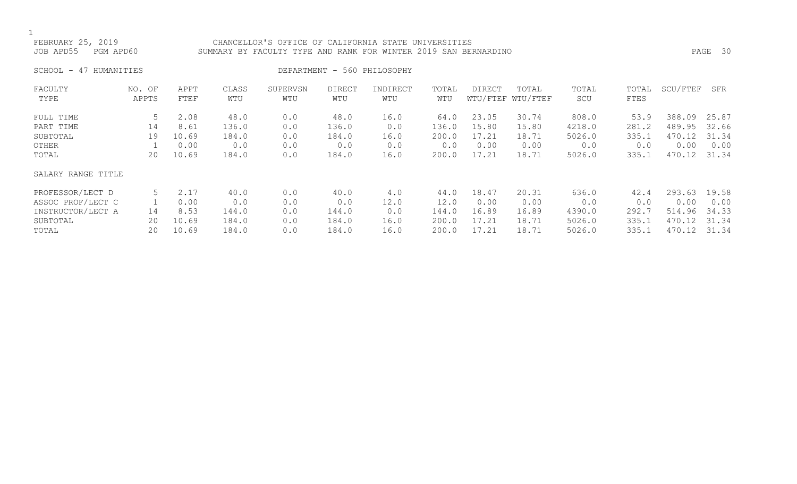### FEBRUARY 25, 2019 CHANCELLOR'S OFFICE OF CALIFORNIA STATE UNIVERSITIES JOB APD55 PGM APD60 SUMMARY BY FACULTY TYPE AND RANK FOR WINTER 2019 SAN BERNARDINO PAGE 30

SCHOOL - 47 HUMANITIES DEPARTMENT - 560 PHILOSOPHY

| FACULTY            | NO. OF | APPT  | CLASS | SUPERVSN | <b>DIRECT</b> | INDIRECT | TOTAL | <b>DIRECT</b> | TOTAL             | TOTAL  | TOTAL | SCU/FTEF | SFR   |
|--------------------|--------|-------|-------|----------|---------------|----------|-------|---------------|-------------------|--------|-------|----------|-------|
| TYPE               | APPTS  | FTEF  | WTU   | WTU      | WTU           | WTU      | WTU   |               | WTU/FTEF WTU/FTEF | SCU    | FTES  |          |       |
| FULL TIME          | 5      | 2.08  | 48.0  | 0.0      | 48.0          | 16.0     | 64.0  | 23.05         | 30.74             | 808.0  | 53.9  | 388.09   | 25.87 |
| PART TIME          | 14     | 8.61  | 136.0 | 0.0      | 136.0         | 0.0      | 136.0 | 15.80         | 15.80             | 4218.0 | 281.2 | 489.95   | 32.66 |
| SUBTOTAL           | 19     | 10.69 | 184.0 | 0.0      | 184.0         | 16.0     | 200.0 | 17.21         | 18.71             | 5026.0 | 335.1 | 470.12   | 31.34 |
| OTHER              |        | 0.00  | 0.0   | 0.0      | 0.0           | 0.0      | 0.0   | 0.00          | 0.00              | 0.0    | 0.0   | 0.00     | 0.00  |
| TOTAL              | 20     | 10.69 | 184.0 | 0.0      | 184.0         | 16.0     | 200.0 | 17.21         | 18.71             | 5026.0 | 335.1 | 470.12   | 31.34 |
| SALARY RANGE TITLE |        |       |       |          |               |          |       |               |                   |        |       |          |       |
| PROFESSOR/LECT D   | 5      | 2.17  | 40.0  | 0.0      | 40.0          | 4.0      | 44.0  | 18.47         | 20.31             | 636.0  | 42.4  | 293.63   | 19.58 |
| ASSOC PROF/LECT C  |        | 0.00  | 0.0   | 0.0      | 0.0           | 12.0     | 12.0  | 0.00          | 0.00              | 0.0    | 0.0   | 0.00     | 0.00  |
| INSTRUCTOR/LECT A  | 14     | 8.53  | 144.0 | 0.0      | 144.0         | 0.0      | 144.0 | 16.89         | 16.89             | 4390.0 | 292.7 | 514.96   | 34.33 |
| SUBTOTAL           | 20     | 10.69 | 184.0 | 0.0      | 184.0         | 16.0     | 200.0 | 17.21         | 18.71             | 5026.0 | 335.1 | 470.12   | 31.34 |
| TOTAL              | 20     | 10.69 | 184.0 | 0.0      | 184.0         | 16.0     | 200.0 | 17.21         | 18.71             | 5026.0 | 335.1 | 470.12   | 31.34 |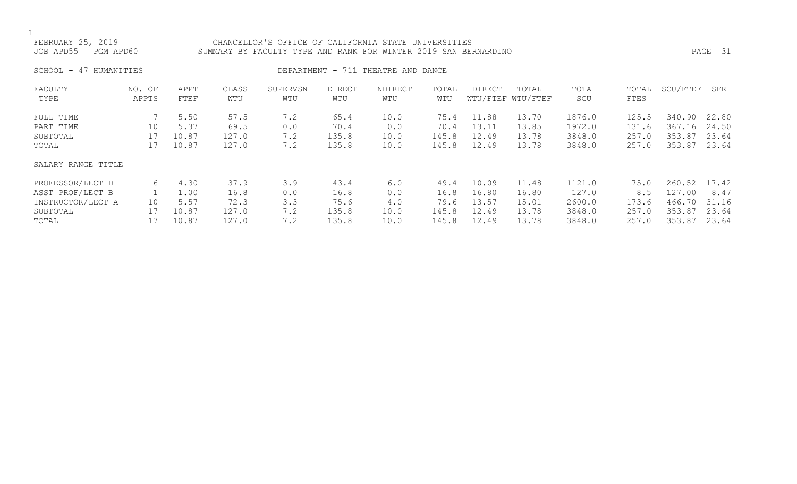FEBRUARY 25, 2019 CHANCELLOR'S OFFICE OF CALIFORNIA STATE UNIVERSITIES

JOB APD55 PGM APD60 SUMMARY BY FACULTY TYPE AND RANK FOR WINTER 2019 SAN BERNARDINO PAGE 31

SCHOOL - 47 HUMANITIES SERVICES DEPARTMENT - 711 THEATRE AND DANCE

| FACULTY            | NO. OF | APPT  | CLASS | SUPERVSN | <b>DIRECT</b> | INDIRECT | TOTAL | DIRECT | TOTAL             | TOTAL  | TOTAL | SCU/FTEF | SFR   |
|--------------------|--------|-------|-------|----------|---------------|----------|-------|--------|-------------------|--------|-------|----------|-------|
| TYPE               | APPTS  | FTEF  | WTU   | WTU      | WTU           | WTU      | WTU   |        | WTU/FTEF WTU/FTEF | SCU    | FTES  |          |       |
|                    |        |       |       |          |               |          |       |        |                   |        |       |          |       |
| FULL TIME          |        | 5.50  | 57.5  | 7.2      | 65.4          | 10.0     | 75.4  | 11.88  | 13.70             | 1876.0 | 125.5 | 340.90   | 22.80 |
| PART TIME          | 10     | 5.37  | 69.5  | 0.0      | 70.4          | 0.0      | 70.4  | 13.11  | 13.85             | 1972.0 | 131.6 | 367.16   | 24.50 |
| SUBTOTAL           | 17     | 10.87 | 127.0 | 7.2      | 135.8         | 10.0     | 145.8 | 12.49  | 13.78             | 3848.0 | 257.0 | 353.87   | 23.64 |
| TOTAL              | 17     | 10.87 | 127.0 | 7.2      | 135.8         | 10.0     | 145.8 | 12.49  | 13.78             | 3848.0 | 257.0 | 353.87   | 23.64 |
| SALARY RANGE TITLE |        |       |       |          |               |          |       |        |                   |        |       |          |       |
| PROFESSOR/LECT D   | 6      | 4.30  | 37.9  | 3.9      | 43.4          | 6.0      | 49.4  | 10.09  | 11.48             | 1121.0 | 75.0  | 260.52   | 17.42 |
| ASST PROF/LECT B   |        | 1.00  | 16.8  | 0.0      | 16.8          | 0.0      | 16.8  | 16.80  | 16.80             | 127.0  | 8.5   | 127.00   | 8.47  |
| INSTRUCTOR/LECT A  | 10     | 5.57  | 72.3  | 3.3      | 75.6          | 4.0      | 79.6  | 13.57  | 15.01             | 2600.0 | 173.6 | 466.70   | 31.16 |
| SUBTOTAL           |        | 10.87 | 127.0 | 7.2      | 135.8         | 10.0     | 145.8 | 12.49  | 13.78             | 3848.0 | 257.0 | 353.87   | 23.64 |
| TOTAL              |        | 10.87 | 127.0 | 7.2      | 135.8         | 10.0     | 145.8 | 12.49  | 13.78             | 3848.0 | 257.0 | 353.87   | 23.64 |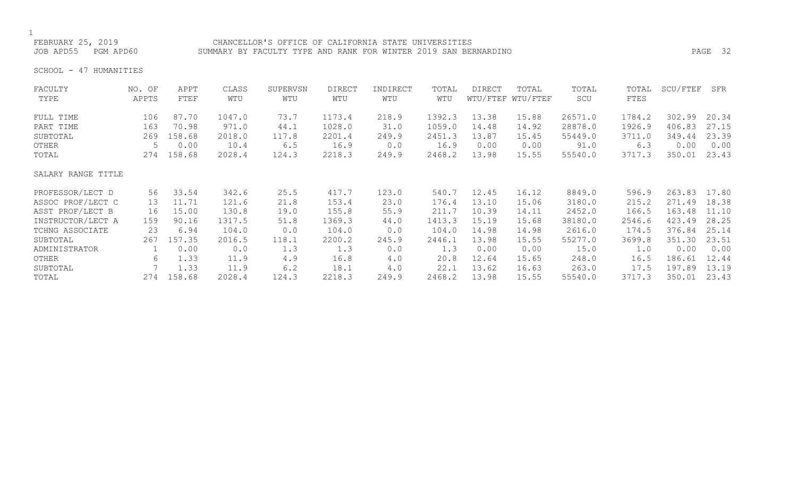### FEBRUARY 25, 2019 CHANCELLOR'S OFFICE OF CALIFORNIA STATE UNIVERSITIES JOB APD55 PGM APD60 SUMMARY BY FACULTY TYPE AND RANK FOR WINTER 2019 SAN BERNARDINO PAGE 32

SCHOOL - 47 HUMANITIES

| FACULTY            | NO. OF | APPT   | CLASS  | SUPERVSN | <b>DIRECT</b> | INDIRECT | TOTAL  | DIRECT | TOTAL             | TOTAL   | TOTAL  | SCU/FTEF | SFR   |
|--------------------|--------|--------|--------|----------|---------------|----------|--------|--------|-------------------|---------|--------|----------|-------|
| TYPE               | APPTS  | FTEF   | WTU    | WTU      | WTU           | WTU      | WTU    |        | WTU/FTEF WTU/FTEF | SCU     | FTES   |          |       |
| FULL TIME          | 106    | 87.70  | 1047.0 | 73.7     | 1173.4        | 218.9    | 1392.3 | 13.38  | 15.88             | 26571.0 | 1784.2 | 302.99   | 20.34 |
| PART TIME          | 163    | 70.98  | 971.0  | 44.1     | 1028.0        | 31.0     | 1059.0 | 14.48  | 14.92             | 28878.0 | 1926.9 | 406.83   | 27.15 |
| SUBTOTAL           | 269    | 158.68 | 2018.0 | 117.8    | 2201.4        | 249.9    | 2451.3 | 13.87  | 15.45             | 55449.0 | 3711.0 | 349.44   | 23.39 |
| OTHER              | 5      | 0.00   | 10.4   | 6.5      | 16.9          | 0.0      | 16.9   | 0.00   | 0.00              | 91.0    | 6.3    | 0.00     | 0.00  |
| TOTAL              | 274    | 158.68 | 2028.4 | 124.3    | 2218.3        | 249.9    | 2468.2 | 13.98  | 15.55             | 55540.0 | 3717.3 | 350.01   | 23.43 |
| SALARY RANGE TITLE |        |        |        |          |               |          |        |        |                   |         |        |          |       |
| PROFESSOR/LECT D   | 56     | 33.54  | 342.6  | 25.5     | 417.7         | 123.0    | 540.7  | 12.45  | 16.12             | 8849.0  | 596.9  | 263.83   | 17.80 |
| ASSOC PROF/LECT C  | 13     | 11.71  | 121.6  | 21.8     | 153.4         | 23.0     | 176.4  | 13.10  | 15.06             | 3180.0  | 215.2  | 271.49   | 18.38 |
| ASST PROF/LECT B   | 16     | 15.00  | 130.8  | 19.0     | 155.8         | 55.9     | 211.7  | 10.39  | 14.11             | 2452.0  | 166.5  | 163.48   | 11.10 |
| INSTRUCTOR/LECT A  | 159    | 90.16  | 1317.5 | 51.8     | 1369.3        | 44.0     | 1413.3 | 15.19  | 15.68             | 38180.0 | 2546.6 | 423.49   | 28.25 |
| TCHNG ASSOCIATE    | 23     | 6.94   | 104.0  | 0.0      | 104.0         | 0.0      | 104.0  | 14.98  | 14.98             | 2616.0  | 174.5  | 376.84   | 25.14 |
| SUBTOTAL           | 267    | 157.35 | 2016.5 | 118.1    | 2200.2        | 245.9    | 2446.1 | 13.98  | 15.55             | 55277.0 | 3699.8 | 351.30   | 23.51 |
| ADMINISTRATOR      |        | 0.00   | 0.0    | 1.3      | 1.3           | 0.0      | 1.3    | 0.00   | 0.00              | 15.0    | 1.0    | 0.00     | 0.00  |
| OTHER              | 6      | 1.33   | 11.9   | 4.9      | 16.8          | 4.0      | 20.8   | 12.64  | 15.65             | 248.0   | 16.5   | 186.61   | 12.44 |
| SUBTOTAL           |        | 1.33   | 11.9   | 6.2      | 18.1          | 4.0      | 22.1   | 13.62  | 16.63             | 263.0   | 17.5   | 197.89   | 13.19 |
| TOTAL              | 274    | 158.68 | 2028.4 | 124.3    | 2218.3        | 249.9    | 2468.2 | 13.98  | 15.55             | 55540.0 | 3717.3 | 350.01   | 23.43 |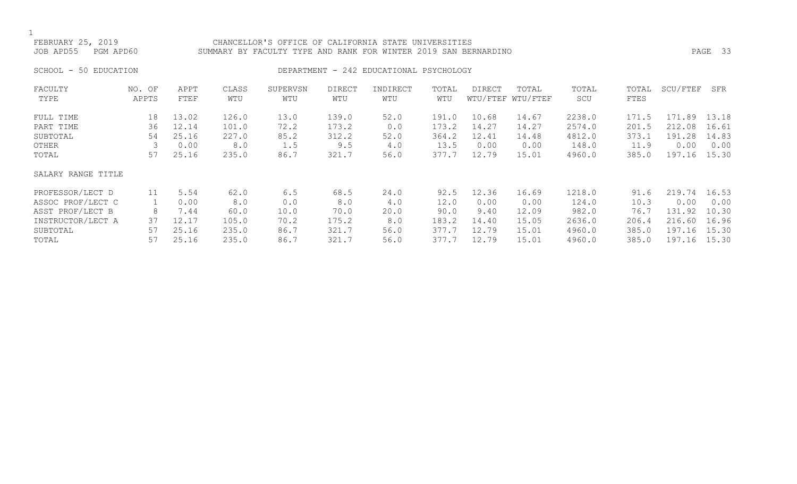### FEBRUARY 25, 2019 CHANCELLOR'S OFFICE OF CALIFORNIA STATE UNIVERSITIES JOB APD55 PGM APD60 SUMMARY BY FACULTY TYPE AND RANK FOR WINTER 2019 SAN BERNARDINO PAGE 33

# SCHOOL - 50 EDUCATION **DEPARTMENT - 242 EDUCATIONAL PSYCHOLOGY**

| FACULTY            | NO. OF | APPT  | CLASS | SUPERVSN | <b>DIRECT</b> | INDIRECT | TOTAL | DIRECT | TOTAL             | TOTAL  | TOTAL | SCU/FTEF   | SFR   |
|--------------------|--------|-------|-------|----------|---------------|----------|-------|--------|-------------------|--------|-------|------------|-------|
| TYPE               | APPTS  | FTEF  | WTU   | WTU      | WTU           | WTU      | WTU   |        | WTU/FTEF WTU/FTEF | SCU    | FTES  |            |       |
| FULL TIME          | 18     | 13.02 | 126.0 | 13.0     | 139.0         | 52.0     | 191.0 | 10.68  | 14.67             | 2238.0 | 171.5 | 171<br>.89 | 13.18 |
| PART TIME          | 36     | 12.14 | 101.0 | 72.2     | 173.2         | 0.0      | 173.2 | 14.27  | 14.27             | 2574.0 | 201.5 | 212.08     | 16.61 |
| SUBTOTAL           | 54     | 25.16 | 227.0 | 85.2     | 312.2         | 52.0     | 364.2 | 12.41  | 14.48             | 4812.0 | 373.1 | 191.28     | 14.83 |
| OTHER              | 3      | 0.00  | 8.0   | 1.5      | 9.5           | 4.0      | 13.5  | 0.00   | 0.00              | 148.0  | 11.9  | 0.00       | 0.00  |
| TOTAL              | 57     | 25.16 | 235.0 | 86.7     | 321.7         | 56.0     | 377.7 | 12.79  | 15.01             | 4960.0 | 385.0 | 197.16     | 15.30 |
| SALARY RANGE TITLE |        |       |       |          |               |          |       |        |                   |        |       |            |       |
| PROFESSOR/LECT D   | 11     | 5.54  | 62.0  | 6.5      | 68.5          | 24.0     | 92.5  | 12.36  | 16.69             | 1218.0 | 91.6  | 219.74     | 16.53 |
| ASSOC PROF/LECT C  |        | 0.00  | 8.0   | 0.0      | 8.0           | 4.0      | 12.0  | 0.00   | 0.00              | 124.0  | 10.3  | 0.00       | 0.00  |
| ASST PROF/LECT B   | 8      | 7.44  | 60.0  | 10.0     | 70.0          | 20.0     | 90.0  | 9.40   | 12.09             | 982.0  | 76.7  | 131.92     | 10.30 |
| INSTRUCTOR/LECT A  | 37     | 12.17 | 105.0 | 70.2     | 175.2         | 8.0      | 183.2 | 14.40  | 15.05             | 2636.0 | 206.4 | 216.60     | 16.96 |
| SUBTOTAL           | 57     | 25.16 | 235.0 | 86.7     | 321.7         | 56.0     | 377.7 | 12.79  | 15.01             | 4960.0 | 385.0 | 197.16     | 15.30 |
| TOTAL              | 57     | 25.16 | 235.0 | 86.7     | 321.7         | 56.0     | 377.7 | 12.79  | 15.01             | 4960.0 | 385.0 | 197.16     | 15.30 |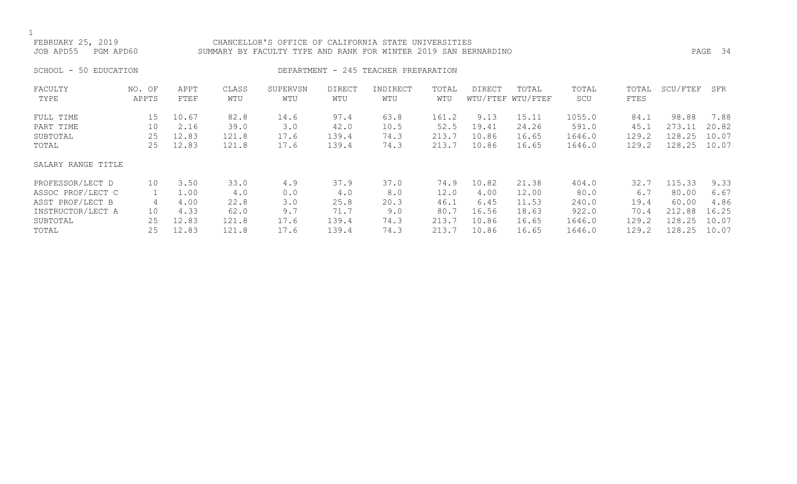### FEBRUARY 25, 2019 CHANCELLOR'S OFFICE OF CALIFORNIA STATE UNIVERSITIES JOB APD55 PGM APD60 SUMMARY BY FACULTY TYPE AND RANK FOR WINTER 2019 SAN BERNARDINO PAGE 34

# SCHOOL - 50 EDUCATION **DEPARTMENT - 245 TEACHER PREPARATION**

| FACULTY<br>TYPE    | NO. OF<br>APPTS | APPT<br>FTEF | CLASS<br>WTU | SUPERVSN<br>WTU | <b>DIRECT</b><br>WTU | INDIRECT<br>WTU | TOTAL<br>WTU | DIRECT | TOTAL<br>WTU/FTEF WTU/FTEF | TOTAL<br>SCU | TOTAL<br>FTES | SCU/FTEF | SFR   |
|--------------------|-----------------|--------------|--------------|-----------------|----------------------|-----------------|--------------|--------|----------------------------|--------------|---------------|----------|-------|
|                    |                 |              |              |                 |                      |                 |              |        |                            |              |               |          |       |
| FULL TIME          | 15              | 10.67        | 82.8         | 14.6            | 97.4                 | 63.8            | 161.2        | 9.13   | 15.11                      | 1055.0       | 84.1          | 98.88    | 7.88  |
| PART TIME          | 10              | 2.16         | 39.0         | 3.0             | 42.0                 | 10.5            | 52.5         | 19.41  | 24.26                      | 591.0        | 45.1          | 273.11   | 20.82 |
| SUBTOTAL           | 25              | 12.83        | 121.8        | 17.6            | 139.4                | 74.3            | 213.7        | 10.86  | 16.65                      | 1646.0       | 129.2         | 128.25   | 10.07 |
| TOTAL              | 25              | 12.83        | 121.8        | 17.6            | 139.4                | 74.3            | 213.7        | 10.86  | 16.65                      | 1646.0       | 129.2         | 128.25   | 10.07 |
| SALARY RANGE TITLE |                 |              |              |                 |                      |                 |              |        |                            |              |               |          |       |
| PROFESSOR/LECT D   | 10              | 3.50         | 33.0         | 4.9             | 37.9                 | 37.0            | 74.9         | 10.82  | 21.38                      | 404.0        | 32.7          | 115.33   | 9.33  |
| ASSOC PROF/LECT C  |                 | 1.00         | 4.0          | 0.0             | 4.0                  | 8.0             | 12.0         | 4.00   | 12.00                      | 80.0         | 6.7           | 80.00    | 6.67  |
| ASST PROF/LECT B   | 4               | 4.00         | 22.8         | 3.0             | 25.8                 | 20.3            | 46.1         | 6.45   | 11.53                      | 240.0        | 19.4          | 60.00    | 4.86  |
| INSTRUCTOR/LECT A  | 10              | 4.33         | 62.0         | 9.7             | 71.7                 | 9.0             | 80.7         | 16.56  | 18.63                      | 922.0        | 70.4          | 212.88   | 16.25 |
| SUBTOTAL           | 25              | 12.83        | 121.8        | 17.6            | 139.4                | 74.3            | 213.7        | 10.86  | 16.65                      | 1646.0       | 129.2         | 128.25   | 10.07 |
| TOTAL              | 25              | 12.83        | 121.8        | 17.6            | 139.4                | 74.3            | 213.7        | 10.86  | 16.65                      | 1646.0       | 129.2         | 128.25   | 10.07 |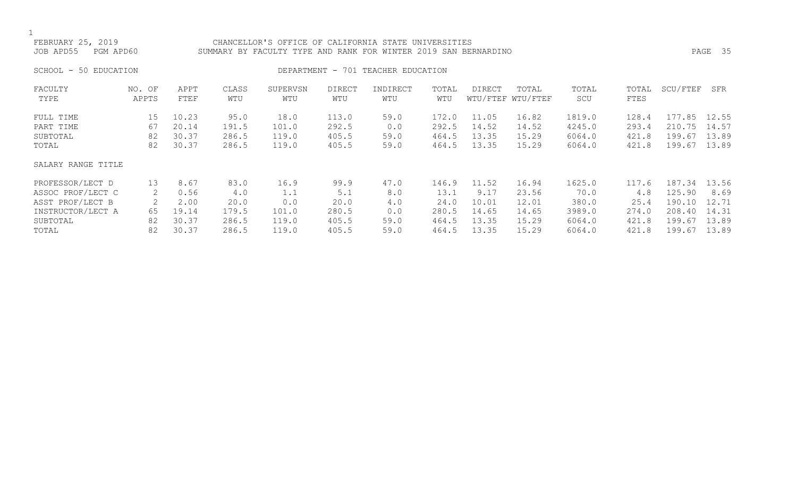### FEBRUARY 25, 2019 CHANCELLOR'S OFFICE OF CALIFORNIA STATE UNIVERSITIES JOB APD55 PGM APD60 SUMMARY BY FACULTY TYPE AND RANK FOR WINTER 2019 SAN BERNARDINO PAGE 35

SCHOOL - 50 EDUCATION **DEPARTMENT** - 701 TEACHER EDUCATION

| FACULTY            | NO. OF | APPT  | CLASS | SUPERVSN | <b>DIRECT</b> | INDIRECT | TOTAL | DIRECT | TOTAL             | TOTAL  | TOTAL | SCU/FTEF | SFR   |
|--------------------|--------|-------|-------|----------|---------------|----------|-------|--------|-------------------|--------|-------|----------|-------|
| TYPE               | APPTS  | FTEF  | WTU   | WTU      | WTU           | WTU      | WTU   |        | WTU/FTEF WTU/FTEF | SCU    | FTES  |          |       |
| FULL TIME          | 15     | 10.23 | 95.0  | 18.0     | 113.0         | 59.0     | 172.0 | 11.05  | 16.82             | 1819.0 | 128.4 | 177.85   | 12.55 |
| PART TIME          | 67     | 20.14 | 191.5 | 101.0    | 292.5         | 0.0      | 292.5 | 14.52  | 14.52             | 4245.0 | 293.4 | 210.75   | 14.57 |
| SUBTOTAL           | 82     | 30.37 | 286.5 | 119.0    | 405.5         | 59.0     | 464.5 | 13.35  | 15.29             | 6064.0 | 421.8 | 199.67   | 13.89 |
| TOTAL              | 82     | 30.37 | 286.5 | 119.0    | 405.5         | 59.0     | 464.5 | 13.35  | 15.29             | 6064.0 | 421.8 | 199.67   | 13.89 |
| SALARY RANGE TITLE |        |       |       |          |               |          |       |        |                   |        |       |          |       |
| PROFESSOR/LECT D   | 13     | 8.67  | 83.0  | 16.9     | 99.9          | 47.0     | 146.9 | 11.52  | 16.94             | 1625.0 | 117.6 | 187.34   | 13.56 |
| ASSOC PROF/LECT C  | 2      | 0.56  | 4.0   | 1.1      | 5.1           | 8.0      | 13.1  | 9.17   | 23.56             | 70.0   | 4.8   | 125.90   | 8.69  |
| ASST PROF/LECT B   | 2      | 2.00  | 20.0  | 0.0      | 20.0          | 4.0      | 24.0  | 10.01  | 12.01             | 380.0  | 25.4  | 190.10   | 12.71 |
| INSTRUCTOR/LECT A  | 65     | 19.14 | 179.5 | 101.0    | 280.5         | 0.0      | 280.5 | 14.65  | 14.65             | 3989.0 | 274.0 | 208.40   | 14.31 |
| SUBTOTAL           | 82     | 30.37 | 286.5 | 119.0    | 405.5         | 59.0     | 464.5 | 13.35  | 15.29             | 6064.0 | 421.8 | 199.67   | 13.89 |
| TOTAL              | 82     | 30.37 | 286.5 | 119.0    | 405.5         | 59.0     | 464.5 | 13.35  | 15.29             | 6064.0 | 421.8 | 199.67   | 13.89 |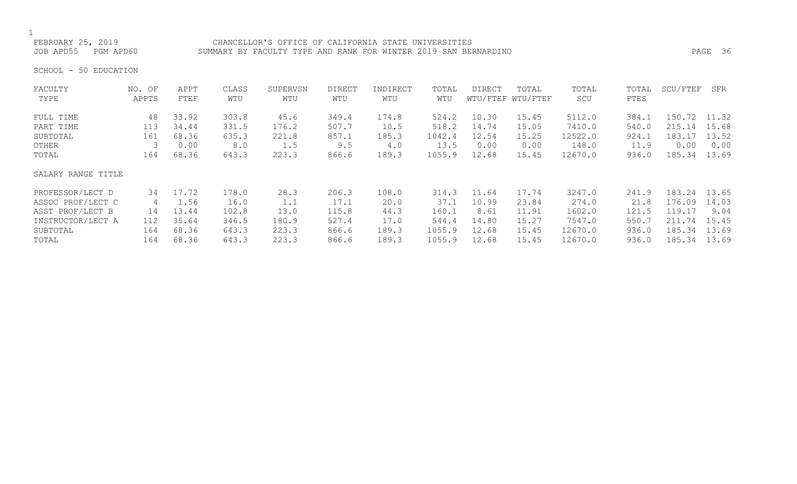FEBRUARY 25, 2019 CHANCELLOR'S OFFICE OF CALIFORNIA STATE UNIVERSITIES JOB APD55 PGM APD60 SUMMARY BY FACULTY TYPE AND RANK FOR WINTER 2019 SAN BERNARDINO PAGE 36

SCHOOL - 50 EDUCATION

| FACULTY            | NO. OF | APPT  | CLASS | SUPERVSN | <b>DIRECT</b> | INDIRECT | TOTAL  | <b>DIRECT</b> | TOTAL             | TOTAL   | TOTAL | SCU/FTEF     | SFR   |
|--------------------|--------|-------|-------|----------|---------------|----------|--------|---------------|-------------------|---------|-------|--------------|-------|
| TYPE               | APPTS  | FTEF  | WTU   | WTU      | WTU           | WTU      | WTU    |               | WTU/FTEF WTU/FTEF | SCU     | FTES  |              |       |
| FULL TIME          | 48     | 33.92 | 303.8 | 45.6     | 349.4         | 174.8    | 524.2  | 10.30         | 15.45             | 5112.0  | 384.1 | 150.72 11.32 |       |
| PART TIME          | 113    | 34.44 | 331.5 | 176.2    | 507.7         | 10.5     | 518.2  | 14.74         | 15.05             | 7410.0  | 540.0 | 215.14       | 15.68 |
| SUBTOTAL           | 161    | 68.36 | 635.3 | 221.8    | 857.1         | 185.3    | 1042.4 | 12.54         | 15.25             | 12522.0 | 924.1 | 183.17       | 13.52 |
| OTHER              |        | 0.00  | 8.0   | 1.5      | 9.5           | 4.0      | 13.5   | 0.00          | 0.00              | 148.0   | 11.9  | 0.00         | 0.00  |
| TOTAL              | 164    | 68.36 | 643.3 | 223.3    | 866.6         | 189.3    | 1055.9 | 12.68         | 15.45             | 12670.0 | 936.0 | 185.34       | 13.69 |
| SALARY RANGE TITLE |        |       |       |          |               |          |        |               |                   |         |       |              |       |
| PROFESSOR/LECT D   | 34     | 17.72 | 178.0 | 28.3     | 206.3         | 108.0    | 314.3  | 11.64         | 17.74             | 3247.0  | 241.9 | 183.24       | 13.65 |
| ASSOC PROF/LECT C  | 4      | 1.56  | 16.0  | 1.1      | 17.1          | 20.0     | 37.1   | 10.99         | 23.84             | 274.0   | 21.8  | 176.09       | 14.03 |
| ASST PROF/LECT B   | 14     | 13.44 | 102.8 | 13.0     | 115.8         | 44.3     | 160.1  | 8.61          | 11.91             | 1602.0  | 121.5 | 119.17       | 9.04  |
| INSTRUCTOR/LECT A  | 112    | 35.64 | 346.5 | 180.9    | 527.4         | 17.0     | 544.4  | 14.80         | 15.27             | 7547.0  | 550.7 | 211.74       | 15.45 |
| SUBTOTAL           | 164    | 68.36 | 643.3 | 223.3    | 866.6         | 189.3    | 1055.9 | 12.68         | 15.45             | 12670.0 | 936.0 | 185.34       | 13.69 |
| TOTAL              | 164    | 68.36 | 643.3 | 223.3    | 866.6         | 189.3    | 1055.9 | 12.68         | 15.45             | 12670.0 | 936.0 | 185.34       | 13.69 |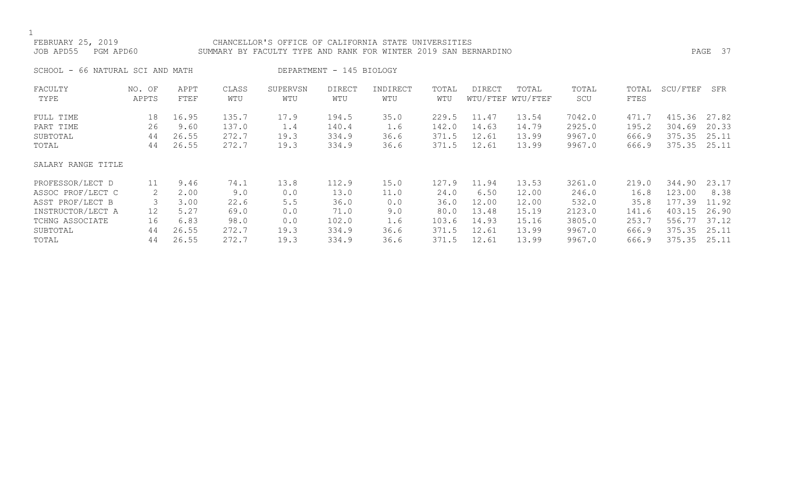### FEBRUARY 25, 2019 CHANCELLOR'S OFFICE OF CALIFORNIA STATE UNIVERSITIES JOB APD55 PGM APD60 SUMMARY BY FACULTY TYPE AND RANK FOR WINTER 2019 SAN BERNARDINO PAGE 37

SCHOOL - 66 NATURAL SCI AND MATH DEPARTMENT - 145 BIOLOGY

| FACULTY            | NO. OF | APPT  | CLASS | SUPERVSN | DIRECT | INDIRECT | TOTAL | DIRECT | TOTAL             | TOTAL  | TOTAL | SCU/FTEF | SFR   |
|--------------------|--------|-------|-------|----------|--------|----------|-------|--------|-------------------|--------|-------|----------|-------|
| TYPE               | APPTS  | FTEF  | WTU   | WTU      | WTU    | WTU      | WTU   |        | WTU/FTEF WTU/FTEF | SCU    | FTES  |          |       |
| FULL TIME          | 18     | 16.95 | 135.7 | 17.9     | 194.5  | 35.0     | 229.5 | 11.47  | 13.54             | 7042.0 | 471.7 | 415.36   | 27.82 |
| PART TIME          | 26     | 9.60  | 137.0 | 1.4      | 140.4  | 1.6      | 142.0 | 14.63  | 14.79             | 2925.0 | 195.2 | 304.69   | 20.33 |
| SUBTOTAL           | 44     | 26.55 | 272.7 | 19.3     | 334.9  | 36.6     | 371.5 | 12.61  | 13.99             | 9967.0 | 666.9 | 375.35   | 25.11 |
| TOTAL              | 44     | 26.55 | 272.7 | 19.3     | 334.9  | 36.6     | 371.5 | 12.61  | 13.99             | 9967.0 | 666.9 | 375.35   | 25.11 |
| SALARY RANGE TITLE |        |       |       |          |        |          |       |        |                   |        |       |          |       |
| PROFESSOR/LECT D   | 11     | 9.46  | 74.1  | 13.8     | 112.9  | 15.0     | 127.9 | 11.94  | 13.53             | 3261.0 | 219.0 | 344.90   | 23.17 |
| ASSOC PROF/LECT C  | 2      | 2.00  | 9.0   | 0.0      | 13.0   | 11.0     | 24.0  | 6.50   | 12.00             | 246.0  | 16.8  | 123.00   | 8.38  |
| ASST PROF/LECT B   |        | 3.00  | 22.6  | 5.5      | 36.0   | 0.0      | 36.0  | 12.00  | 12.00             | 532.0  | 35.8  | 177.39   | 11.92 |
| INSTRUCTOR/LECT A  | 12     | 5.27  | 69.0  | 0.0      | 71.0   | 9.0      | 80.0  | 13.48  | 15.19             | 2123.0 | 141.6 | 403.15   | 26.90 |
| TCHNG ASSOCIATE    | 16     | 6.83  | 98.0  | 0.0      | 102.0  | 1.6      | 103.6 | 14.93  | 15.16             | 3805.0 | 253.7 | 556.77   | 37.12 |
| SUBTOTAL           | 44     | 26.55 | 272.7 | 19.3     | 334.9  | 36.6     | 371.5 | 12.61  | 13.99             | 9967.0 | 666.9 | 375.35   | 25.11 |
| TOTAL              | 44     | 26.55 | 272.7 | 19.3     | 334.9  | 36.6     | 371.5 | 12.61  | 13.99             | 9967.0 | 666.9 | 375.35   | 25.11 |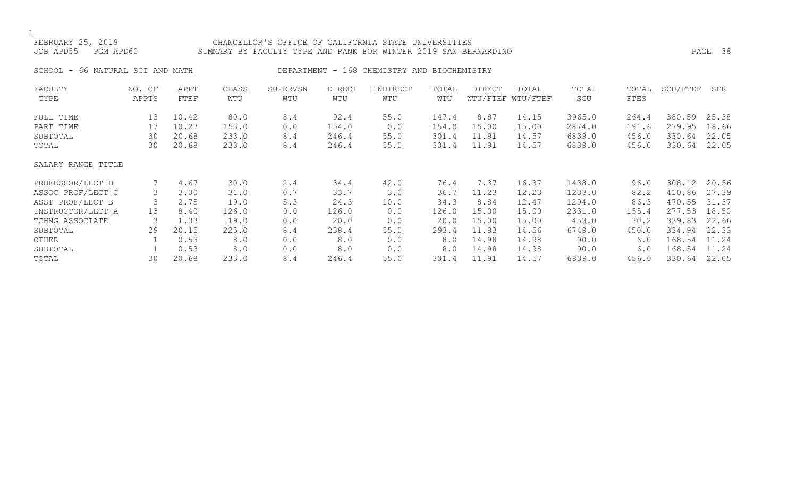FEBRUARY 25, 2019 CHANCELLOR'S OFFICE OF CALIFORNIA STATE UNIVERSITIES

JOB APD55 PGM APD60 SUMMARY BY FACULTY TYPE AND RANK FOR WINTER 2019 SAN BERNARDINO PAGE 38

SCHOOL - 66 NATURAL SCI AND MATH DEPARTMENT - 168 CHEMISTRY AND BIOCHEMISTRY

| FACULTY            | NO. OF | APPT  | CLASS | SUPERVSN | <b>DIRECT</b> | INDIRECT | TOTAL | <b>DIRECT</b> | TOTAL             | TOTAL  | TOTAL | SCU/FTEF | SFR   |
|--------------------|--------|-------|-------|----------|---------------|----------|-------|---------------|-------------------|--------|-------|----------|-------|
| TYPE               | APPTS  | FTEF  | WTU   | WTU      | WTU           | WTU      | WTU   |               | WTU/FTEF WTU/FTEF | SCU    | FTES  |          |       |
| FULL TIME          | 13     | 10.42 | 80.0  | 8.4      | 92.4          | 55.0     | 147.4 | 8.87          | 14.15             | 3965.0 | 264.4 | 380.59   | 25.38 |
| PART TIME          | 17     | 10.27 | 153.0 | 0.0      | 154.0         | 0.0      | 154.0 | 15.00         | 15.00             | 2874.0 | 191.6 | 279.95   | 18.66 |
| SUBTOTAL           | 30     | 20.68 | 233.0 | 8.4      | 246.4         | 55.0     | 301.4 | 11.91         | 14.57             | 6839.0 | 456.0 | 330.64   | 22.05 |
| TOTAL              | 30     | 20.68 | 233.0 | 8.4      | 246.4         | 55.0     | 301.4 | 11.91         | 14.57             | 6839.0 | 456.0 | 330.64   | 22.05 |
| SALARY RANGE TITLE |        |       |       |          |               |          |       |               |                   |        |       |          |       |
| PROFESSOR/LECT D   |        | 4.67  | 30.0  | 2.4      | 34.4          | 42.0     | 76.4  | 7.37          | 16.37             | 1438.0 | 96.0  | 308.12   | 20.56 |
| ASSOC PROF/LECT C  | 3      | 3.00  | 31.0  | 0.7      | 33.7          | 3.0      | 36.7  | 11.23         | 12.23             | 1233.0 | 82.2  | 410.86   | 27.39 |
| ASST PROF/LECT B   |        | 2.75  | 19.0  | 5.3      | 24.3          | 10.0     | 34.3  | 8.84          | 12.47             | 1294.0 | 86.3  | 470.55   | 31.37 |
| INSTRUCTOR/LECT A  | 13     | 8.40  | 126.0 | 0.0      | 126.0         | 0.0      | 126.0 | 15.00         | 15.00             | 2331.0 | 155.4 | 277.53   | 18.50 |
| TCHNG ASSOCIATE    |        | 1.33  | 19.0  | 0.0      | 20.0          | 0.0      | 20.0  | 15.00         | 15.00             | 453.0  | 30.2  | 339.83   | 22.66 |
| SUBTOTAL           | 29     | 20.15 | 225.0 | 8.4      | 238.4         | 55.0     | 293.4 | 11.83         | 14.56             | 6749.0 | 450.0 | 334.94   | 22.33 |
| OTHER              |        | 0.53  | 8.0   | 0.0      | 8.0           | 0.0      | 8.0   | 14.98         | 14.98             | 90.0   | 6.0   | 168.54   | 11.24 |
| SUBTOTAL           |        | 0.53  | 8.0   | 0.0      | 8.0           | 0.0      | 8.0   | 14.98         | 14.98             | 90.0   | 6.0   | 168.54   | 11.24 |
| TOTAL              | 30     | 20.68 | 233.0 | 8.4      | 246.4         | 55.0     | 301.4 | 11.91         | 14.57             | 6839.0 | 456.0 | 330.64   | 22.05 |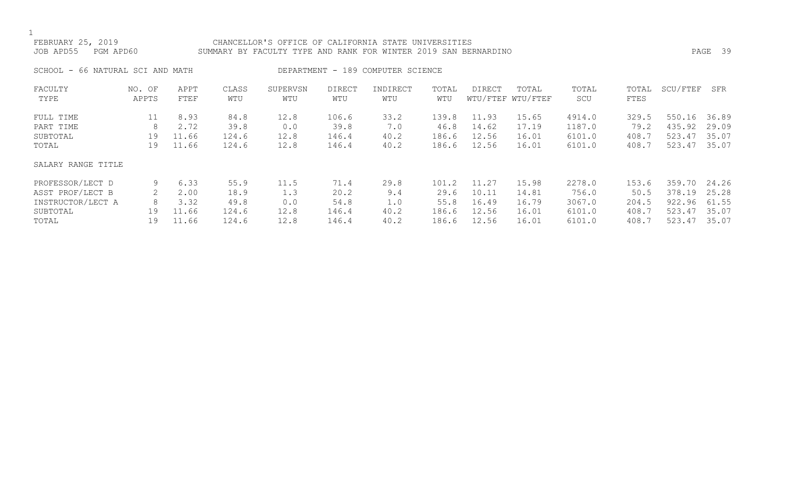# FEBRUARY 25, 2019 CHANCELLOR'S OFFICE OF CALIFORNIA STATE UNIVERSITIES JOB APD55 PGM APD60 SUMMARY BY FACULTY TYPE AND RANK FOR WINTER 2019 SAN BERNARDINO PAGE 39

SCHOOL - 66 NATURAL SCI AND MATH DEPARTMENT - 189 COMPUTER SCIENCE

| FACULTY            | NO. OF | APPT  | CLASS | SUPERVSN | DIRECT | INDIRECT | TOTAL | DIRECT | TOTAL             | TOTAL  | TOTAL | SCU/FTEF | SFR   |
|--------------------|--------|-------|-------|----------|--------|----------|-------|--------|-------------------|--------|-------|----------|-------|
| TYPE               | APPTS  | FTEF  | WTU   | WTU      | WTU    | WTU      | WTU   |        | WTU/FTEF WTU/FTEF | SCU    | FTES  |          |       |
| FULL TIME          | 11     | 8.93  | 84.8  | 12.8     | 106.6  | 33.2     | 139.8 | 11.93  | 15.65             | 4914.0 | 329.5 | 550.16   | 36.89 |
| PART TIME          | 8      | 2.72  | 39.8  | 0.0      | 39.8   | 7.0      | 46.8  | 14.62  | 17.19             | 1187.0 | 79.2  | 435.92   | 29.09 |
| SUBTOTAL           | 19     | 11.66 | 124.6 | 12.8     | 146.4  | 40.2     | 186.6 | 12.56  | 16.01             | 6101.0 | 408.7 | 523.47   | 35.07 |
| TOTAL              | 19     | 11.66 | 124.6 | 12.8     | 146.4  | 40.2     | 186.6 | 12.56  | 16.01             | 6101.0 | 408.7 | 523.47   | 35.07 |
| SALARY RANGE TITLE |        |       |       |          |        |          |       |        |                   |        |       |          |       |
| PROFESSOR/LECT D   | 9      | 6.33  | 55.9  | 11.5     | 71.4   | 29.8     | 101.2 | 11.27  | 15.98             | 2278.0 | 153.6 | 359.70   | 24.26 |
| ASST PROF/LECT B   |        | 2.00  | 18.9  | 1.3      | 20.2   | 9.4      | 29.6  | 10.11  | 14.81             | 756.0  | 50.5  | 378.19   | 25.28 |
| INSTRUCTOR/LECT A  | 8      | 3.32  | 49.8  | 0.0      | 54.8   | 1.0      | 55.8  | 16.49  | 16.79             | 3067.0 | 204.5 | 922.96   | 61.55 |
| SUBTOTAL           | 19     | 11.66 | 124.6 | 12.8     | 146.4  | 40.2     | 186.6 | 12.56  | 16.01             | 6101.0 | 408.7 | 523.47   | 35.07 |
| TOTAL              | 19     | 11.66 | 124.6 | 12.8     | 146.4  | 40.2     | 186.6 | 12.56  | 16.01             | 6101.0 | 408.7 | 523.47   | 35.07 |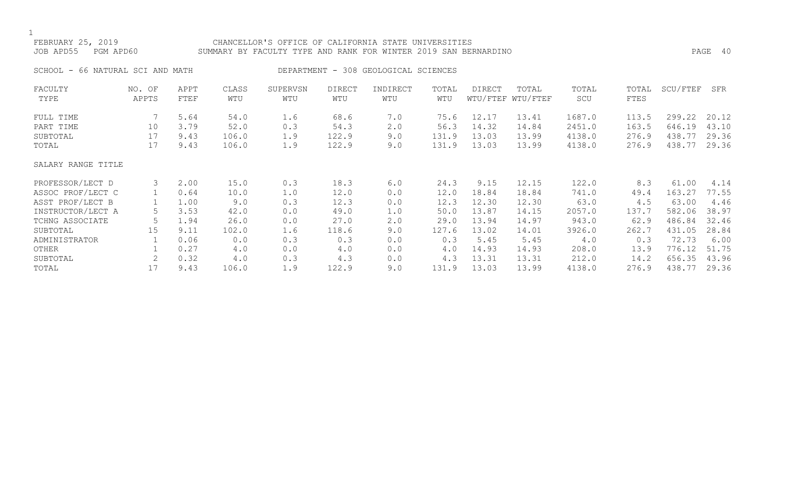# FEBRUARY 25, 2019 CHANCELLOR'S OFFICE OF CALIFORNIA STATE UNIVERSITIES JOB APD55 PGM APD60 SUMMARY BY FACULTY TYPE AND RANK FOR WINTER 2019 SAN BERNARDINO PAGE 40 SCHOOL - 66 NATURAL SCI AND MATH DEPARTMENT - 308 GEOLOGICAL SCIENCES FACULTY NO. OF APPT CLASS SUPERVSN DIRECT INDIRECT TOTAL DIRECT TOTAL TOTAL TOTAL SCU/FTEF SFR TYPE APPTS FTEF WTU WTU WTU WTU WTU WTU/FTEF WTU/FTEF SCU FTES FULL TIME 7 5.64 54.0 1.6 68.6 7.0 75.6 12.17 13.41 1687.0 113.5 299.22 20.12 PART TIME 10 3.79 52.0 0.3 54.3 2.0 56.3 14.32 14.84 2451.0 163.5 646.19 43.10 SUBTOTAL 17 9.43 106.0 1.9 122.9 9.0 131.9 13.03 13.99 4138.0 276.9 438.77 29.36 TOTAL 17 9.43 106.0 1.9 122.9 9.0 131.9 13.03 13.99 4138.0 276.9 438.77 29.36

### SALARY RANGE TITLE

| PROFESSOR/LECT D  |    | 2.00 | 15.0  | 0.3 | 18.3  | 6.0 | 24.3  | 9.15  | 12.15 | 122.0  | 8.3   | 61.00  | 4.14  |
|-------------------|----|------|-------|-----|-------|-----|-------|-------|-------|--------|-------|--------|-------|
| ASSOC PROF/LECT C |    | 0.64 | 10.0  | 1.0 | 12.0  | 0.0 | 12.0  | 18.84 | 18.84 | 741.0  | 49.4  | 163.27 | 77.55 |
| ASST PROF/LECT B  |    | 1.00 | 9.0   | 0.3 | 12.3  | 0.0 | 12.3  | 12.30 | 12.30 | 63.0   | 4.5   | 63.00  | 4.46  |
| INSTRUCTOR/LECT A |    | 3.53 | 42.0  | 0.0 | 49.0  | 1.0 | 50.0  | 13.87 | 14.15 | 2057.0 | 137.7 | 582.06 | 38.97 |
| TCHNG ASSOCIATE   |    | 1.94 | 26.0  | 0.0 | 27.0  | 2.0 | 29.0  | 13.94 | 14.97 | 943.0  | 62.9  | 486.84 | 32.46 |
| SUBTOTAL          | 15 | 9.11 | 102.0 | 1.6 | 118.6 | 9.0 | 127.6 | 13.02 | 14.01 | 3926.0 | 262.7 | 431.05 | 28.84 |
| ADMINISTRATOR     |    | 0.06 | 0.0   | 0.3 | 0.3   | 0.0 | 0.3   | 5.45  | 5.45  | 4.0    | 0.3   | 72.73  | 6.00  |
| OTHER             |    | 0.27 | 4.0   | 0.0 | 4.0   | 0.0 | 4.0   | 14.93 | 14.93 | 208.0  | 13.9  | 776.12 | 51.75 |
| SUBTOTAL          |    | 0.32 | 4.0   | 0.3 | 4.3   | 0.0 | 4.3   | 13.31 | 13.31 | 212.0  | 14.2  | 656.35 | 43.96 |
| TOTAL             |    | 9.43 | 106.0 | 1.9 | 122.9 | 9.0 | 131.9 | 13.03 | 13.99 | 4138.0 | 276.9 | 438.77 | 29.36 |
|                   |    |      |       |     |       |     |       |       |       |        |       |        |       |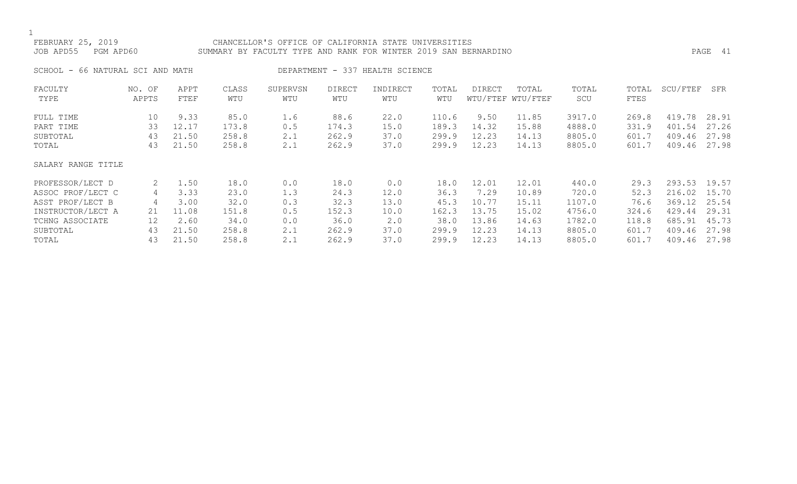### FEBRUARY 25, 2019 CHANCELLOR'S OFFICE OF CALIFORNIA STATE UNIVERSITIES JOB APD55 PGM APD60 SUMMARY BY FACULTY TYPE AND RANK FOR WINTER 2019 SAN BERNARDINO PAGE 41

SCHOOL - 66 NATURAL SCI AND MATH DEPARTMENT - 337 HEALTH SCIENCE

| FACULTY            | NO. OF | APPT  | CLASS | SUPERVSN | <b>DIRECT</b> | INDIRECT | TOTAL | DIRECT | TOTAL             | TOTAL  | TOTAL | SCU/FTEF | SFR   |
|--------------------|--------|-------|-------|----------|---------------|----------|-------|--------|-------------------|--------|-------|----------|-------|
| TYPE               | APPTS  | FTEF  | WTU   | WTU      | WTU           | WTU      | WTU   |        | WTU/FTEF WTU/FTEF | SCU    | FTES  |          |       |
| FULL TIME          | 10     | 9.33  | 85.0  | 1.6      | 88.6          | 22.0     | 110.6 | 9.50   | 11.85             | 3917.0 | 269.8 | 419.78   | 28.91 |
|                    |        |       |       |          |               |          |       |        |                   |        |       |          |       |
| PART TIME          | 33     | 12.17 | 173.8 | 0.5      | 174.3         | 15.0     | 189.3 | 14.32  | 15.88             | 4888.0 | 331.9 | 401.54   | 27.26 |
| SUBTOTAL           | 43     | 21.50 | 258.8 | 2.1      | 262.9         | 37.0     | 299.9 | 12.23  | 14.13             | 8805.0 | 601.7 | 409.46   | 27.98 |
| TOTAL              | 43     | 21.50 | 258.8 | 2.1      | 262.9         | 37.0     | 299.9 | 12.23  | 14.13             | 8805.0 | 601.7 | 409.46   | 27.98 |
| SALARY RANGE TITLE |        |       |       |          |               |          |       |        |                   |        |       |          |       |
|                    |        |       |       |          |               |          |       |        |                   |        |       |          |       |
| PROFESSOR/LECT D   | 2      | 1.50  | 18.0  | 0.0      | 18.0          | 0.0      | 18.0  | 12.01  | 12.01             | 440.0  | 29.3  | 293.53   | 19.57 |
| ASSOC PROF/LECT C  | 4      | 3.33  | 23.0  | 1.3      | 24.3          | 12.0     | 36.3  | 7.29   | 10.89             | 720.0  | 52.3  | 216.02   | 15.70 |
| ASST PROF/LECT B   | 4      | 3.00  | 32.0  | 0.3      | 32.3          | 13.0     | 45.3  | 10.77  | 15.11             | 1107.0 | 76.6  | 369.12   | 25.54 |
| INSTRUCTOR/LECT A  | 21     | 11.08 | 151.8 | 0.5      | 152.3         | 10.0     | 162.3 | 13.75  | 15.02             | 4756.0 | 324.6 | 429.44   | 29.31 |
| TCHNG ASSOCIATE    | 12     | 2.60  | 34.0  | 0.0      | 36.0          | 2.0      | 38.0  | 13.86  | 14.63             | 1782.0 | 118.8 | 685.91   | 45.73 |
| SUBTOTAL           | 43     | 21.50 | 258.8 | 2.1      | 262.9         | 37.0     | 299.9 | 12.23  | 14.13             | 8805.0 | 601.7 | 409.46   | 27.98 |
| TOTAL              | 43     | 21.50 | 258.8 | 2.1      | 262.9         | 37.0     | 299.9 | 12.23  | 14.13             | 8805.0 | 601.7 | 409.46   | 27.98 |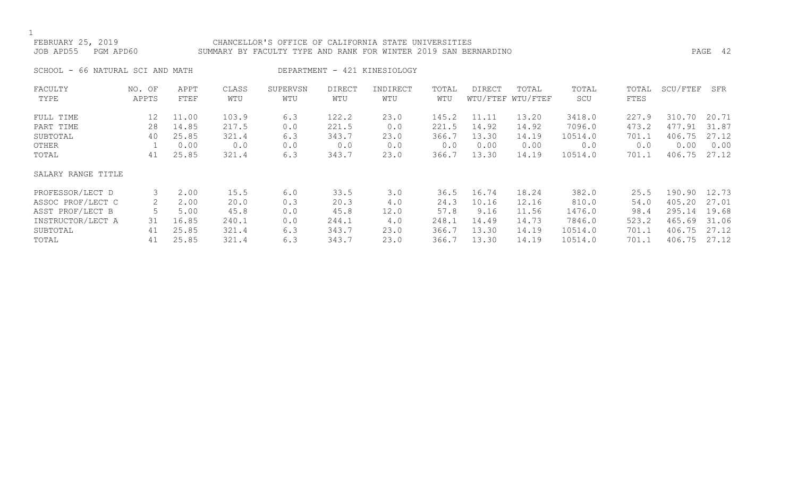### FEBRUARY 25, 2019 CHANCELLOR'S OFFICE OF CALIFORNIA STATE UNIVERSITIES JOB APD55 PGM APD60 SUMMARY BY FACULTY TYPE AND RANK FOR WINTER 2019 SAN BERNARDINO PAGE 42

SCHOOL - 66 NATURAL SCI AND MATH DEPARTMENT - 421 KINESIOLOGY

| FACULTY            | NO. OF | APPT  | CLASS | SUPERVSN | <b>DIRECT</b> | INDIRECT | TOTAL | DIRECT | TOTAL             | TOTAL   | TOTAL | SCU/FTEF | SFR   |
|--------------------|--------|-------|-------|----------|---------------|----------|-------|--------|-------------------|---------|-------|----------|-------|
| TYPE               | APPTS  | FTEF  | WTU   | WTU      | WTU           | WTU      | WTU   |        | WTU/FTEF WTU/FTEF | SCU     | FTES  |          |       |
| FULL TIME          | 12     | 11.00 | 103.9 | 6.3      | 122.2         | 23.0     | 145.2 | 11.11  | 13.20             | 3418.0  | 227.9 | 310.70   | 20.71 |
| PART TIME          | 28     | 14.85 | 217.5 | 0.0      | 221.5         | 0.0      | 221.5 | 14.92  | 14.92             | 7096.0  | 473.2 | 477.91   | 31.87 |
| SUBTOTAL           | 40     | 25.85 | 321.4 | 6.3      | 343.7         | 23.0     | 366.7 | 13.30  | 14.19             | 10514.0 | 701.1 | 406.75   | 27.12 |
| OTHER              |        | 0.00  | 0.0   | 0.0      | 0.0           | 0.0      | 0.0   | 0.00   | 0.00              | 0.0     | 0.0   | 0.00     | 0.00  |
| TOTAL              | 41     | 25.85 | 321.4 | 6.3      | 343.7         | 23.0     | 366.7 | 13.30  | 14.19             | 10514.0 | 701.1 | 406.75   | 27.12 |
| SALARY RANGE TITLE |        |       |       |          |               |          |       |        |                   |         |       |          |       |
| PROFESSOR/LECT D   | 3      | 2.00  | 15.5  | 6.0      | 33.5          | 3.0      | 36.5  | 16.74  | 18.24             | 382.0   | 25.5  | 190.90   | 12.73 |
| ASSOC PROF/LECT C  | 2.     | 2.00  | 20.0  | 0.3      | 20.3          | 4.0      | 24.3  | 10.16  | 12.16             | 810.0   | 54.0  | 405.20   | 27.01 |
| ASST PROF/LECT B   |        | 5.00  | 45.8  | 0.0      | 45.8          | 12.0     | 57.8  | 9.16   | 11.56             | 1476.0  | 98.4  | 295.14   | 19.68 |
| INSTRUCTOR/LECT A  | 31     | 16.85 | 240.1 | 0.0      | 244.1         | 4.0      | 248.1 | 14.49  | 14.73             | 7846.0  | 523.2 | 465.69   | 31.06 |
| SUBTOTAL           | 41     | 25.85 | 321.4 | 6.3      | 343.7         | 23.0     | 366.7 | 13.30  | 14.19             | 10514.0 | 701.1 | 406.75   | 27.12 |
| TOTAL              | 41     | 25.85 | 321.4 | 6.3      | 343.7         | 23.0     | 366.7 | 13.30  | 14.19             | 10514.0 | 701.1 | 406.75   | 27.12 |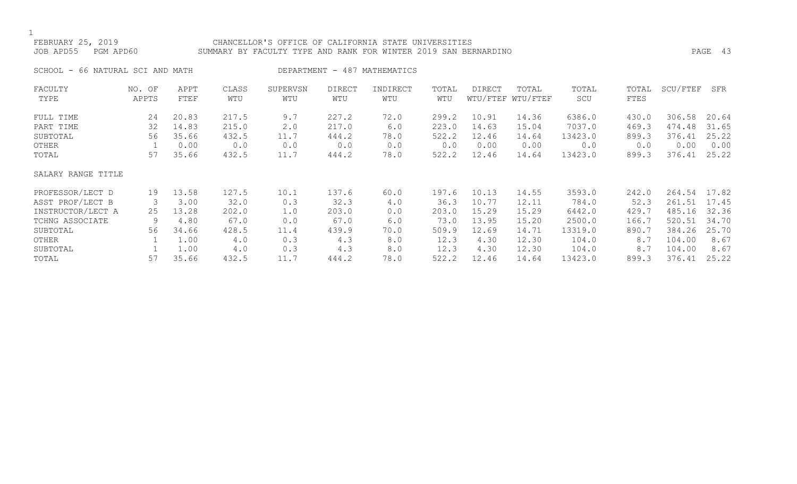### FEBRUARY 25, 2019 CHANCELLOR'S OFFICE OF CALIFORNIA STATE UNIVERSITIES JOB APD55 PGM APD60 SUMMARY BY FACULTY TYPE AND RANK FOR WINTER 2019 SAN BERNARDINO PAGE 43

SCHOOL - 66 NATURAL SCI AND MATH DEPARTMENT - 487 MATHEMATICS

| FACULTY            | NO. OF | APPT  | CLASS | SUPERVSN | <b>DIRECT</b> | INDIRECT | TOTAL | <b>DIRECT</b> | TOTAL             | TOTAL   | TOTAL | SCU/FTEF | SFR   |
|--------------------|--------|-------|-------|----------|---------------|----------|-------|---------------|-------------------|---------|-------|----------|-------|
| TYPE               | APPTS  | FTEF  | WTU   | WTU      | WTU           | WTU      | WTU   |               | WTU/FTEF WTU/FTEF | SCU     | FTES  |          |       |
| FULL TIME          | 24     | 20.83 | 217.5 | 9.7      | 227.2         | 72.0     | 299.2 | 10.91         | 14.36             | 6386.0  | 430.0 | 306.58   | 20.64 |
| PART TIME          | 32     | 14.83 | 215.0 | 2.0      | 217.0         | 6.0      | 223.0 | 14.63         | 15.04             | 7037.0  | 469.3 | 474.48   | 31.65 |
| SUBTOTAL           | 56     | 35.66 | 432.5 | 11.7     | 444.2         | 78.0     | 522.2 | 12.46         | 14.64             | 13423.0 | 899.3 | 376.41   | 25.22 |
| OTHER              |        | 0.00  | 0.0   | 0.0      | 0.0           | 0.0      | 0.0   | 0.00          | 0.00              | 0.0     | 0.0   | 0.00     | 0.00  |
| TOTAL              | 57     | 35.66 | 432.5 | 11.7     | 444.2         | 78.0     | 522.2 | 12.46         | 14.64             | 13423.0 | 899.3 | 376.41   | 25.22 |
| SALARY RANGE TITLE |        |       |       |          |               |          |       |               |                   |         |       |          |       |
| PROFESSOR/LECT D   | 19     | 13.58 | 127.5 | 10.1     | 137.6         | 60.0     | 197.6 | 10.13         | 14.55             | 3593.0  | 242.0 | 264.54   | 17.82 |
| ASST PROF/LECT B   |        | 3.00  | 32.0  | 0.3      | 32.3          | 4.0      | 36.3  | 10.77         | 12.11             | 784.0   | 52.3  | 261.51   | 17.45 |
| INSTRUCTOR/LECT A  | 25     | 13.28 | 202.0 | 1.0      | 203.0         | 0.0      | 203.0 | 15.29         | 15.29             | 6442.0  | 429.7 | 485.16   | 32.36 |
| TCHNG ASSOCIATE    | 9      | 4.80  | 67.0  | 0.0      | 67.0          | 6.0      | 73.0  | 13.95         | 15.20             | 2500.0  | 166.7 | 520.51   | 34.70 |
| SUBTOTAL           | 56     | 34.66 | 428.5 | 11.4     | 439.9         | 70.0     | 509.9 | 12.69         | 14.71             | 13319.0 | 890.7 | 384.26   | 25.70 |
| OTHER              |        | 1.00  | 4.0   | 0.3      | 4.3           | 8.0      | 12.3  | 4.30          | 12.30             | 104.0   | 8.7   | 104.00   | 8.67  |
| SUBTOTAL           |        | 1.00  | 4.0   | 0.3      | 4.3           | 8.0      | 12.3  | 4.30          | 12.30             | 104.0   | 8.7   | 104.00   | 8.67  |
| TOTAL              | 57     | 35.66 | 432.5 | 11.7     | 444.2         | 78.0     | 522.2 | 12.46         | 14.64             | 13423.0 | 899.3 | 376.41   | 25.22 |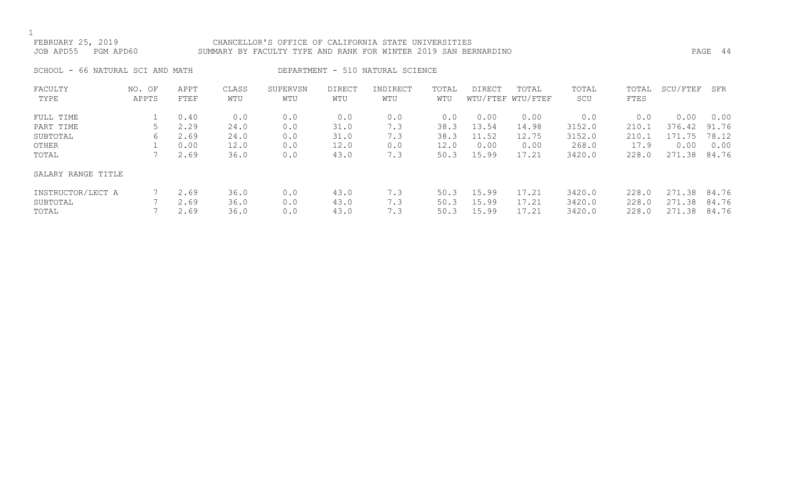### FEBRUARY 25, 2019 CHANCELLOR'S OFFICE OF CALIFORNIA STATE UNIVERSITIES JOB APD55 PGM APD60 SUMMARY BY FACULTY TYPE AND RANK FOR WINTER 2019 SAN BERNARDINO PAGE 44

SCHOOL - 66 NATURAL SCI AND MATH DEPARTMENT - 510 NATURAL SCIENCE

| FACULTY<br>TYPE                        | NO. OF<br>APPTS | APPT<br>FTEF         | CLASS<br>WTU         | SUPERVSN<br>WTU   | DIRECT<br>WTU        | INDIRECT<br>WTU   | TOTAL<br>WTU         | <b>DIRECT</b>           | TOTAL<br>WTU/FTEF WTU/FTEF | TOTAL<br>SCU               | TOTAL<br>FTES           | SCU/FTEF                   | SFR                     |
|----------------------------------------|-----------------|----------------------|----------------------|-------------------|----------------------|-------------------|----------------------|-------------------------|----------------------------|----------------------------|-------------------------|----------------------------|-------------------------|
| FULL TIME                              |                 | 0.40                 | 0.0                  | 0.0               | 0.0                  | 0.0               | 0.0                  | 0.00                    | 0.00                       | 0.0                        | 0.0                     | 0.00                       | 0.00                    |
| PART TIME                              |                 | 2.29                 | 24.0                 | 0.0               | 31.0                 | 7.3               | 38.3                 | 13.54                   | 14.98                      | 3152.0                     | 210.1                   | 376.42                     | 91.76                   |
| SUBTOTAL                               | რ.              | 2.69                 | 24.0                 | 0.0               | 31.0                 | 7.3               | 38.3                 | 11.52                   | 12.75                      | 3152.0                     | 210.1                   | 171.75                     | 78.12                   |
| OTHER                                  |                 | 0.00                 | 12.0                 | 0.0               | 12.0                 | 0.0               | 12.0                 | 0.00                    | 0.00                       | 268.0                      | 17.9                    | 0.00                       | 0.00                    |
| TOTAL                                  |                 | 2.69                 | 36.0                 | 0.0               | 43.0                 | 7.3               | 50.3                 | 15.99                   | 17.21                      | 3420.0                     | 228.0                   | 271.38                     | 84.76                   |
| SALARY RANGE TITLE                     |                 |                      |                      |                   |                      |                   |                      |                         |                            |                            |                         |                            |                         |
| INSTRUCTOR/LECT A<br>SUBTOTAL<br>TOTAL |                 | 2.69<br>2.69<br>2.69 | 36.0<br>36.0<br>36.0 | 0.0<br>0.0<br>0.0 | 43.0<br>43.0<br>43.0 | 7.3<br>7.3<br>7.3 | 50.3<br>50.3<br>50.3 | 15.99<br>15.99<br>15.99 | 17.21<br>17.21<br>17.21    | 3420.0<br>3420.0<br>3420.0 | 228.0<br>228.0<br>228.0 | 271.38<br>271.38<br>271.38 | 84.76<br>84.76<br>84.76 |
|                                        |                 |                      |                      |                   |                      |                   |                      |                         |                            |                            |                         |                            |                         |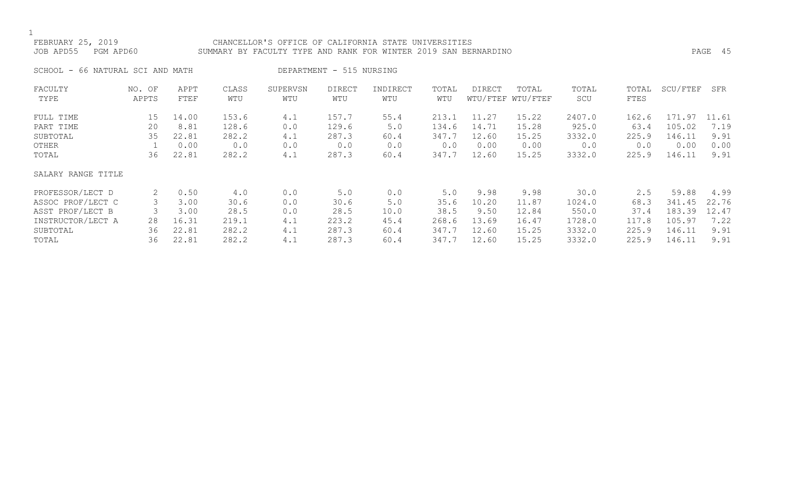# FEBRUARY 25, 2019 CHANCELLOR'S OFFICE OF CALIFORNIA STATE UNIVERSITIES JOB APD55 PGM APD60 SUMMARY BY FACULTY TYPE AND RANK FOR WINTER 2019 SAN BERNARDINO PAGE 45

SCHOOL - 66 NATURAL SCI AND MATH DEPARTMENT - 515 NURSING

| FACULTY            | NO. OF | APPT  | CLASS | SUPERVSN | <b>DIRECT</b> | INDIRECT | TOTAL | <b>DIRECT</b> | TOTAL             | TOTAL  | TOTAL | SCU/FTEF | SFR   |
|--------------------|--------|-------|-------|----------|---------------|----------|-------|---------------|-------------------|--------|-------|----------|-------|
| TYPE               | APPTS  | FTEF  | WTU   | WTU      | WTU           | WTU      | WTU   |               | WTU/FTEF WTU/FTEF | SCU    | FTES  |          |       |
| FULL TIME          | 15     | 14.00 | 153.6 | 4.1      | 157.7         | 55.4     | 213.1 | 11.27         | 15.22             | 2407.0 | 162.6 | 171.97   | 11.61 |
| PART TIME          | 20     | 8.81  | 128.6 | 0.0      | 129.6         | 5.0      | 134.6 | 14.71         | 15.28             | 925.0  | 63.4  | 105.02   | 7.19  |
| SUBTOTAL           | 35     | 22.81 | 282.2 | 4.1      | 287.3         | 60.4     | 347.7 | 12.60         | 15.25             | 3332.0 | 225.9 | 146.11   | 9.91  |
| OTHER              |        | 0.00  | 0.0   | 0.0      | 0.0           | 0.0      | 0.0   | 0.00          | 0.00              | 0.0    | 0.0   | 0.00     | 0.00  |
| TOTAL              | 36     | 22.81 | 282.2 | 4.1      | 287.3         | 60.4     | 347.7 | 12.60         | 15.25             | 3332.0 | 225.9 | 146.11   | 9.91  |
| SALARY RANGE TITLE |        |       |       |          |               |          |       |               |                   |        |       |          |       |
| PROFESSOR/LECT D   | 2      | 0.50  | 4.0   | 0.0      | 5.0           | 0.0      | 5.0   | 9.98          | 9.98              | 30.0   | 2.5   | 59.88    | 4.99  |
| ASSOC PROF/LECT C  |        | 3.00  | 30.6  | 0.0      | 30.6          | 5.0      | 35.6  | 10.20         | 11.87             | 1024.0 | 68.3  | 341.45   | 22.76 |
| ASST PROF/LECT B   |        | 3.00  | 28.5  | 0.0      | 28.5          | 10.0     | 38.5  | 9.50          | 12.84             | 550.0  | 37.4  | 183.39   | 12.47 |
| INSTRUCTOR/LECT A  | 28     | 16.31 | 219.1 | 4.1      | 223.2         | 45.4     | 268.6 | 13.69         | 16.47             | 1728.0 | 117.8 | 105.97   | 7.22  |
| SUBTOTAL           | 36     | 22.81 | 282.2 | 4.1      | 287.3         | 60.4     | 347.7 | 12.60         | 15.25             | 3332.0 | 225.9 | 146.11   | 9.91  |
| TOTAL              | 36     | 22.81 | 282.2 | 4.1      | 287.3         | 60.4     | 347.7 | 12.60         | 15.25             | 3332.0 | 225.9 | 146.11   | 9.91  |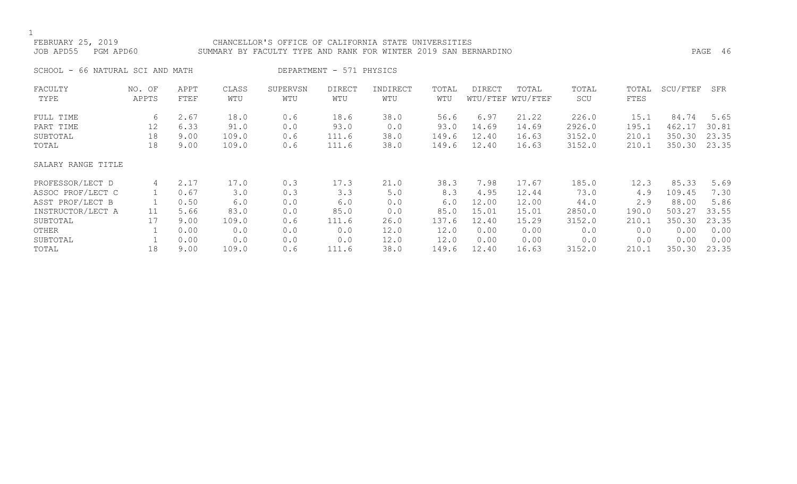### FEBRUARY 25, 2019 CHANCELLOR'S OFFICE OF CALIFORNIA STATE UNIVERSITIES JOB APD55 PGM APD60 SUMMARY BY FACULTY TYPE AND RANK FOR WINTER 2019 SAN BERNARDINO PAGE 46

| SCHOOL - 66 NATURAL SCI AND MATI |  |  |  |  |
|----------------------------------|--|--|--|--|
|----------------------------------|--|--|--|--|

ATH DEPARTMENT - 571 PHYSICS

| FACULTY            | NO. OF | APPT | CLASS | SUPERVSN | <b>DIRECT</b> | INDIRECT | TOTAL | DIRECT | TOTAL             | TOTAL  | TOTAL | SCU/FTEF | SFR   |
|--------------------|--------|------|-------|----------|---------------|----------|-------|--------|-------------------|--------|-------|----------|-------|
| TYPE               | APPTS  | FTEF | WTU   | WTU      | WTU           | WTU      | WTU   |        | WTU/FTEF WTU/FTEF | SCU    | FTES  |          |       |
| FULL TIME          | 6      | 2.67 | 18.0  | 0.6      | 18.6          | 38.0     | 56.6  | 6.97   | 21.22             | 226.0  | 15.1  | 84.74    | 5.65  |
| PART TIME          | 12     | 6.33 | 91.0  | 0.0      | 93.0          | 0.0      | 93.0  | 14.69  | 14.69             | 2926.0 | 195.1 | 462.17   | 30.81 |
| SUBTOTAL           | 18     | 9.00 | 109.0 | 0.6      | 111.6         | 38.0     | 149.6 | 12.40  | 16.63             | 3152.0 | 210.1 | 350.30   | 23.35 |
| TOTAL              | 18     | 9.00 | 109.0 | 0.6      | 111.6         | 38.0     | 149.6 | 12.40  | 16.63             | 3152.0 | 210.1 | 350.30   | 23.35 |
| SALARY RANGE TITLE |        |      |       |          |               |          |       |        |                   |        |       |          |       |
| PROFESSOR/LECT D   | 4      | 2.17 | 17.0  | 0.3      | 17.3          | 21.0     | 38.3  | 7.98   | 17.67             | 185.0  | 12.3  | 85.33    | 5.69  |
| ASSOC PROF/LECT C  |        | 0.67 | 3.0   | 0.3      | 3.3           | 5.0      | 8.3   | 4.95   | 12.44             | 73.0   | 4.9   | 109.45   | 7.30  |
| ASST PROF/LECT B   |        | 0.50 | 6.0   | 0.0      | 6.0           | 0.0      | 6.0   | 12.00  | 12.00             | 44.0   | 2.9   | 88.00    | 5.86  |
| INSTRUCTOR/LECT A  | 11     | 5.66 | 83.0  | 0.0      | 85.0          | 0.0      | 85.0  | 15.01  | 15.01             | 2850.0 | 190.0 | 503.27   | 33.55 |
| SUBTOTAL           | 17     | 9.00 | 109.0 | 0.6      | 111.6         | 26.0     | 137.6 | 12.40  | 15.29             | 3152.0 | 210.1 | 350.30   | 23.35 |
| OTHER              |        | 0.00 | 0.0   | 0.0      | 0.0           | 12.0     | 12.0  | 0.00   | 0.00              | 0.0    | 0.0   | 0.00     | 0.00  |
| SUBTOTAL           |        | 0.00 | 0.0   | 0.0      | 0.0           | 12.0     | 12.0  | 0.00   | 0.00              | 0.0    | 0.0   | 0.00     | 0.00  |
| TOTAL              | 18     | 9.00 | 109.0 | 0.6      | 111.6         | 38.0     | 149.6 | 12.40  | 16.63             | 3152.0 | 210.1 | 350.30   | 23.35 |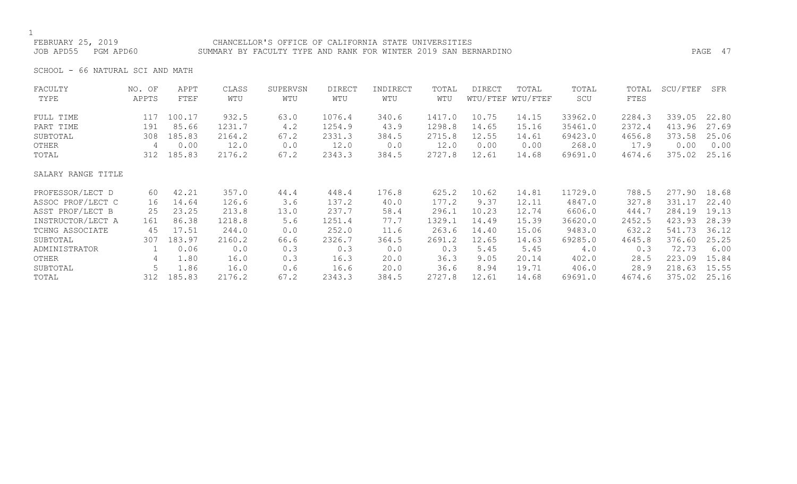### FEBRUARY 25, 2019 CHANCELLOR'S OFFICE OF CALIFORNIA STATE UNIVERSITIES JOB APD55 PGM APD60 SUMMARY BY FACULTY TYPE AND RANK FOR WINTER 2019 SAN BERNARDINO PAGE 47

SCHOOL - 66 NATURAL SCI AND MATH

| FACULTY            | NO. OF | APPT   | CLASS  | SUPERVSN | <b>DIRECT</b> | INDIRECT | TOTAL  | DIRECT | TOTAL             | TOTAL   | TOTAL  | SCU/FTEF | SFR   |
|--------------------|--------|--------|--------|----------|---------------|----------|--------|--------|-------------------|---------|--------|----------|-------|
| TYPE               | APPTS  | FTEF   | WTU    | WTU      | WTU           | WTU      | WTU    |        | WTU/FTEF WTU/FTEF | SCU     | FTES   |          |       |
| FULL TIME          | 117    | 100.17 | 932.5  | 63.0     | 1076.4        | 340.6    | 1417.0 | 10.75  | 14.15             | 33962.0 | 2284.3 | 339.05   | 22.80 |
| PART TIME          | 191    | 85.66  | 1231.7 | 4.2      | 1254.9        | 43.9     | 1298.8 | 14.65  | 15.16             | 35461.0 | 2372.4 | 413.96   | 27.69 |
| SUBTOTAL           | 308    | 185.83 | 2164.2 | 67.2     | 2331.3        | 384.5    | 2715.8 | 12.55  | 14.61             | 69423.0 | 4656.8 | 373.58   | 25.06 |
| OTHER              | 4      | 0.00   | 12.0   | 0.0      | 12.0          | 0.0      | 12.0   | 0.00   | 0.00              | 268.0   | 17.9   | 0.00     | 0.00  |
| TOTAL              | 312    | 185.83 | 2176.2 | 67.2     | 2343.3        | 384.5    | 2727.8 | 12.61  | 14.68             | 69691.0 | 4674.6 | 375.02   | 25.16 |
| SALARY RANGE TITLE |        |        |        |          |               |          |        |        |                   |         |        |          |       |
| PROFESSOR/LECT D   | 60     | 42.21  | 357.0  | 44.4     | 448.4         | 176.8    | 625.2  | 10.62  | 14.81             | 11729.0 | 788.5  | 277.90   | 18.68 |
| ASSOC PROF/LECT C  | 16     | 14.64  | 126.6  | 3.6      | 137.2         | 40.0     | 177.2  | 9.37   | 12.11             | 4847.0  | 327.8  | 331.17   | 22.40 |
| ASST PROF/LECT B   | 25     | 23.25  | 213.8  | 13.0     | 237.7         | 58.4     | 296.1  | 10.23  | 12.74             | 6606.0  | 444.7  | 284.19   | 19.13 |
| INSTRUCTOR/LECT A  | 161    | 86.38  | 1218.8 | 5.6      | 1251.4        | 77.7     | 1329.1 | 14.49  | 15.39             | 36620.0 | 2452.5 | 423.93   | 28.39 |
| TCHNG ASSOCIATE    | 45     | 17.51  | 244.0  | 0.0      | 252.0         | 11.6     | 263.6  | 14.40  | 15.06             | 9483.0  | 632.2  | 541.73   | 36.12 |
| SUBTOTAL           | 307    | 183.97 | 2160.2 | 66.6     | 2326.7        | 364.5    | 2691.2 | 12.65  | 14.63             | 69285.0 | 4645.8 | 376.60   | 25.25 |
| ADMINISTRATOR      |        | 0.06   | 0.0    | 0.3      | 0.3           | 0.0      | 0.3    | 5.45   | 5.45              | $4.0$   | 0.3    | 72.73    | 6.00  |
| OTHER              | 4      | 1.80   | 16.0   | 0.3      | 16.3          | 20.0     | 36.3   | 9.05   | 20.14             | 402.0   | 28.5   | 223.09   | 15.84 |
| SUBTOTAL           |        | 1.86   | 16.0   | 0.6      | 16.6          | 20.0     | 36.6   | 8.94   | 19.71             | 406.0   | 28.9   | 218.63   | 15.55 |
| TOTAL              | 312    | 185.83 | 2176.2 | 67.2     | 2343.3        | 384.5    | 2727.8 | 12.61  | 14.68             | 69691.0 | 4674.6 | 375.02   | 25.16 |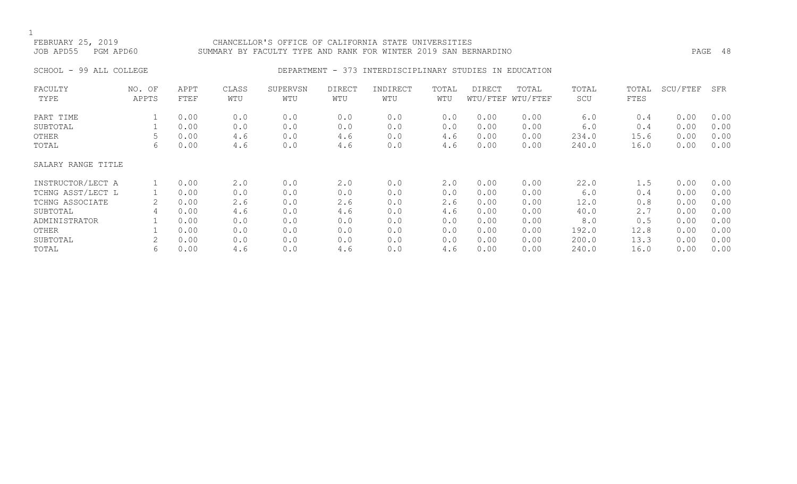### FEBRUARY 25, 2019 CHANCELLOR'S OFFICE OF CALIFORNIA STATE UNIVERSITIES JOB APD55 PGM APD60 SUMMARY BY FACULTY TYPE AND RANK FOR WINTER 2019 SAN BERNARDINO PAGE 48

### SCHOOL - 99 ALL COLLEGE CONSERVERS ON DEPARTMENT - 373 INTERDISCIPLINARY STUDIES IN EDUCATION

| FACULTY            | NO. OF<br>APPTS | APPT | CLASS<br>WTU | SUPERVSN<br>WTU | DIRECT | INDIRECT | TOTAL<br>WTU | DIRECT | TOTAL<br>WTU/FTEF WTU/FTEF | TOTAL<br>SCU | TOTAL<br>FTES | SCU/FTEF | SFR  |
|--------------------|-----------------|------|--------------|-----------------|--------|----------|--------------|--------|----------------------------|--------------|---------------|----------|------|
| TYPE               |                 | FTEF |              |                 | WTU    | WTU      |              |        |                            |              |               |          |      |
| PART TIME          |                 | 0.00 | 0.0          | 0.0             | 0.0    | 0.0      | 0.0          | 0.00   | 0.00                       | 6.0          | 0.4           | 0.00     | 0.00 |
| SUBTOTAL           |                 | 0.00 | 0.0          | 0.0             | 0.0    | 0.0      | 0.0          | 0.00   | 0.00                       | 6.0          | 0.4           | 0.00     | 0.00 |
| OTHER              |                 | 0.00 | 4.6          | 0.0             | 4.6    | 0.0      | 4.6          | 0.00   | 0.00                       | 234.0        | 15.6          | 0.00     | 0.00 |
| TOTAL              | 6               | 0.00 | 4.6          | 0.0             | 4.6    | 0.0      | 4.6          | 0.00   | 0.00                       | 240.0        | 16.0          | 0.00     | 0.00 |
| SALARY RANGE TITLE |                 |      |              |                 |        |          |              |        |                            |              |               |          |      |
| INSTRUCTOR/LECT A  |                 | 0.00 | 2.0          | 0.0             | 2.0    | 0.0      | 2.0          | 0.00   | 0.00                       | 22.0         | 1.5           | 0.00     | 0.00 |
| TCHNG ASST/LECT L  |                 | 0.00 | 0.0          | 0.0             | 0.0    | 0.0      | 0.0          | 0.00   | 0.00                       | 6.0          | 0.4           | 0.00     | 0.00 |
| TCHNG ASSOCIATE    | 2               | 0.00 | 2.6          | 0.0             | 2.6    | 0.0      | 2.6          | 0.00   | 0.00                       | 12.0         | 0.8           | 0.00     | 0.00 |
| SUBTOTAL           | 4               | 0.00 | 4.6          | 0.0             | 4.6    | 0.0      | 4.6          | 0.00   | 0.00                       | 40.0         | 2.7           | 0.00     | 0.00 |
| ADMINISTRATOR      |                 | 0.00 | 0.0          | 0.0             | 0.0    | 0.0      | 0.0          | 0.00   | 0.00                       | 8.0          | 0.5           | 0.00     | 0.00 |
| OTHER              |                 | 0.00 | 0.0          | 0.0             | 0.0    | 0.0      | 0.0          | 0.00   | 0.00                       | 192.0        | 12.8          | 0.00     | 0.00 |
| SUBTOTAL           |                 | 0.00 | 0.0          | 0.0             | 0.0    | 0.0      | 0.0          | 0.00   | 0.00                       | 200.0        | 13.3          | 0.00     | 0.00 |
| TOTAL              | 6               | 0.00 | 4.6          | 0.0             | 4.6    | 0.0      | 4.6          | 0.00   | 0.00                       | 240.0        | 16.0          | 0.00     | 0.00 |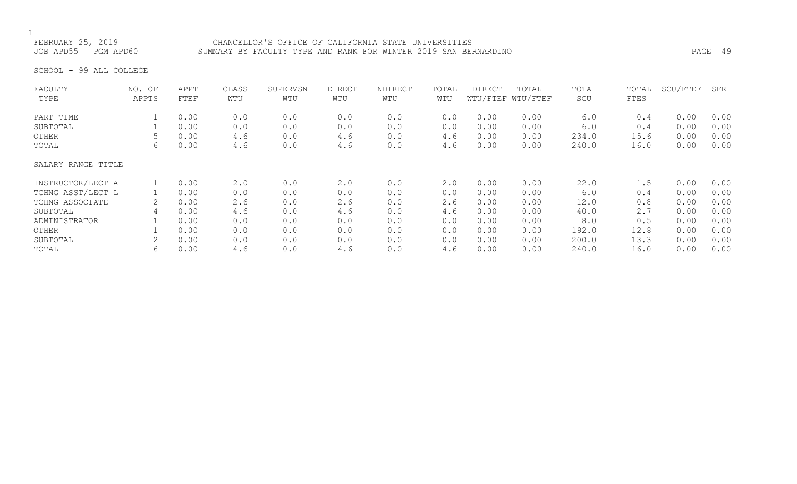### FEBRUARY 25, 2019 CHANCELLOR'S OFFICE OF CALIFORNIA STATE UNIVERSITIES JOB APD55 PGM APD60 SUMMARY BY FACULTY TYPE AND RANK FOR WINTER 2019 SAN BERNARDINO PAGE 49

SCHOOL - 99 ALL COLLEGE

| FACULTY            | NO. OF | APPT | CLASS | SUPERVSN | DIRECT | INDIRECT | TOTAL | <b>DIRECT</b> | TOTAL             | TOTAL | TOTAL | SCU/FTEF | SFR  |
|--------------------|--------|------|-------|----------|--------|----------|-------|---------------|-------------------|-------|-------|----------|------|
| TYPE               | APPTS  | FTEF | WTU   | WTU      | WTU    | WTU      | WTU   |               | WTU/FTEF WTU/FTEF | SCU   | FTES  |          |      |
| PART TIME          |        | 0.00 | 0.0   | 0.0      | 0.0    | 0.0      | 0.0   | 0.00          | 0.00              | 6.0   | 0.4   | 0.00     | 0.00 |
| SUBTOTAL           |        | 0.00 | 0.0   | 0.0      | 0.0    | 0.0      | 0.0   | 0.00          | 0.00              | 6.0   | 0.4   | 0.00     | 0.00 |
| OTHER              | 5      | 0.00 | 4.6   | 0.0      | 4.6    | 0.0      | 4.6   | 0.00          | 0.00              | 234.0 | 15.6  | 0.00     | 0.00 |
| TOTAL              | 6      | 0.00 | 4.6   | 0.0      | 4.6    | 0.0      | 4.6   | 0.00          | 0.00              | 240.0 | 16.0  | 0.00     | 0.00 |
| SALARY RANGE TITLE |        |      |       |          |        |          |       |               |                   |       |       |          |      |
| INSTRUCTOR/LECT A  |        | 0.00 | 2.0   | 0.0      | 2.0    | 0.0      | 2.0   | 0.00          | 0.00              | 22.0  | 1.5   | 0.00     | 0.00 |
| TCHNG ASST/LECT L  |        | 0.00 | 0.0   | 0.0      | 0.0    | 0.0      | 0.0   | 0.00          | 0.00              | 6.0   | 0.4   | 0.00     | 0.00 |
| TCHNG ASSOCIATE    | 2      | 0.00 | 2.6   | 0.0      | 2.6    | 0.0      | 2.6   | 0.00          | 0.00              | 12.0  | 0.8   | 0.00     | 0.00 |
| SUBTOTAL           | 4      | 0.00 | 4.6   | 0.0      | 4.6    | 0.0      | 4.6   | 0.00          | 0.00              | 40.0  | 2.7   | 0.00     | 0.00 |
| ADMINISTRATOR      |        | 0.00 | 0.0   | 0.0      | 0.0    | 0.0      | 0.0   | 0.00          | 0.00              | 8.0   | 0.5   | 0.00     | 0.00 |
| OTHER              |        | 0.00 | 0.0   | 0.0      | 0.0    | 0.0      | 0.0   | 0.00          | 0.00              | 192.0 | 12.8  | 0.00     | 0.00 |
| SUBTOTAL           |        | 0.00 | 0.0   | 0.0      | 0.0    | 0.0      | 0.0   | 0.00          | 0.00              | 200.0 | 13.3  | 0.00     | 0.00 |
| TOTAL              | 6      | 0.00 | 4.6   | 0.0      | 4.6    | 0.0      | 4.6   | 0.00          | 0.00              | 240.0 | 16.0  | 0.00     | 0.00 |